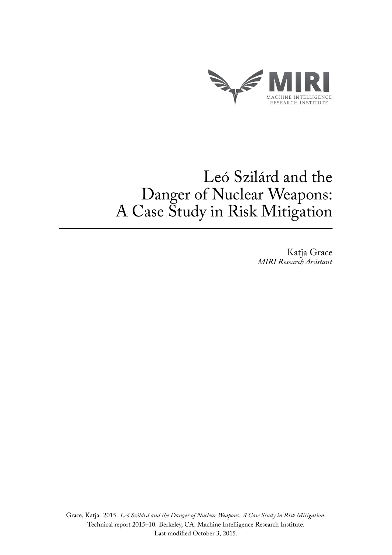

# Leó Szilárd and the Danger of Nuclear Weapons: A Case Study in Risk Mitigation

Katja Grace *MIRI Research Assistant*

Grace, Katja. 2015. *Leó Szilárd and the Danger of Nuclear Weapons: A Case Study in Risk Mitigation*. Technical report 2015–10. Berkeley, CA: Machine Intelligence Research Institute. Last modified October 3, 2015.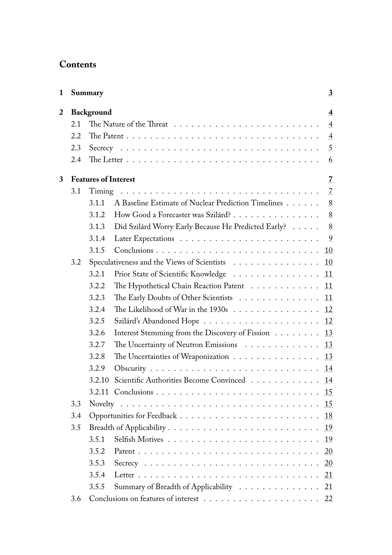## **Contents**

| 1              |                             | Summary    |                                                                                           | 3              |  |  |
|----------------|-----------------------------|------------|-------------------------------------------------------------------------------------------|----------------|--|--|
| $\overline{2}$ |                             | Background |                                                                                           |                |  |  |
|                | 2.1                         |            | The Nature of the Threat $\ldots \ldots \ldots \ldots \ldots \ldots \ldots \ldots$        | $\overline{4}$ |  |  |
|                | 2.2                         |            |                                                                                           | $\overline{4}$ |  |  |
|                | 2.3                         |            |                                                                                           | 5              |  |  |
|                | 2.4                         |            | The Letter $\ldots \ldots \ldots \ldots \ldots \ldots \ldots \ldots \ldots \ldots \ldots$ | 6              |  |  |
| 3              | <b>Features of Interest</b> |            |                                                                                           |                |  |  |
|                | 3.1                         |            |                                                                                           | 7              |  |  |
|                |                             | 3.1.1      | A Baseline Estimate of Nuclear Prediction Timelines                                       | 8              |  |  |
|                |                             | 3.1.2      | How Good a Forecaster was Szilárd?                                                        | 8              |  |  |
|                |                             | 3.1.3      | Did Szilárd Worry Early Because He Predicted Early?                                       | 8              |  |  |
|                |                             | 3.1.4      |                                                                                           | 9              |  |  |
|                |                             | 3.1.5      |                                                                                           | 10             |  |  |
|                | 3.2                         |            | Speculativeness and the Views of Scientists                                               | 10             |  |  |
|                |                             | 3.2.1      | Prior State of Scientific Knowledge                                                       | 11             |  |  |
|                |                             | 3.2.2      | The Hypothetical Chain Reaction Patent                                                    | 11             |  |  |
|                |                             | 3.2.3      | The Early Doubts of Other Scientists                                                      | 11             |  |  |
|                |                             | 3.2.4      | The Likelihood of War in the 1930s 12                                                     |                |  |  |
|                |                             | 3.2.5      |                                                                                           |                |  |  |
|                |                             | 3.2.6      | Interest Stemming from the Discovery of Fission 13                                        |                |  |  |
|                |                             | 3.2.7      | The Uncertainty of Neutron Emissions 13                                                   |                |  |  |
|                |                             | 3.2.8      | The Uncertainties of Weaponization 13                                                     |                |  |  |
|                |                             | 3.2.9      |                                                                                           | 14             |  |  |
|                |                             | 3.2.10     | Scientific Authorities Become Convinced 14                                                |                |  |  |
|                |                             |            |                                                                                           | 15             |  |  |
|                | 3.3                         |            | Novelty $\ldots \ldots \ldots \ldots \ldots \ldots \ldots \ldots \ldots \ldots \ldots$    | 15             |  |  |
|                | 3.4                         |            |                                                                                           | 18             |  |  |
|                | 3.5                         |            |                                                                                           | 19             |  |  |
|                |                             | 3.5.1      |                                                                                           | 19             |  |  |
|                |                             | 3.5.2      |                                                                                           | 20             |  |  |
|                |                             | 3.5.3      |                                                                                           | 20             |  |  |
|                |                             | 3.5.4      |                                                                                           |                |  |  |
|                |                             | 3.5.5      | Summary of Breadth of Applicability 21                                                    |                |  |  |
|                | 3.6                         |            |                                                                                           |                |  |  |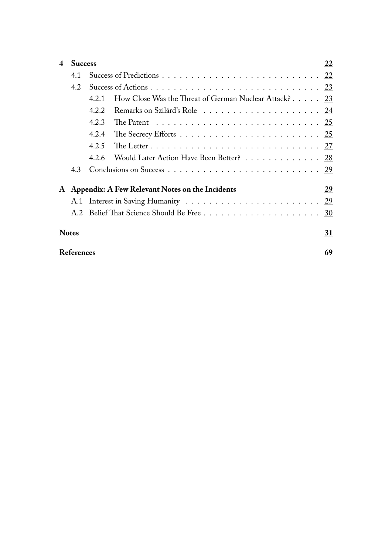| $\boldsymbol{\Lambda}$ | <b>Success</b>                                  |                                                                                                       |    |  |  |  |
|------------------------|-------------------------------------------------|-------------------------------------------------------------------------------------------------------|----|--|--|--|
|                        | 4.1                                             |                                                                                                       |    |  |  |  |
|                        | 4.2                                             |                                                                                                       |    |  |  |  |
|                        |                                                 | How Close Was the Threat of German Nuclear Attack? 23<br>4.2.1                                        |    |  |  |  |
|                        |                                                 | 4.2.2                                                                                                 |    |  |  |  |
|                        |                                                 | The Patent $\ldots \ldots \ldots \ldots \ldots \ldots \ldots \ldots \ldots \ldots \ldots 25$<br>4.2.3 |    |  |  |  |
|                        |                                                 | 4.2.4                                                                                                 |    |  |  |  |
|                        |                                                 | 4.2.5                                                                                                 |    |  |  |  |
|                        |                                                 | Would Later Action Have Been Better? 28<br>4.2.6                                                      |    |  |  |  |
|                        | 4.3                                             |                                                                                                       | 29 |  |  |  |
| $\mathbf{A}$           | Appendix: A Few Relevant Notes on the Incidents |                                                                                                       |    |  |  |  |
|                        | A.1                                             |                                                                                                       | 29 |  |  |  |
|                        | A 2                                             |                                                                                                       | 30 |  |  |  |
|                        | <b>Notes</b>                                    |                                                                                                       |    |  |  |  |
|                        | <b>References</b>                               |                                                                                                       |    |  |  |  |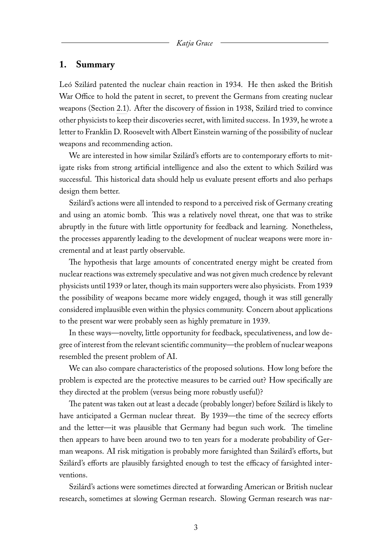### <span id="page-3-0"></span>**1. Summary**

Leó Szilárd patented the nuclear chain reaction in 1934. He then asked the British War Office to hold the patent in secret, to prevent the Germans from creating nuclear weapons (Section [2.1\)](#page-4-1). After the discovery of fission in 1938, Szilárd tried to convince other physicists to keep their discoveries secret, with limited success. In 1939, he wrote a letter to Franklin D. Roosevelt with Albert Einstein warning of the possibility of nuclear weapons and recommending action.

We are interested in how similar Szilárd's efforts are to contemporary efforts to mitigate risks from strong artificial intelligence and also the extent to which Szilárd was successful. This historical data should help us evaluate present efforts and also perhaps design them better.

Szilárd's actions were all intended to respond to a perceived risk of Germany creating and using an atomic bomb. This was a relatively novel threat, one that was to strike abruptly in the future with little opportunity for feedback and learning. Nonetheless, the processes apparently leading to the development of nuclear weapons were more incremental and at least partly observable.

The hypothesis that large amounts of concentrated energy might be created from nuclear reactions was extremely speculative and was not given much credence by relevant physicists until 1939 or later, though its main supporters were also physicists. From 1939 the possibility of weapons became more widely engaged, though it was still generally considered implausible even within the physics community. Concern about applications to the present war were probably seen as highly premature in 1939.

In these ways—novelty, little opportunity for feedback, speculativeness, and low degree of interest from the relevant scientific community—the problem of nuclear weapons resembled the present problem of AI.

We can also compare characteristics of the proposed solutions. How long before the problem is expected are the protective measures to be carried out? How specifically are they directed at the problem (versus being more robustly useful)?

The patent was taken out at least a decade (probably longer) before Szilárd is likely to have anticipated a German nuclear threat. By 1939—the time of the secrecy efforts and the letter—it was plausible that Germany had begun such work. The timeline then appears to have been around two to ten years for a moderate probability of German weapons. AI risk mitigation is probably more farsighted than Szilárd's efforts, but Szilárd's efforts are plausibly farsighted enough to test the efficacy of farsighted interventions.

Szilárd's actions were sometimes directed at forwarding American or British nuclear research, sometimes at slowing German research. Slowing German research was nar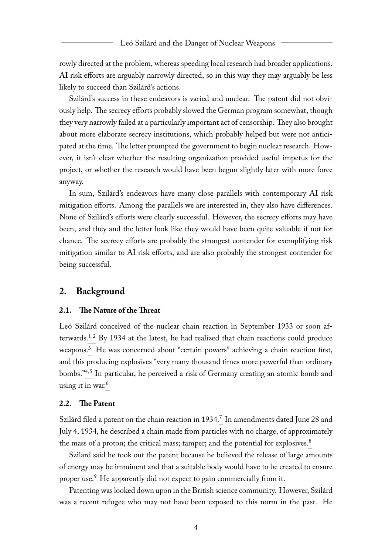rowly directed at the problem, whereas speeding local research had broader applications. AI risk efforts are arguably narrowly directed, so in this way they may arguably be less likely to succeed than Szilárd's actions.

Szilárd's success in these endeavors is varied and unclear. The patent did not obviously help. The secrecy efforts probably slowed the German program somewhat, though they very narrowly failed at a particularly important act of censorship. They also brought about more elaborate secrecy institutions, which probably helped but were not anticipated at the time. The letter prompted the government to begin nuclear research. However, it isn't clear whether the resulting organization provided useful impetus for the project, or whether the research would have been begun slightly later with more force anyway.

In sum, Szilárd's endeavors have many close parallels with contemporary AI risk mitigation efforts. Among the parallels we are interested in, they also have differences. None of Szilárd's efforts were clearly successful. However, the secrecy efforts may have been, and they and the letter look like they would have been quite valuable if not for chance. The secrecy efforts are probably the strongest contender for exemplifying risk mitigation similar to AI risk efforts, and are also probably the strongest contender for being successful.

### <span id="page-4-0"></span>**2. Background**

### <span id="page-4-1"></span>**2.1. The Nature of the Threat**

<span id="page-4-5"></span><span id="page-4-4"></span><span id="page-4-3"></span>Leó Szilárd conceived of the nuclear chain reaction in September 1933 or soon af-terwards.<sup>[1,](#page-31-1)[2](#page-31-2)</sup> By 1934 at the latest, he had realized that chain reactions could produce weapons.<sup>[3](#page-31-3)</sup> He was concerned about "certain powers" achieving a chain reaction first, and this producing explosives "very many thousand times more powerful than ordinary bombs."[4,](#page-31-4)[5](#page-31-5) In particular, he perceived a risk of Germany creating an atomic bomb and using it in war.<sup>[6](#page-32-0)</sup>

### <span id="page-4-8"></span><span id="page-4-7"></span><span id="page-4-6"></span><span id="page-4-2"></span>**2.2. The Patent**

<span id="page-4-10"></span><span id="page-4-9"></span>Szilárd filed a patent on the chain reaction in 1934.<sup>[7](#page-32-1)</sup> In amendments dated June 28 and July 4, 1934, he described a chain made from particles with no charge, of approximately the mass of a proton; the critical mass; tamper; and the potential for explosives.<sup>[8](#page-32-2)</sup>

<span id="page-4-11"></span>Szilard said he took out the patent because he believed the release of large amounts of energy may be imminent and that a suitable body would have to be created to ensure proper use.<sup>[9](#page-32-3)</sup> He apparently did not expect to gain commercially from it.

Patenting was looked down upon in the British science community. However, Szilárd was a recent refugee who may not have been exposed to this norm in the past. He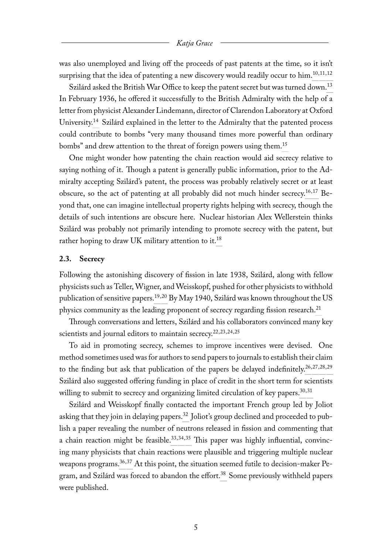<span id="page-5-3"></span><span id="page-5-2"></span><span id="page-5-1"></span>was also unemployed and living off the proceeds of past patents at the time, so it isn't surprising that the idea of patenting a new discovery would readily occur to him.<sup>[10,](#page-32-4)[11,](#page-32-5)[12](#page-32-6)</sup>

<span id="page-5-5"></span><span id="page-5-4"></span>Szilárd asked the British War Office to keep the patent secret but was turned down.<sup>[13](#page-32-7)</sup> In February 1936, he offered it successfully to the British Admiralty with the help of a letter from physicist Alexander Lindemann, director of Clarendon Laboratory at Oxford University.<sup>[14](#page-33-0)</sup> Szilárd explained in the letter to the Admiralty that the patented process could contribute to bombs "very many thousand times more powerful than ordinary bombs" and drew attention to the threat of foreign powers using them.<sup>[15](#page-33-1)</sup>

<span id="page-5-8"></span><span id="page-5-7"></span><span id="page-5-6"></span>One might wonder how patenting the chain reaction would aid secrecy relative to saying nothing of it. Though a patent is generally public information, prior to the Admiralty accepting Szilárd's patent, the process was probably relatively secret or at least obscure, so the act of patenting at all probably did not much hinder secrecy.<sup>[16,](#page-33-2)[17](#page-33-3)</sup> Beyond that, one can imagine intellectual property rights helping with secrecy, though the details of such intentions are obscure here. Nuclear historian Alex Wellerstein thinks Szilárd was probably not primarily intending to promote secrecy with the patent, but rather hoping to draw UK military attention to it.<sup>[18](#page-33-4)</sup>

### <span id="page-5-9"></span><span id="page-5-0"></span>**2.3. Secrecy**

<span id="page-5-11"></span><span id="page-5-10"></span>Following the astonishing discovery of fission in late 1938, Szilárd, along with fellow physicists such as Teller, Wigner, and Weisskopf, pushed for other physicists to withhold publication of sensitive papers.[19,](#page-33-5)[20](#page-33-6) By May 1940, Szilárd was known throughout the US physics community as the leading proponent of secrecy regarding fission research.<sup>[21](#page-34-0)</sup>

<span id="page-5-16"></span><span id="page-5-15"></span><span id="page-5-14"></span><span id="page-5-13"></span><span id="page-5-12"></span>Through conversations and letters, Szilárd and his collaborators convinced many key scientists and journal editors to maintain secrecy.<sup>[22,](#page-34-1)[23,](#page-34-2)[24,](#page-35-0)[25](#page-35-1)</sup>

<span id="page-5-18"></span><span id="page-5-17"></span>To aid in promoting secrecy, schemes to improve incentives were devised. One method sometimes used was for authors to send papers to journals to establish their claim to the finding but ask that publication of the papers be delayed indefinitely.<sup>[26,](#page-35-2)[27,](#page-35-3)[28,](#page-36-0)[29](#page-36-1)</sup> Szilárd also suggested offering funding in place of credit in the short term for scientists willing to submit to secrecy and organizing limited circulation of key papers.<sup>[30,](#page-36-2)[31](#page-36-3)</sup>

Szilárd and Weisskopf finally contacted the important French group led by Joliot asking that they join in delaying papers.<sup>[32](#page-36-4)</sup> Joliot's group declined and proceeded to publish a paper revealing the number of neutrons released in fission and commenting that a chain reaction might be feasible.<sup>[33,](#page-36-5)[34,](#page-37-0)[35](#page-37-1)</sup> This paper was highly influential, convincing many physicists that chain reactions were plausible and triggering multiple nuclear weapons programs.<sup>[36,](#page-37-2)[37](#page-37-3)</sup> At this point, the situation seemed futile to decision-maker Pe-gram, and Szilárd was forced to abandon the effort.<sup>[38](#page-37-4)</sup> Some previously withheld papers were published.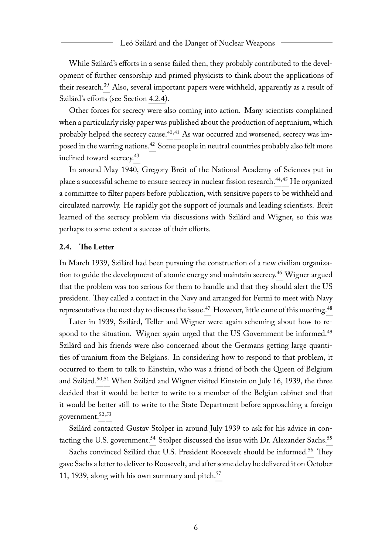While Szilárd's efforts in a sense failed then, they probably contributed to the development of further censorship and primed physicists to think about the applications of their research.[39](#page-37-5) Also, several important papers were withheld, apparently as a result of Szilárd's efforts (see Section [4.2.4\)](#page-25-1).

Other forces for secrecy were also coming into action. Many scientists complained when a particularly risky paper was published about the production of neptunium, which probably helped the secrecy cause.<sup>[40,](#page-37-6)[41](#page-38-0)</sup> As war occurred and worsened, secrecy was im-posed in the warring nations.<sup>[42](#page-38-1)</sup> Some people in neutral countries probably also felt more inclined toward secrecy.<sup>[43](#page-38-2)</sup>

In around May 1940, Gregory Breit of the National Academy of Sciences put in place a successful scheme to ensure secrecy in nuclear fission research.<sup>[44,](#page-38-3)[45](#page-38-4)</sup> He organized a committee to filter papers before publication, with sensitive papers to be withheld and circulated narrowly. He rapidly got the support of journals and leading scientists. Breit learned of the secrecy problem via discussions with Szilárd and Wigner, so this was perhaps to some extent a success of their efforts.

### <span id="page-6-0"></span>**2.4. The Letter**

In March 1939, Szilárd had been pursuing the construction of a new civilian organiza-tion to guide the development of atomic energy and maintain secrecy.<sup>[46](#page-38-5)</sup> Wigner argued that the problem was too serious for them to handle and that they should alert the US president. They called a contact in the Navy and arranged for Fermi to meet with Navy representatives the next day to discuss the issue.<sup>[47](#page-38-6)</sup> However, little came of this meeting.<sup>[48](#page-39-0)</sup>

Later in 1939, Szilárd, Teller and Wigner were again scheming about how to re-spond to the situation. Wigner again urged that the US Government be informed.<sup>[49](#page-39-1)</sup> Szilárd and his friends were also concerned about the Germans getting large quantities of uranium from the Belgians. In considering how to respond to that problem, it occurred to them to talk to Einstein, who was a friend of both the Queen of Belgium and Szilárd.[50,](#page-39-2)[51](#page-39-3) When Szilárd and Wigner visited Einstein on July 16, 1939, the three decided that it would be better to write to a member of the Belgian cabinet and that it would be better still to write to the State Department before approaching a foreign government. $52,53$  $52,53$ 

Szilárd contacted Gustav Stolper in around July 1939 to ask for his advice in con-tacting the U.S. government.<sup>[54](#page-40-0)</sup> Stolper discussed the issue with Dr. Alexander Sachs.<sup>[55](#page-40-1)</sup>

Sachs convinced Szilárd that U.S. President Roosevelt should be informed.<sup>[56](#page-40-2)</sup> They gave Sachs a letter to deliver to Roosevelt, and after some delay he delivered it on October 11, 1939, along with his own summary and pitch. $57$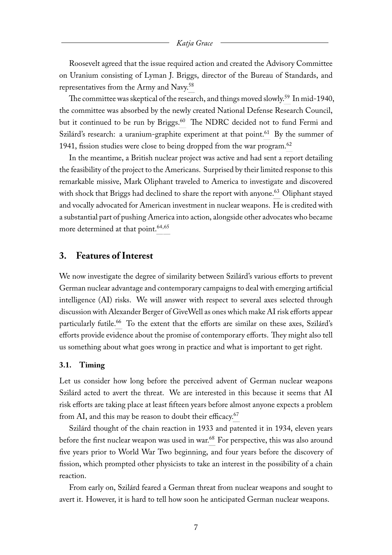Roosevelt agreed that the issue required action and created the Advisory Committee on Uranium consisting of Lyman J. Briggs, director of the Bureau of Standards, and representatives from the Army and Navy.[58](#page-40-4)

The committee was skeptical of the research, and things moved slowly.<sup>[59](#page-41-0)</sup> In mid-1940, the committee was absorbed by the newly created National Defense Research Council, but it continued to be run by Briggs.<sup>[60](#page-41-1)</sup> The NDRC decided not to fund Fermi and Szilárd's research: a uranium-graphite experiment at that point.<sup>[61](#page-41-2)</sup> By the summer of 1941, fission studies were close to being dropped from the war program.  $62$ 

In the meantime, a British nuclear project was active and had sent a report detailing the feasibility of the project to the Americans. Surprised by their limited response to this remarkable missive, Mark Oliphant traveled to America to investigate and discovered with shock that Briggs had declined to share the report with anyone.<sup>[63](#page-41-4)</sup> Oliphant stayed and vocally advocated for American investment in nuclear weapons. He is credited with a substantial part of pushing America into action, alongside other advocates who became more determined at that point.<sup>[64,](#page-41-5)[65](#page-41-6)</sup>

### <span id="page-7-0"></span>**3. Features of Interest**

We now investigate the degree of similarity between Szilárd's various efforts to prevent German nuclear advantage and contemporary campaigns to deal with emerging artificial intelligence (AI) risks. We will answer with respect to several axes selected through discussion with Alexander Berger of GiveWell as ones which make AI risk efforts appear particularly futile.<sup>[66](#page-41-7)</sup> To the extent that the efforts are similar on these axes, Szilárd's efforts provide evidence about the promise of contemporary efforts. They might also tell us something about what goes wrong in practice and what is important to get right.

### <span id="page-7-1"></span>**3.1. Timing**

Let us consider how long before the perceived advent of German nuclear weapons Szilárd acted to avert the threat. We are interested in this because it seems that AI risk efforts are taking place at least fifteen years before almost anyone expects a problem from AI, and this may be reason to doubt their efficacy.<sup>[67](#page-42-0)</sup>

Szilárd thought of the chain reaction in 1933 and patented it in 1934, eleven years before the first nuclear weapon was used in war.<sup>[68](#page-42-1)</sup> For perspective, this was also around five years prior to World War Two beginning, and four years before the discovery of fission, which prompted other physicists to take an interest in the possibility of a chain reaction.

From early on, Szilárd feared a German threat from nuclear weapons and sought to avert it. However, it is hard to tell how soon he anticipated German nuclear weapons.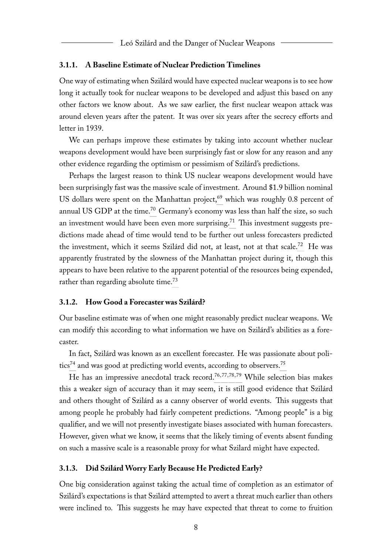### <span id="page-8-0"></span>**3.1.1. A Baseline Estimate of Nuclear Prediction Timelines**

One way of estimating when Szilárd would have expected nuclear weapons is to see how long it actually took for nuclear weapons to be developed and adjust this based on any other factors we know about. As we saw earlier, the first nuclear weapon attack was around eleven years after the patent. It was over six years after the secrecy efforts and letter in 1939.

We can perhaps improve these estimates by taking into account whether nuclear weapons development would have been surprisingly fast or slow for any reason and any other evidence regarding the optimism or pessimism of Szilárd's predictions.

Perhaps the largest reason to think US nuclear weapons development would have been surprisingly fast was the massive scale of investment. Around \$1.9 billion nominal US dollars were spent on the Manhattan project,<sup>[69](#page-42-2)</sup> which was roughly 0.8 percent of annual US GDP at the time.<sup>[70](#page-42-3)</sup> Germany's economy was less than half the size, so such an investment would have been even more surprising.<sup>[71](#page-42-4)</sup> This investment suggests predictions made ahead of time would tend to be further out unless forecasters predicted the investment, which it seems Szilárd did not, at least, not at that scale.[72](#page-42-5) He was apparently frustrated by the slowness of the Manhattan project during it, though this appears to have been relative to the apparent potential of the resources being expended, rather than regarding absolute time.<sup>[73](#page-42-6)</sup>

### <span id="page-8-1"></span>**3.1.2. How Good a Forecaster was Szilárd?**

Our baseline estimate was of when one might reasonably predict nuclear weapons. We can modify this according to what information we have on Szilárd's abilities as a forecaster.

In fact, Szilárd was known as an excellent forecaster. He was passionate about poli-tics<sup>[74](#page-42-7)</sup> and was good at predicting world events, according to observers.<sup>[75](#page-42-8)</sup>

He has an impressive anecdotal track record.<sup>[76,](#page-42-9)[77,](#page-43-0)[78,](#page-43-1)[79](#page-43-2)</sup> While selection bias makes this a weaker sign of accuracy than it may seem, it is still good evidence that Szilárd and others thought of Szilárd as a canny observer of world events. This suggests that among people he probably had fairly competent predictions. "Among people" is a big qualifier, and we will not presently investigate biases associated with human forecasters. However, given what we know, it seems that the likely timing of events absent funding on such a massive scale is a reasonable proxy for what Szilard might have expected.

#### <span id="page-8-2"></span>**3.1.3. Did Szilárd Worry Early Because He Predicted Early?**

One big consideration against taking the actual time of completion as an estimator of Szilárd's expectations is that Szilárd attempted to avert a threat much earlier than others were inclined to. This suggests he may have expected that threat to come to fruition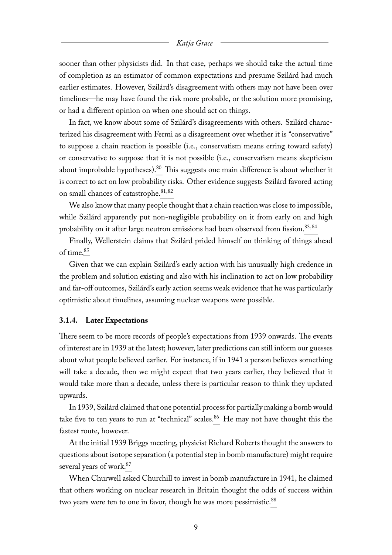sooner than other physicists did. In that case, perhaps we should take the actual time of completion as an estimator of common expectations and presume Szilárd had much earlier estimates. However, Szilárd's disagreement with others may not have been over timelines—he may have found the risk more probable, or the solution more promising, or had a different opinion on when one should act on things.

In fact, we know about some of Szilárd's disagreements with others. Szilárd characterized his disagreement with Fermi as a disagreement over whether it is "conservative" to suppose a chain reaction is possible (i.e., conservatism means erring toward safety) or conservative to suppose that it is not possible (i.e., conservatism means skepticism about improbable hypotheses).<sup>[80](#page-43-3)</sup> This suggests one main difference is about whether it is correct to act on low probability risks. Other evidence suggests Szilárd favored acting on small chances of catastrophe.<sup>[81,](#page-43-4)[82](#page-43-5)</sup>

We also know that many people thought that a chain reaction was close to impossible, while Szilárd apparently put non-negligible probability on it from early on and high probability on it after large neutron emissions had been observed from fission.<sup>[83,](#page-43-6)[84](#page-44-0)</sup>

Finally, Wellerstein claims that Szilárd prided himself on thinking of things ahead of time.[85](#page-44-1)

Given that we can explain Szilárd's early action with his unusually high credence in the problem and solution existing and also with his inclination to act on low probability and far-off outcomes, Szilárd's early action seems weak evidence that he was particularly optimistic about timelines, assuming nuclear weapons were possible.

#### <span id="page-9-0"></span>**3.1.4. Later Expectations**

There seem to be more records of people's expectations from 1939 onwards. The events of interest are in 1939 at the latest; however, later predictions can still inform our guesses about what people believed earlier. For instance, if in 1941 a person believes something will take a decade, then we might expect that two years earlier, they believed that it would take more than a decade, unless there is particular reason to think they updated upwards.

In 1939, Szilárd claimed that one potential process for partially making a bomb would take five to ten years to run at "technical" scales.<sup>[86](#page-44-2)</sup> He may not have thought this the fastest route, however.

At the initial 1939 Briggs meeting, physicist Richard Roberts thought the answers to questions about isotope separation (a potential step in bomb manufacture) might require several years of work.<sup>[87](#page-44-3)</sup>

When Churwell asked Churchill to invest in bomb manufacture in 1941, he claimed that others working on nuclear research in Britain thought the odds of success within two years were ten to one in favor, though he was more pessimistic.<sup>[88](#page-44-4)</sup>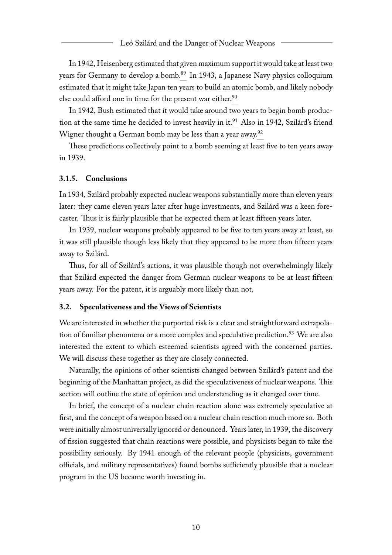In 1942, Heisenberg estimated that given maximum support it would take at least two years for Germany to develop a bomb.<sup>[89](#page-44-5)</sup> In 1943, a Japanese Navy physics colloquium estimated that it might take Japan ten years to build an atomic bomb, and likely nobody else could afford one in time for the present war either.<sup>[90](#page-44-6)</sup>

In 1942, Bush estimated that it would take around two years to begin bomb produc-tion at the same time he decided to invest heavily in it.<sup>[91](#page-45-0)</sup> Also in 1942, Szilárd's friend Wigner thought a German bomb may be less than a year away.<sup>[92](#page-45-1)</sup>

These predictions collectively point to a bomb seeming at least five to ten years away in 1939.

### <span id="page-10-0"></span>**3.1.5. Conclusions**

In 1934, Szilárd probably expected nuclear weapons substantially more than eleven years later: they came eleven years later after huge investments, and Szilárd was a keen forecaster. Thus it is fairly plausible that he expected them at least fifteen years later.

In 1939, nuclear weapons probably appeared to be five to ten years away at least, so it was still plausible though less likely that they appeared to be more than fifteen years away to Szilárd.

Thus, for all of Szilárd's actions, it was plausible though not overwhelmingly likely that Szilárd expected the danger from German nuclear weapons to be at least fifteen years away. For the patent, it is arguably more likely than not.

### <span id="page-10-1"></span>**3.2. Speculativeness and the Views of Scientists**

We are interested in whether the purported risk is a clear and straightforward extrapola-tion of familiar phenomena or a more complex and speculative prediction.<sup>[93](#page-45-2)</sup> We are also interested the extent to which esteemed scientists agreed with the concerned parties. We will discuss these together as they are closely connected.

Naturally, the opinions of other scientists changed between Szilárd's patent and the beginning of the Manhattan project, as did the speculativeness of nuclear weapons. This section will outline the state of opinion and understanding as it changed over time.

In brief, the concept of a nuclear chain reaction alone was extremely speculative at first, and the concept of a weapon based on a nuclear chain reaction much more so. Both were initially almost universally ignored or denounced. Years later, in 1939, the discovery of fission suggested that chain reactions were possible, and physicists began to take the possibility seriously. By 1941 enough of the relevant people (physicists, government officials, and military representatives) found bombs sufficiently plausible that a nuclear program in the US became worth investing in.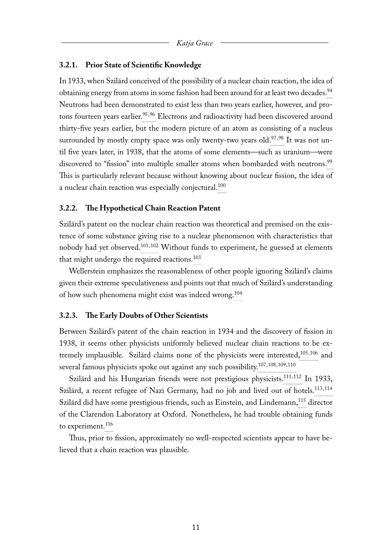### <span id="page-11-0"></span>**3.2.1. Prior State of Scientific Knowledge**

In 1933, when Szilárd conceived of the possibility of a nuclear chain reaction, the idea of obtaining energy from atoms in some fashion had been around for at least two decades.<sup>[94](#page-45-3)</sup> Neutrons had been demonstrated to exist less than two years earlier, however, and pro-tons fourteen years earlier.<sup>[95,](#page-45-4)[96](#page-45-5)</sup> Electrons and radioactivity had been discovered around thirty-five years earlier, but the modern picture of an atom as consisting of a nucleus surrounded by mostly empty space was only twenty-two years old.<sup>[97,](#page-45-6)[98](#page-46-0)</sup> It was not until five years later, in 1938, that the atoms of some elements—such as uranium—were discovered to "fission" into multiple smaller atoms when bombarded with neutrons.<sup>[99](#page-46-1)</sup> This is particularly relevant because without knowing about nuclear fission, the idea of a nuclear chain reaction was especially conjectural.<sup>[100](#page-46-2)</sup>

### <span id="page-11-1"></span>**3.2.2. The Hypothetical Chain Reaction Patent**

Szilárd's patent on the nuclear chain reaction was theoretical and premised on the existence of some substance giving rise to a nuclear phenomenon with characteristics that nobody had yet observed.[101,](#page-46-3)[102](#page-46-4) Without funds to experiment, he guessed at elements that might undergo the required reactions.<sup>[103](#page-46-5)</sup>

Wellerstein emphasizes the reasonableness of other people ignoring Szilárd's claims given their extreme speculativeness and points out that much of Szilárd's understanding of how such phenomena might exist was indeed wrong.[104](#page-46-6)

### <span id="page-11-2"></span>**3.2.3. The Early Doubts of Other Scientists**

Between Szilárd's patent of the chain reaction in 1934 and the discovery of fission in 1938, it seems other physicists uniformly believed nuclear chain reactions to be extremely implausible. Szilárd claims none of the physicists were interested,  $105,106$  $105,106$  and several famous physicists spoke out against any such possibility.[107,](#page-47-2)[108,](#page-47-3)[109,](#page-47-4)[110](#page-47-5)

Szilárd and his Hungarian friends were not prestigious physicists.<sup>[111,](#page-47-6)[112](#page-47-7)</sup> In 1933, Szilárd, a recent refugee of Nazi Germany, had no job and lived out of hotels.<sup>[113,](#page-48-0)[114](#page-48-1)</sup> Szilárd did have some prestigious friends, such as Einstein, and Lindemann,<sup>[115](#page-48-2)</sup> director of the Clarendon Laboratory at Oxford. Nonetheless, he had trouble obtaining funds to experiment.<sup>[116](#page-48-3)</sup>

Thus, prior to fission, approximately no well-respected scientists appear to have believed that a chain reaction was plausible.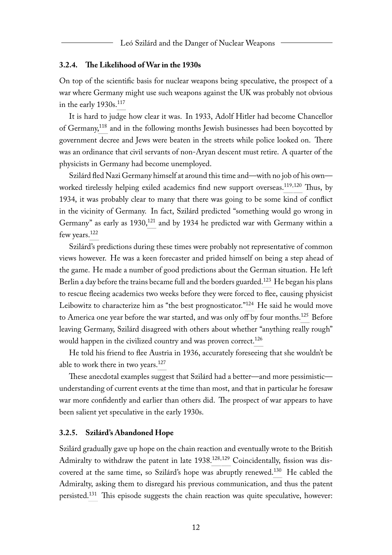### <span id="page-12-0"></span>**3.2.4. The Likelihood of War in the 1930s**

On top of the scientific basis for nuclear weapons being speculative, the prospect of a war where Germany might use such weapons against the UK was probably not obvious in the early  $1930s$ .<sup>[117](#page-48-4)</sup>

It is hard to judge how clear it was. In 1933, Adolf Hitler had become Chancellor of Germany,[118](#page-48-5) and in the following months Jewish businesses had been boycotted by government decree and Jews were beaten in the streets while police looked on. There was an ordinance that civil servants of non-Aryan descent must retire. A quarter of the physicists in Germany had become unemployed.

Szilárd fled Nazi Germany himself at around this time and—with no job of his own— worked tirelessly helping exiled academics find new support overseas.<sup>[119,](#page-49-0)[120](#page-49-1)</sup> Thus, by 1934, it was probably clear to many that there was going to be some kind of conflict in the vicinity of Germany. In fact, Szilárd predicted "something would go wrong in Germany" as early as  $1930$ ,<sup>[121](#page-49-2)</sup> and by 1934 he predicted war with Germany within a few years.[122](#page-49-3)

Szilárd's predictions during these times were probably not representative of common views however. He was a keen forecaster and prided himself on being a step ahead of the game. He made a number of good predictions about the German situation. He left Berlin a day before the trains became full and the borders guarded.<sup>[123](#page-49-4)</sup> He began his plans to rescue fleeing academics two weeks before they were forced to flee, causing physicist Leibowitz to characterize him as "the best prognosticator."[124](#page-49-5) He said he would move to America one year before the war started, and was only off by four months.<sup>[125](#page-49-6)</sup> Before leaving Germany, Szilárd disagreed with others about whether "anything really rough" would happen in the civilized country and was proven correct.<sup>[126](#page-49-7)</sup>

He told his friend to flee Austria in 1936, accurately foreseeing that she wouldn't be able to work there in two years.<sup>[127](#page-49-8)</sup>

These anecdotal examples suggest that Szilárd had a better—and more pessimistic understanding of current events at the time than most, and that in particular he foresaw war more confidently and earlier than others did. The prospect of war appears to have been salient yet speculative in the early 1930s.

#### <span id="page-12-1"></span>**3.2.5. Szilárd's Abandoned Hope**

Szilárd gradually gave up hope on the chain reaction and eventually wrote to the British Admiralty to withdraw the patent in late 1938.<sup>[128,](#page-49-9)[129](#page-49-10)</sup> Coincidentally, fission was discovered at the same time, so Szilárd's hope was abruptly renewed.[130](#page-50-0) He cabled the Admiralty, asking them to disregard his previous communication, and thus the patent persisted.<sup>[131](#page-50-1)</sup> This episode suggests the chain reaction was quite speculative, however: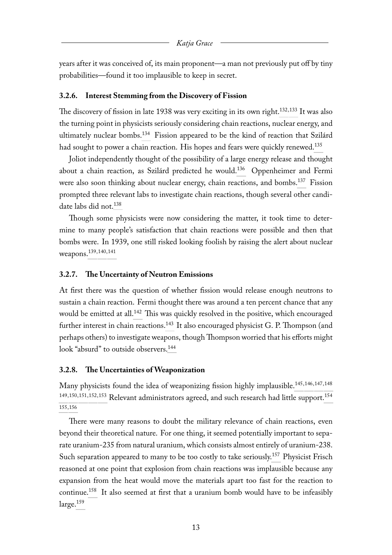years after it was conceived of, its main proponent—a man not previously put off by tiny probabilities—found it too implausible to keep in secret.

### <span id="page-13-0"></span>**3.2.6. Interest Stemming from the Discovery of Fission**

The discovery of fission in late 1938 was very exciting in its own right.<sup>[132,](#page-50-2)[133](#page-50-3)</sup> It was also the turning point in physicists seriously considering chain reactions, nuclear energy, and ultimately nuclear bombs.<sup>[134](#page-50-4)</sup> Fission appeared to be the kind of reaction that Szilárd had sought to power a chain reaction. His hopes and fears were quickly renewed.<sup>[135](#page-50-5)</sup>

Joliot independently thought of the possibility of a large energy release and thought about a chain reaction, as Szilárd predicted he would.[136](#page-51-0) Oppenheimer and Fermi were also soon thinking about nuclear energy, chain reactions, and bombs.<sup>[137](#page-51-1)</sup> Fission prompted three relevant labs to investigate chain reactions, though several other candi-date labs did not.<sup>[138](#page-51-2)</sup>

Though some physicists were now considering the matter, it took time to determine to many people's satisfaction that chain reactions were possible and then that bombs were. In 1939, one still risked looking foolish by raising the alert about nuclear weapons.[139,](#page-51-3)[140,](#page-51-4)[141](#page-52-0)

### <span id="page-13-1"></span>**3.2.7. The Uncertainty of Neutron Emissions**

At first there was the question of whether fission would release enough neutrons to sustain a chain reaction. Fermi thought there was around a ten percent chance that any would be emitted at all.<sup>[142](#page-52-1)</sup> This was quickly resolved in the positive, which encouraged further interest in chain reactions.<sup>[143](#page-52-2)</sup> It also encouraged physicist G. P. Thompson (and perhaps others) to investigate weapons, though Thompson worried that his efforts might look "absurd" to outside observers.<sup>[144](#page-52-3)</sup>

#### <span id="page-13-2"></span>**3.2.8. The Uncertainties of Weaponization**

Many physicists found the idea of weaponizing fission highly implausible.[145,](#page-52-4)[146,](#page-53-0)[147,](#page-53-1)[148](#page-53-2) [149,](#page-53-3)[150,](#page-53-4)[151,](#page-53-5)[152,](#page-53-6)[153](#page-54-0) Relevant administrators agreed, and such research had little support.[154](#page-54-1) [155,](#page-54-2)[156](#page-54-3)

There were many reasons to doubt the military relevance of chain reactions, even beyond their theoretical nature. For one thing, it seemed potentially important to separate uranium-235 from natural uranium, which consists almost entirely of uranium-238. Such separation appeared to many to be too costly to take seriously.<sup>[157](#page-54-4)</sup> Physicist Frisch reasoned at one point that explosion from chain reactions was implausible because any expansion from the heat would move the materials apart too fast for the reaction to continue.[158](#page-54-5) It also seemed at first that a uranium bomb would have to be infeasibly large.[159](#page-55-0)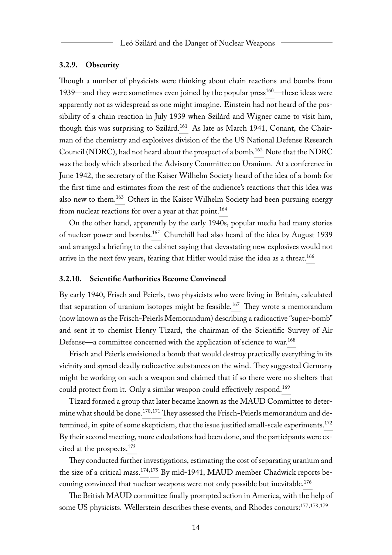### <span id="page-14-0"></span>**3.2.9. Obscurity**

Though a number of physicists were thinking about chain reactions and bombs from 1939—and they were sometimes even joined by the popular press<sup>[160](#page-55-1)</sup>—these ideas were apparently not as widespread as one might imagine. Einstein had not heard of the possibility of a chain reaction in July 1939 when Szilárd and Wigner came to visit him, though this was surprising to Szilárd.<sup>[161](#page-55-2)</sup> As late as March 1941, Conant, the Chairman of the chemistry and explosives division of the the US National Defense Research Council (NDRC), had not heard about the prospect of a bomb.[162](#page-55-3) Note that the NDRC was the body which absorbed the Advisory Committee on Uranium. At a conference in June 1942, the secretary of the Kaiser Wilhelm Society heard of the idea of a bomb for the first time and estimates from the rest of the audience's reactions that this idea was also new to them.[163](#page-56-0) Others in the Kaiser Wilhelm Society had been pursuing energy from nuclear reactions for over a year at that point.<sup>[164](#page-56-1)</sup>

On the other hand, apparently by the early 1940s, popular media had many stories of nuclear power and bombs.[165](#page-56-2) Churchill had also heard of the idea by August 1939 and arranged a briefing to the cabinet saying that devastating new explosives would not arrive in the next few years, fearing that Hitler would raise the idea as a threat.<sup>[166](#page-56-3)</sup>

### <span id="page-14-1"></span>**3.2.10. Scientific Authorities Become Convinced**

By early 1940, Frisch and Peierls, two physicists who were living in Britain, calculated that separation of uranium isotopes might be feasible.<sup>[167](#page-56-4)</sup> They wrote a memorandum (now known as the Frisch-Peierls Memorandum) describing a radioactive "super-bomb" and sent it to chemist Henry Tizard, the chairman of the Scientific Survey of Air Defense—a committee concerned with the application of science to war.<sup>[168](#page-56-5)</sup>

Frisch and Peierls envisioned a bomb that would destroy practically everything in its vicinity and spread deadly radioactive substances on the wind. They suggested Germany might be working on such a weapon and claimed that if so there were no shelters that could protect from it. Only a similar weapon could effectively respond.<sup>[169](#page-57-0)</sup>

Tizard formed a group that later became known as the MAUD Committee to deter-mine what should be done.<sup>[170,](#page-57-1)[171](#page-57-2)</sup> They assessed the Frisch-Peierls memorandum and de-termined, in spite of some skepticism, that the issue justified small-scale experiments.<sup>[172](#page-57-3)</sup> By their second meeting, more calculations had been done, and the participants were excited at the prospects.[173](#page-57-4)

They conducted further investigations, estimating the cost of separating uranium and the size of a critical mass.[174,](#page-57-5)[175](#page-58-0) By mid-1941, MAUD member Chadwick reports be-coming convinced that nuclear weapons were not only possible but inevitable.<sup>[176](#page-58-1)</sup>

The British MAUD committee finally prompted action in America, with the help of some US physicists. Wellerstein describes these events, and Rhodes concurs:<sup>[177,](#page-58-2)[178,](#page-58-3)[179](#page-58-4)</sup>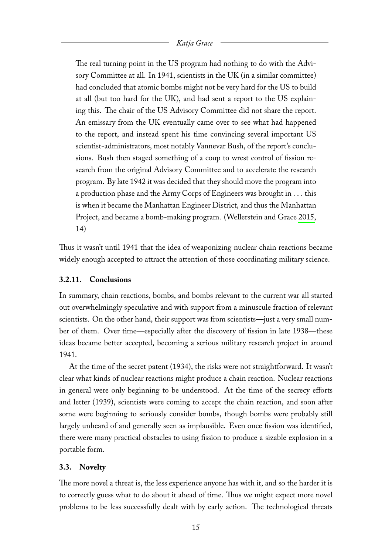The real turning point in the US program had nothing to do with the Advisory Committee at all. In 1941, scientists in the UK (in a similar committee) had concluded that atomic bombs might not be very hard for the US to build at all (but too hard for the UK), and had sent a report to the US explaining this. The chair of the US Advisory Committee did not share the report. An emissary from the UK eventually came over to see what had happened to the report, and instead spent his time convincing several important US scientist-administrators, most notably Vannevar Bush, of the report's conclusions. Bush then staged something of a coup to wrest control of fission research from the original Advisory Committee and to accelerate the research program. By late 1942 it was decided that they should move the program into a production phase and the Army Corps of Engineers was brought in . . . this is when it became the Manhattan Engineer District, and thus the Manhattan Project, and became a bomb-making program. (Wellerstein and Grace [2015,](#page-71-0) 14)

Thus it wasn't until 1941 that the idea of weaponizing nuclear chain reactions became widely enough accepted to attract the attention of those coordinating military science.

### <span id="page-15-0"></span>**3.2.11. Conclusions**

In summary, chain reactions, bombs, and bombs relevant to the current war all started out overwhelmingly speculative and with support from a minuscule fraction of relevant scientists. On the other hand, their support was from scientists—just a very small number of them. Over time—especially after the discovery of fission in late 1938—these ideas became better accepted, becoming a serious military research project in around 1941.

At the time of the secret patent (1934), the risks were not straightforward. It wasn't clear what kinds of nuclear reactions might produce a chain reaction. Nuclear reactions in general were only beginning to be understood. At the time of the secrecy efforts and letter (1939), scientists were coming to accept the chain reaction, and soon after some were beginning to seriously consider bombs, though bombs were probably still largely unheard of and generally seen as implausible. Even once fission was identified, there were many practical obstacles to using fission to produce a sizable explosion in a portable form.

### <span id="page-15-1"></span>**3.3. Novelty**

The more novel a threat is, the less experience anyone has with it, and so the harder it is to correctly guess what to do about it ahead of time. Thus we might expect more novel problems to be less successfully dealt with by early action. The technological threats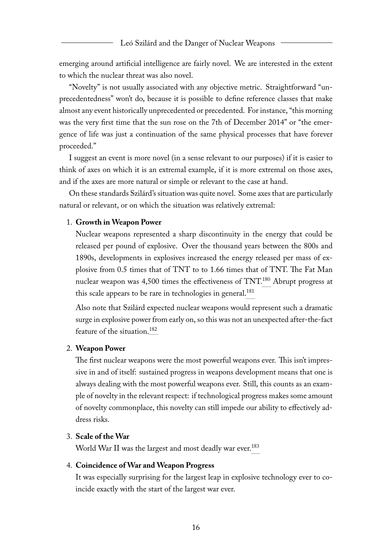emerging around artificial intelligence are fairly novel. We are interested in the extent to which the nuclear threat was also novel.

"Novelty" is not usually associated with any objective metric. Straightforward "unprecedentedness" won't do, because it is possible to define reference classes that make almost any event historically unprecedented or precedented. For instance, "this morning was the very first time that the sun rose on the 7th of December 2014" or "the emergence of life was just a continuation of the same physical processes that have forever proceeded."

I suggest an event is more novel (in a sense relevant to our purposes) if it is easier to think of axes on which it is an extremal example, if it is more extremal on those axes, and if the axes are more natural or simple or relevant to the case at hand.

On these standards Szilárd's situation was quite novel. Some axes that are particularly natural or relevant, or on which the situation was relatively extremal:

### 1. **Growth in Weapon Power**

Nuclear weapons represented a sharp discontinuity in the energy that could be released per pound of explosive. Over the thousand years between the 800s and 1890s, developments in explosives increased the energy released per mass of explosive from 0.5 times that of TNT to to 1.66 times that of TNT. The Fat Man nuclear weapon was 4,500 times the effectiveness of TNT.<sup>[180](#page-58-5)</sup> Abrupt progress at this scale appears to be rare in technologies in general.<sup>[181](#page-58-6)</sup>

Also note that Szilárd expected nuclear weapons would represent such a dramatic surge in explosive power from early on, so this was not an unexpected after-the-fact feature of the situation.[182](#page-58-7)

### 2. **Weapon Power**

The first nuclear weapons were the most powerful weapons ever. This isn't impressive in and of itself: sustained progress in weapons development means that one is always dealing with the most powerful weapons ever. Still, this counts as an example of novelty in the relevant respect: if technological progress makes some amount of novelty commonplace, this novelty can still impede our ability to effectively address risks.

### 3. **Scale of the War**

World War II was the largest and most deadly war ever.<sup>[183](#page-58-8)</sup>

### 4. **Coincidence of War and Weapon Progress**

It was especially surprising for the largest leap in explosive technology ever to coincide exactly with the start of the largest war ever.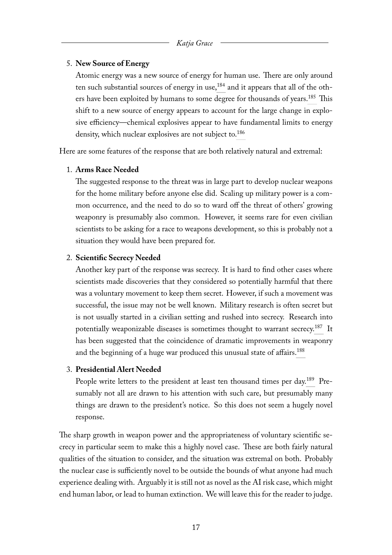### 5. **New Source of Energy**

Atomic energy was a new source of energy for human use. There are only around ten such substantial sources of energy in use,<sup>[184](#page-59-0)</sup> and it appears that all of the oth-ers have been exploited by humans to some degree for thousands of years.<sup>[185](#page-59-1)</sup> This shift to a new source of energy appears to account for the large change in explosive efficiency—chemical explosives appear to have fundamental limits to energy density, which nuclear explosives are not subject to.<sup>[186](#page-59-2)</sup>

Here are some features of the response that are both relatively natural and extremal:

### 1. **Arms Race Needed**

The suggested response to the threat was in large part to develop nuclear weapons for the home military before anyone else did. Scaling up military power is a common occurrence, and the need to do so to ward off the threat of others' growing weaponry is presumably also common. However, it seems rare for even civilian scientists to be asking for a race to weapons development, so this is probably not a situation they would have been prepared for.

### 2. **Scientific Secrecy Needed**

Another key part of the response was secrecy. It is hard to find other cases where scientists made discoveries that they considered so potentially harmful that there was a voluntary movement to keep them secret. However, if such a movement was successful, the issue may not be well known. Military research is often secret but is not usually started in a civilian setting and rushed into secrecy. Research into potentially weaponizable diseases is sometimes thought to warrant secrecy.<sup>[187](#page-59-3)</sup> It has been suggested that the coincidence of dramatic improvements in weaponry and the beginning of a huge war produced this unusual state of affairs.<sup>[188](#page-59-4)</sup>

### 3. **Presidential Alert Needed**

People write letters to the president at least ten thousand times per day.<sup>[189](#page-59-5)</sup> Presumably not all are drawn to his attention with such care, but presumably many things are drawn to the president's notice. So this does not seem a hugely novel response.

The sharp growth in weapon power and the appropriateness of voluntary scientific secrecy in particular seem to make this a highly novel case. These are both fairly natural qualities of the situation to consider, and the situation was extremal on both. Probably the nuclear case is sufficiently novel to be outside the bounds of what anyone had much experience dealing with. Arguably it is still not as novel as the AI risk case, which might end human labor, or lead to human extinction. We will leave this for the reader to judge.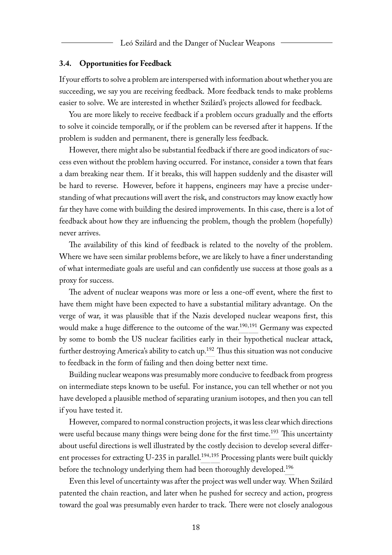### <span id="page-18-0"></span>**3.4. Opportunities for Feedback**

If your efforts to solve a problem are interspersed with information about whether you are succeeding, we say you are receiving feedback. More feedback tends to make problems easier to solve. We are interested in whether Szilárd's projects allowed for feedback.

You are more likely to receive feedback if a problem occurs gradually and the efforts to solve it coincide temporally, or if the problem can be reversed after it happens. If the problem is sudden and permanent, there is generally less feedback.

However, there might also be substantial feedback if there are good indicators of success even without the problem having occurred. For instance, consider a town that fears a dam breaking near them. If it breaks, this will happen suddenly and the disaster will be hard to reverse. However, before it happens, engineers may have a precise understanding of what precautions will avert the risk, and constructors may know exactly how far they have come with building the desired improvements. In this case, there is a lot of feedback about how they are influencing the problem, though the problem (hopefully) never arrives.

The availability of this kind of feedback is related to the novelty of the problem. Where we have seen similar problems before, we are likely to have a finer understanding of what intermediate goals are useful and can confidently use success at those goals as a proxy for success.

The advent of nuclear weapons was more or less a one-off event, where the first to have them might have been expected to have a substantial military advantage. On the verge of war, it was plausible that if the Nazis developed nuclear weapons first, this would make a huge difference to the outcome of the war.<sup>[190,](#page-60-0)[191](#page-60-1)</sup> Germany was expected by some to bomb the US nuclear facilities early in their hypothetical nuclear attack, further destroying America's ability to catch up.<sup>[192](#page-60-2)</sup> Thus this situation was not conducive to feedback in the form of failing and then doing better next time.

Building nuclear weapons was presumably more conducive to feedback from progress on intermediate steps known to be useful. For instance, you can tell whether or not you have developed a plausible method of separating uranium isotopes, and then you can tell if you have tested it.

However, compared to normal construction projects, it was less clear which directions were useful because many things were being done for the first time.<sup>[193](#page-60-3)</sup> This uncertainty about useful directions is well illustrated by the costly decision to develop several differ-ent processes for extracting U-235 in parallel.<sup>[194,](#page-60-4)[195](#page-61-0)</sup> Processing plants were built quickly before the technology underlying them had been thoroughly developed.<sup>[196](#page-61-1)</sup>

Even this level of uncertainty was after the project was well under way. When Szilárd patented the chain reaction, and later when he pushed for secrecy and action, progress toward the goal was presumably even harder to track. There were not closely analogous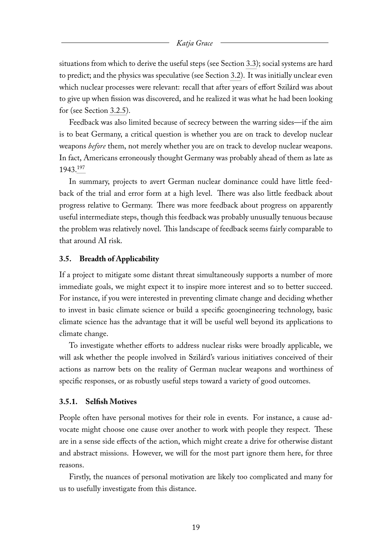situations from which to derive the useful steps (see Section [3.3\)](#page-15-1); social systems are hard to predict; and the physics was speculative (see Section [3.2\)](#page-10-1). It was initially unclear even which nuclear processes were relevant: recall that after years of effort Szilárd was about to give up when fission was discovered, and he realized it was what he had been looking for (see Section [3.2.5\)](#page-12-1).

Feedback was also limited because of secrecy between the warring sides—if the aim is to beat Germany, a critical question is whether you are on track to develop nuclear weapons *before* them, not merely whether you are on track to develop nuclear weapons. In fact, Americans erroneously thought Germany was probably ahead of them as late as 1943.[197](#page-61-2)

In summary, projects to avert German nuclear dominance could have little feedback of the trial and error form at a high level. There was also little feedback about progress relative to Germany. There was more feedback about progress on apparently useful intermediate steps, though this feedback was probably unusually tenuous because the problem was relatively novel. This landscape of feedback seems fairly comparable to that around AI risk.

### <span id="page-19-0"></span>**3.5. Breadth of Applicability**

If a project to mitigate some distant threat simultaneously supports a number of more immediate goals, we might expect it to inspire more interest and so to better succeed. For instance, if you were interested in preventing climate change and deciding whether to invest in basic climate science or build a specific geoengineering technology, basic climate science has the advantage that it will be useful well beyond its applications to climate change.

To investigate whether efforts to address nuclear risks were broadly applicable, we will ask whether the people involved in Szilárd's various initiatives conceived of their actions as narrow bets on the reality of German nuclear weapons and worthiness of specific responses, or as robustly useful steps toward a variety of good outcomes.

### <span id="page-19-1"></span>**3.5.1. Selfish Motives**

People often have personal motives for their role in events. For instance, a cause advocate might choose one cause over another to work with people they respect. These are in a sense side effects of the action, which might create a drive for otherwise distant and abstract missions. However, we will for the most part ignore them here, for three reasons.

Firstly, the nuances of personal motivation are likely too complicated and many for us to usefully investigate from this distance.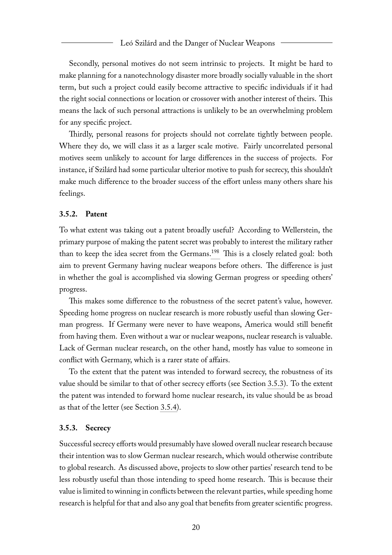Secondly, personal motives do not seem intrinsic to projects. It might be hard to make planning for a nanotechnology disaster more broadly socially valuable in the short term, but such a project could easily become attractive to specific individuals if it had the right social connections or location or crossover with another interest of theirs. This means the lack of such personal attractions is unlikely to be an overwhelming problem for any specific project.

Thirdly, personal reasons for projects should not correlate tightly between people. Where they do, we will class it as a larger scale motive. Fairly uncorrelated personal motives seem unlikely to account for large differences in the success of projects. For instance, if Szilárd had some particular ulterior motive to push for secrecy, this shouldn't make much difference to the broader success of the effort unless many others share his feelings.

### <span id="page-20-0"></span>**3.5.2. Patent**

To what extent was taking out a patent broadly useful? According to Wellerstein, the primary purpose of making the patent secret was probably to interest the military rather than to keep the idea secret from the Germans.<sup>[198](#page-61-3)</sup> This is a closely related goal: both aim to prevent Germany having nuclear weapons before others. The difference is just in whether the goal is accomplished via slowing German progress or speeding others' progress.

This makes some difference to the robustness of the secret patent's value, however. Speeding home progress on nuclear research is more robustly useful than slowing German progress. If Germany were never to have weapons, America would still benefit from having them. Even without a war or nuclear weapons, nuclear research is valuable. Lack of German nuclear research, on the other hand, mostly has value to someone in conflict with Germany, which is a rarer state of affairs.

To the extent that the patent was intended to forward secrecy, the robustness of its value should be similar to that of other secrecy efforts (see Section [3.5.3\)](#page-20-1). To the extent the patent was intended to forward home nuclear research, its value should be as broad as that of the letter (see Section [3.5.4\)](#page-21-0).

### <span id="page-20-1"></span>**3.5.3. Secrecy**

Successful secrecy efforts would presumably have slowed overall nuclear research because their intention was to slow German nuclear research, which would otherwise contribute to global research. As discussed above, projects to slow other parties' research tend to be less robustly useful than those intending to speed home research. This is because their value is limited to winning in conflicts between the relevant parties, while speeding home research is helpful for that and also any goal that benefits from greater scientific progress.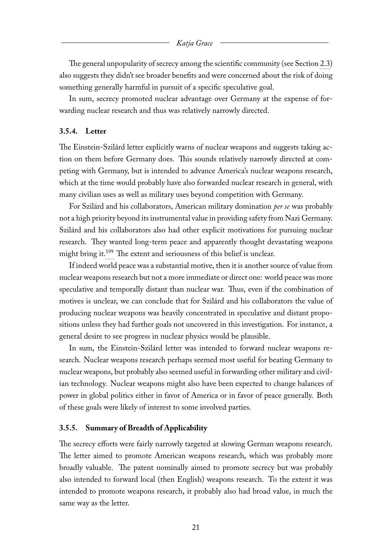The general unpopularity of secrecy among the scientific community (see Section [2.3\)](#page-5-0) also suggests they didn't see broader benefits and were concerned about the risk of doing something generally harmful in pursuit of a specific speculative goal.

In sum, secrecy promoted nuclear advantage over Germany at the expense of forwarding nuclear research and thus was relatively narrowly directed.

### <span id="page-21-0"></span>**3.5.4. Letter**

The Einstein-Szilárd letter explicitly warns of nuclear weapons and suggests taking action on them before Germany does. This sounds relatively narrowly directed at competing with Germany, but is intended to advance America's nuclear weapons research, which at the time would probably have also forwarded nuclear research in general, with many civilian uses as well as military uses beyond competition with Germany.

For Szilárd and his collaborators, American military domination *per se* was probably not a high priority beyond its instrumental value in providing safety from Nazi Germany. Szilárd and his collaborators also had other explicit motivations for pursuing nuclear research. They wanted long-term peace and apparently thought devastating weapons might bring it.<sup>[199](#page-61-4)</sup> The extent and seriousness of this belief is unclear.

If indeed world peace was a substantial motive, then it is another source of value from nuclear weapons research but not a more immediate or direct one: world peace was more speculative and temporally distant than nuclear war. Thus, even if the combination of motives is unclear, we can conclude that for Szilárd and his collaborators the value of producing nuclear weapons was heavily concentrated in speculative and distant propositions unless they had further goals not uncovered in this investigation. For instance, a general desire to see progress in nuclear physics would be plausible.

In sum, the Einstein-Szilárd letter was intended to forward nuclear weapons research. Nuclear weapons research perhaps seemed most useful for beating Germany to nuclear weapons, but probably also seemed useful in forwarding other military and civilian technology. Nuclear weapons might also have been expected to change balances of power in global politics either in favor of America or in favor of peace generally. Both of these goals were likely of interest to some involved parties.

### <span id="page-21-1"></span>**3.5.5. Summary of Breadth of Applicability**

The secrecy efforts were fairly narrowly targeted at slowing German weapons research. The letter aimed to promote American weapons research, which was probably more broadly valuable. The patent nominally aimed to promote secrecy but was probably also intended to forward local (then English) weapons research. To the extent it was intended to promote weapons research, it probably also had broad value, in much the same way as the letter.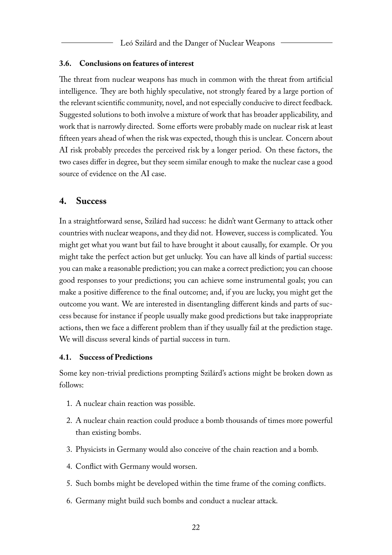### <span id="page-22-0"></span>**3.6. Conclusions on features of interest**

The threat from nuclear weapons has much in common with the threat from artificial intelligence. They are both highly speculative, not strongly feared by a large portion of the relevant scientific community, novel, and not especially conducive to direct feedback. Suggested solutions to both involve a mixture of work that has broader applicability, and work that is narrowly directed. Some efforts were probably made on nuclear risk at least fifteen years ahead of when the risk was expected, though this is unclear. Concern about AI risk probably precedes the perceived risk by a longer period. On these factors, the two cases differ in degree, but they seem similar enough to make the nuclear case a good source of evidence on the AI case.

### <span id="page-22-1"></span>**4. Success**

In a straightforward sense, Szilárd had success: he didn't want Germany to attack other countries with nuclear weapons, and they did not. However, success is complicated. You might get what you want but fail to have brought it about causally, for example. Or you might take the perfect action but get unlucky. You can have all kinds of partial success: you can make a reasonable prediction; you can make a correct prediction; you can choose good responses to your predictions; you can achieve some instrumental goals; you can make a positive difference to the final outcome; and, if you are lucky, you might get the outcome you want. We are interested in disentangling different kinds and parts of success because for instance if people usually make good predictions but take inappropriate actions, then we face a different problem than if they usually fail at the prediction stage. We will discuss several kinds of partial success in turn.

### <span id="page-22-2"></span>**4.1. Success of Predictions**

Some key non-trivial predictions prompting Szilárd's actions might be broken down as follows:

- 1. A nuclear chain reaction was possible.
- 2. A nuclear chain reaction could produce a bomb thousands of times more powerful than existing bombs.
- 3. Physicists in Germany would also conceive of the chain reaction and a bomb.
- 4. Conflict with Germany would worsen.
- 5. Such bombs might be developed within the time frame of the coming conflicts.
- 6. Germany might build such bombs and conduct a nuclear attack.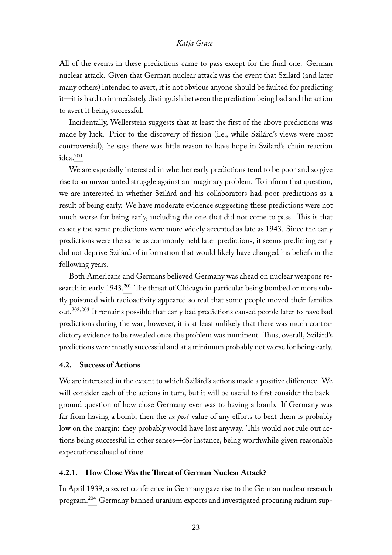All of the events in these predictions came to pass except for the final one: German nuclear attack. Given that German nuclear attack was the event that Szilárd (and later many others) intended to avert, it is not obvious anyone should be faulted for predicting it—it is hard to immediately distinguish between the prediction being bad and the action to avert it being successful.

Incidentally, Wellerstein suggests that at least the first of the above predictions was made by luck. Prior to the discovery of fission (i.e., while Szilárd's views were most controversial), he says there was little reason to have hope in Szilárd's chain reaction idea.[200](#page-61-5)

We are especially interested in whether early predictions tend to be poor and so give rise to an unwarranted struggle against an imaginary problem. To inform that question, we are interested in whether Szilárd and his collaborators had poor predictions as a result of being early. We have moderate evidence suggesting these predictions were not much worse for being early, including the one that did not come to pass. This is that exactly the same predictions were more widely accepted as late as 1943. Since the early predictions were the same as commonly held later predictions, it seems predicting early did not deprive Szilárd of information that would likely have changed his beliefs in the following years.

Both Americans and Germans believed Germany was ahead on nuclear weapons re-search in early 1943.<sup>[201](#page-61-6)</sup> The threat of Chicago in particular being bombed or more subtly poisoned with radioactivity appeared so real that some people moved their families out.[202,](#page-62-0)[203](#page-62-1) It remains possible that early bad predictions caused people later to have bad predictions during the war; however, it is at least unlikely that there was much contradictory evidence to be revealed once the problem was imminent. Thus, overall, Szilárd's predictions were mostly successful and at a minimum probably not worse for being early.

### <span id="page-23-0"></span>**4.2. Success of Actions**

We are interested in the extent to which Szilárd's actions made a positive difference. We will consider each of the actions in turn, but it will be useful to first consider the background question of how close Germany ever was to having a bomb. If Germany was far from having a bomb, then the *ex post* value of any efforts to beat them is probably low on the margin: they probably would have lost anyway. This would not rule out actions being successful in other senses—for instance, being worthwhile given reasonable expectations ahead of time.

### <span id="page-23-1"></span>**4.2.1. How Close Was the Threat of German Nuclear Attack?**

In April 1939, a secret conference in Germany gave rise to the German nuclear research program.[204](#page-62-2) Germany banned uranium exports and investigated procuring radium sup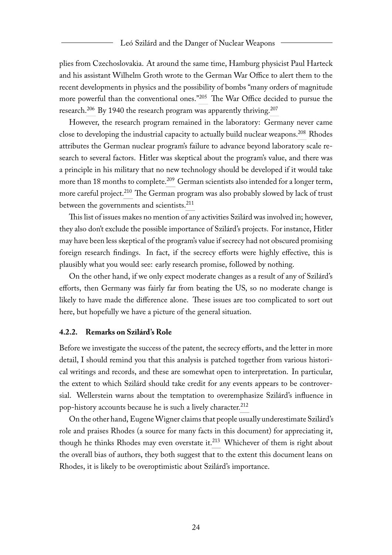plies from Czechoslovakia. At around the same time, Hamburg physicist Paul Harteck and his assistant Wilhelm Groth wrote to the German War Office to alert them to the recent developments in physics and the possibility of bombs "many orders of magnitude more powerful than the conventional ones."[205](#page-62-3) The War Office decided to pursue the research.<sup>[206](#page-62-4)</sup> By 1940 the research program was apparently thriving.<sup>[207](#page-62-5)</sup>

However, the research program remained in the laboratory: Germany never came close to developing the industrial capacity to actually build nuclear weapons.<sup>[208](#page-62-6)</sup> Rhodes attributes the German nuclear program's failure to advance beyond laboratory scale research to several factors. Hitler was skeptical about the program's value, and there was a principle in his military that no new technology should be developed if it would take more than 18 months to complete.<sup>[209](#page-63-0)</sup> German scientists also intended for a longer term, more careful project.<sup>[210](#page-63-1)</sup> The German program was also probably slowed by lack of trust between the governments and scientists.<sup>[211](#page-63-2)</sup>

This list of issues makes no mention of any activities Szilárd was involved in; however, they also don't exclude the possible importance of Szilárd's projects. For instance, Hitler may have been less skeptical of the program's value if secrecy had not obscured promising foreign research findings. In fact, if the secrecy efforts were highly effective, this is plausibly what you would see: early research promise, followed by nothing.

On the other hand, if we only expect moderate changes as a result of any of Szilárd's efforts, then Germany was fairly far from beating the US, so no moderate change is likely to have made the difference alone. These issues are too complicated to sort out here, but hopefully we have a picture of the general situation.

### <span id="page-24-0"></span>**4.2.2. Remarks on Szilárd's Role**

Before we investigate the success of the patent, the secrecy efforts, and the letter in more detail, I should remind you that this analysis is patched together from various historical writings and records, and these are somewhat open to interpretation. In particular, the extent to which Szilárd should take credit for any events appears to be controversial. Wellerstein warns about the temptation to overemphasize Szilárd's influence in pop-history accounts because he is such a lively character.<sup>[212](#page-63-3)</sup>

On the other hand, EugeneWigner claims that people usually underestimate Szilárd's role and praises Rhodes (a source for many facts in this document) for appreciating it, though he thinks Rhodes may even overstate it. $^{213}$  $^{213}$  $^{213}$  Whichever of them is right about the overall bias of authors, they both suggest that to the extent this document leans on Rhodes, it is likely to be overoptimistic about Szilárd's importance.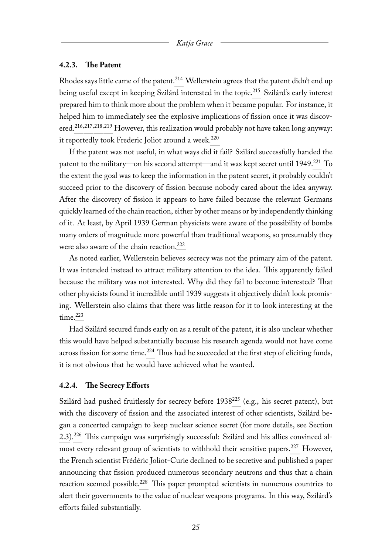### <span id="page-25-0"></span>**4.2.3. The Patent**

Rhodes says little came of the patent.<sup>[214](#page-64-1)</sup> Wellerstein agrees that the patent didn't end up being useful except in keeping Szilárd interested in the topic.<sup>[215](#page-64-2)</sup> Szilárd's early interest prepared him to think more about the problem when it became popular. For instance, it helped him to immediately see the explosive implications of fission once it was discovered.[216,](#page-64-3)[217,](#page-64-4)[218,](#page-64-5)[219](#page-65-0) However, this realization would probably not have taken long anyway: it reportedly took Frederic Joliot around a week.<sup>[220](#page-65-1)</sup>

If the patent was not useful, in what ways did it fail? Szilárd successfully handed the patent to the military—on his second attempt—and it was kept secret until 1949.[221](#page-65-2) To the extent the goal was to keep the information in the patent secret, it probably couldn't succeed prior to the discovery of fission because nobody cared about the idea anyway. After the discovery of fission it appears to have failed because the relevant Germans quickly learned of the chain reaction, either by other means or by independently thinking of it. At least, by April 1939 German physicists were aware of the possibility of bombs many orders of magnitude more powerful than traditional weapons, so presumably they were also aware of the chain reaction.<sup>[222](#page-65-3)</sup>

As noted earlier, Wellerstein believes secrecy was not the primary aim of the patent. It was intended instead to attract military attention to the idea. This apparently failed because the military was not interested. Why did they fail to become interested? That other physicists found it incredible until 1939 suggests it objectively didn't look promising. Wellerstein also claims that there was little reason for it to look interesting at the time. $223$ 

Had Szilárd secured funds early on as a result of the patent, it is also unclear whether this would have helped substantially because his research agenda would not have come across fission for some time.<sup>[224](#page-65-5)</sup> Thus had he succeeded at the first step of eliciting funds, it is not obvious that he would have achieved what he wanted.

### <span id="page-25-1"></span>**4.2.4. The Secrecy Efforts**

Szilárd had pushed fruitlessly for secrecy before 1938<sup>[225](#page-65-6)</sup> (e.g., his secret patent), but with the discovery of fission and the associated interest of other scientists, Szilárd began a concerted campaign to keep nuclear science secret (for more details, see Section [2.3\)](#page-5-0).[226](#page-66-0) This campaign was surprisingly successful: Szilárd and his allies convinced almost every relevant group of scientists to withhold their sensitive papers.[227](#page-66-1) However, the French scientist Frédéric Joliot-Curie declined to be secretive and published a paper announcing that fission produced numerous secondary neutrons and thus that a chain reaction seemed possible.<sup>[228](#page-66-2)</sup> This paper prompted scientists in numerous countries to alert their governments to the value of nuclear weapons programs. In this way, Szilárd's efforts failed substantially.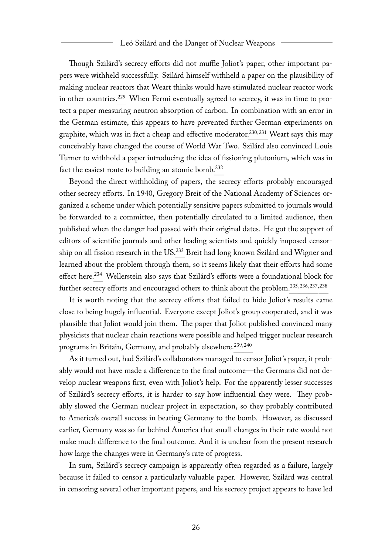Though Szilárd's secrecy efforts did not muffle Joliot's paper, other important papers were withheld successfully. Szilárd himself withheld a paper on the plausibility of making nuclear reactors that Weart thinks would have stimulated nuclear reactor work in other countries.[229](#page-66-3) When Fermi eventually agreed to secrecy, it was in time to protect a paper measuring neutron absorption of carbon. In combination with an error in the German estimate, this appears to have prevented further German experiments on graphite, which was in fact a cheap and effective moderator.<sup>[230,](#page-66-4)[231](#page-66-5)</sup> Weart says this may conceivably have changed the course of World War Two. Szilárd also convinced Louis Turner to withhold a paper introducing the idea of fissioning plutonium, which was in fact the easiest route to building an atomic bomb.<sup>[232](#page-66-6)</sup>

Beyond the direct withholding of papers, the secrecy efforts probably encouraged other secrecy efforts. In 1940, Gregory Breit of the National Academy of Sciences organized a scheme under which potentially sensitive papers submitted to journals would be forwarded to a committee, then potentially circulated to a limited audience, then published when the danger had passed with their original dates. He got the support of editors of scientific journals and other leading scientists and quickly imposed censorship on all fission research in the US.[233](#page-67-0) Breit had long known Szilárd and Wigner and learned about the problem through them, so it seems likely that their efforts had some effect here.<sup>[234](#page-67-1)</sup> Wellerstein also says that Szilárd's efforts were a foundational block for further secrecy efforts and encouraged others to think about the problem.<sup>[235,](#page-67-2)[236,](#page-67-3)[237,](#page-67-4)[238](#page-67-5)</sup>

It is worth noting that the secrecy efforts that failed to hide Joliot's results came close to being hugely influential. Everyone except Joliot's group cooperated, and it was plausible that Joliot would join them. The paper that Joliot published convinced many physicists that nuclear chain reactions were possible and helped trigger nuclear research programs in Britain, Germany, and probably elsewhere.<sup>[239,](#page-67-6)[240](#page-67-7)</sup>

As it turned out, had Szilárd's collaborators managed to censor Joliot's paper, it probably would not have made a difference to the final outcome—the Germans did not develop nuclear weapons first, even with Joliot's help. For the apparently lesser successes of Szilárd's secrecy efforts, it is harder to say how influential they were. They probably slowed the German nuclear project in expectation, so they probably contributed to America's overall success in beating Germany to the bomb. However, as discussed earlier, Germany was so far behind America that small changes in their rate would not make much difference to the final outcome. And it is unclear from the present research how large the changes were in Germany's rate of progress.

In sum, Szilárd's secrecy campaign is apparently often regarded as a failure, largely because it failed to censor a particularly valuable paper. However, Szilárd was central in censoring several other important papers, and his secrecy project appears to have led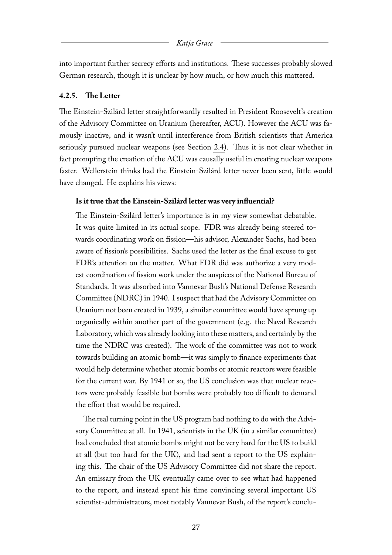into important further secrecy efforts and institutions. These successes probably slowed German research, though it is unclear by how much, or how much this mattered.

### <span id="page-27-0"></span>**4.2.5. The Letter**

The Einstein-Szilárd letter straightforwardly resulted in President Roosevelt's creation of the Advisory Committee on Uranium (hereafter, ACU). However the ACU was famously inactive, and it wasn't until interference from British scientists that America seriously pursued nuclear weapons (see Section [2.4\)](#page-6-0). Thus it is not clear whether in fact prompting the creation of the ACU was causally useful in creating nuclear weapons faster. Wellerstein thinks had the Einstein-Szilárd letter never been sent, little would have changed. He explains his views:

### **Is it true that the Einstein-Szilárd letter was very influential?**

The Einstein-Szilárd letter's importance is in my view somewhat debatable. It was quite limited in its actual scope. FDR was already being steered towards coordinating work on fission—his advisor, Alexander Sachs, had been aware of fission's possibilities. Sachs used the letter as the final excuse to get FDR's attention on the matter. What FDR did was authorize a very modest coordination of fission work under the auspices of the National Bureau of Standards. It was absorbed into Vannevar Bush's National Defense Research Committee (NDRC) in 1940. I suspect that had the Advisory Committee on Uranium not been created in 1939, a similar committee would have sprung up organically within another part of the government (e.g. the Naval Research Laboratory, which was already looking into these matters, and certainly by the time the NDRC was created). The work of the committee was not to work towards building an atomic bomb—it was simply to finance experiments that would help determine whether atomic bombs or atomic reactors were feasible for the current war. By 1941 or so, the US conclusion was that nuclear reactors were probably feasible but bombs were probably too difficult to demand the effort that would be required.

The real turning point in the US program had nothing to do with the Advisory Committee at all. In 1941, scientists in the UK (in a similar committee) had concluded that atomic bombs might not be very hard for the US to build at all (but too hard for the UK), and had sent a report to the US explaining this. The chair of the US Advisory Committee did not share the report. An emissary from the UK eventually came over to see what had happened to the report, and instead spent his time convincing several important US scientist-administrators, most notably Vannevar Bush, of the report's conclu-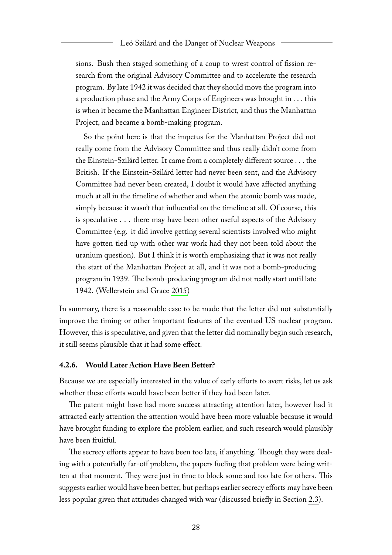sions. Bush then staged something of a coup to wrest control of fission research from the original Advisory Committee and to accelerate the research program. By late 1942 it was decided that they should move the program into a production phase and the Army Corps of Engineers was brought in . . . this is when it became the Manhattan Engineer District, and thus the Manhattan Project, and became a bomb-making program.

So the point here is that the impetus for the Manhattan Project did not really come from the Advisory Committee and thus really didn't come from the Einstein-Szilárd letter. It came from a completely different source . . . the British. If the Einstein-Szilárd letter had never been sent, and the Advisory Committee had never been created, I doubt it would have affected anything much at all in the timeline of whether and when the atomic bomb was made, simply because it wasn't that influential on the timeline at all. Of course, this is speculative . . . there may have been other useful aspects of the Advisory Committee (e.g. it did involve getting several scientists involved who might have gotten tied up with other war work had they not been told about the uranium question). But I think it is worth emphasizing that it was not really the start of the Manhattan Project at all, and it was not a bomb-producing program in 1939. The bomb-producing program did not really start until late 1942. (Wellerstein and Grace [2015\)](#page-71-0)

In summary, there is a reasonable case to be made that the letter did not substantially improve the timing or other important features of the eventual US nuclear program. However, this is speculative, and given that the letter did nominally begin such research, it still seems plausible that it had some effect.

### <span id="page-28-0"></span>**4.2.6. Would Later Action Have Been Better?**

Because we are especially interested in the value of early efforts to avert risks, let us ask whether these efforts would have been better if they had been later.

The patent might have had more success attracting attention later, however had it attracted early attention the attention would have been more valuable because it would have brought funding to explore the problem earlier, and such research would plausibly have been fruitful.

The secrecy efforts appear to have been too late, if anything. Though they were dealing with a potentially far-off problem, the papers fueling that problem were being written at that moment. They were just in time to block some and too late for others. This suggests earlier would have been better, but perhaps earlier secrecy efforts may have been less popular given that attitudes changed with war (discussed briefly in Section [2.3\)](#page-5-0).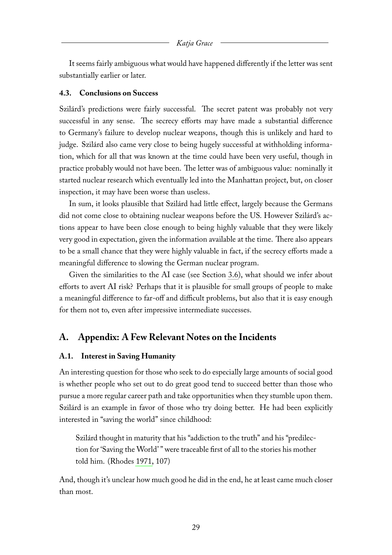It seems fairly ambiguous what would have happened differently if the letter was sent substantially earlier or later.

### <span id="page-29-0"></span>**4.3. Conclusions on Success**

Szilárd's predictions were fairly successful. The secret patent was probably not very successful in any sense. The secrecy efforts may have made a substantial difference to Germany's failure to develop nuclear weapons, though this is unlikely and hard to judge. Szilárd also came very close to being hugely successful at withholding information, which for all that was known at the time could have been very useful, though in practice probably would not have been. The letter was of ambiguous value: nominally it started nuclear research which eventually led into the Manhattan project, but, on closer inspection, it may have been worse than useless.

In sum, it looks plausible that Szilárd had little effect, largely because the Germans did not come close to obtaining nuclear weapons before the US. However Szilárd's actions appear to have been close enough to being highly valuable that they were likely very good in expectation, given the information available at the time. There also appears to be a small chance that they were highly valuable in fact, if the secrecy efforts made a meaningful difference to slowing the German nuclear program.

Given the similarities to the AI case (see Section [3.6\)](#page-22-0), what should we infer about efforts to avert AI risk? Perhaps that it is plausible for small groups of people to make a meaningful difference to far-off and difficult problems, but also that it is easy enough for them not to, even after impressive intermediate successes.

### <span id="page-29-1"></span>**A. Appendix: A Few Relevant Notes on the Incidents**

### <span id="page-29-2"></span>**A.1. Interest in Saving Humanity**

An interesting question for those who seek to do especially large amounts of social good is whether people who set out to do great good tend to succeed better than those who pursue a more regular career path and take opportunities when they stumble upon them. Szilárd is an example in favor of those who try doing better. He had been explicitly interested in "saving the world" since childhood:

Szilárd thought in maturity that his "addiction to the truth" and his "predilection for 'Saving the World' " were traceable first of all to the stories his mother told him. (Rhodes [1971,](#page-70-0) 107)

And, though it's unclear how much good he did in the end, he at least came much closer than most.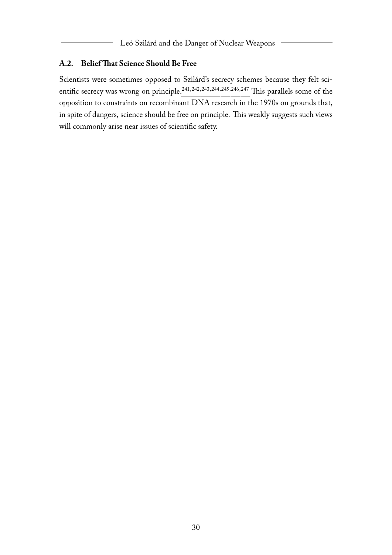### <span id="page-30-0"></span>**A.2. Belief That Science Should Be Free**

Scientists were sometimes opposed to Szilárd's secrecy schemes because they felt sci-entific secrecy was wrong on principle.<sup>[241,](#page-67-8)[242,](#page-68-0)[243,](#page-68-1)[244,](#page-68-2)[245,](#page-68-3)[246,](#page-68-4)[247](#page-68-5)</sup> This parallels some of the opposition to constraints on recombinant DNA research in the 1970s on grounds that, in spite of dangers, science should be free on principle. This weakly suggests such views will commonly arise near issues of scientific safety.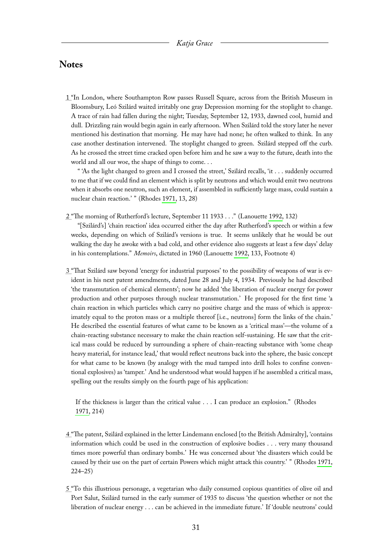### <span id="page-31-0"></span>**Notes**

<span id="page-31-1"></span>[1 "](#page-4-3)In London, where Southampton Row passes Russell Square, across from the British Museum in Bloomsbury, Leó Szilárd waited irritably one gray Depression morning for the stoplight to change. A trace of rain had fallen during the night; Tuesday, September 12, 1933, dawned cool, humid and dull. Drizzling rain would begin again in early afternoon. When Szilárd told the story later he never mentioned his destination that morning. He may have had none; he often walked to think. In any case another destination intervened. The stoplight changed to green. Szilárd stepped off the curb. As he crossed the street time cracked open before him and he saw a way to the future, death into the world and all our woe, the shape of things to come. . .

" 'As the light changed to green and I crossed the street,' Szilárd recalls, 'it . . . suddenly occurred to me that if we could find an element which is split by neutrons and which would emit two neutrons when it absorbs one neutron, such an element, if assembled in sufficiently large mass, could sustain a nuclear chain reaction.' " (Rhodes [1971,](#page-70-0) 13, 28)

<span id="page-31-2"></span>[2 "](#page-4-4)The morning of Rutherford's lecture, September 11 1933 . . ." (Lanouette [1992,](#page-70-1) 132)

"[Szilárd's] 'chain reaction' idea occurred either the day after Rutherford's speech or within a few weeks, depending on which of Szilárd's versions is true. It seems unlikely that he would be out walking the day he awoke with a bad cold, and other evidence also suggests at least a few days' delay in his contemplations." *Memoirs*, dictated in 1960 (Lanouette [1992,](#page-70-1) 133, Footnote 4)

<span id="page-31-3"></span>[3 "](#page-4-5)That Szilárd saw beyond 'energy for industrial purposes' to the possibility of weapons of war is evident in his next patent amendments, dated June 28 and July 4, 1934. Previously he had described 'the transmutation of chemical elements'; now he added 'the liberation of nuclear energy for power production and other purposes through nuclear transmutation.' He proposed for the first time 'a chain reaction in which particles which carry no positive charge and the mass of which is approximately equal to the proton mass or a multiple thereof [i.e., neutrons] form the links of the chain.' He described the essential features of what came to be known as a 'critical mass'—the volume of a chain-reacting substance necessary to make the chain reaction self-sustaining. He saw that the critical mass could be reduced by surrounding a sphere of chain-reacting substance with 'some cheap heavy material, for instance lead,' that would reflect neutrons back into the sphere, the basic concept for what came to be known (by analogy with the mud tamped into drill holes to confine conventional explosives) as 'tamper.' And he understood what would happen if he assembled a critical mass, spelling out the results simply on the fourth page of his application:

If the thickness is larger than the critical value . . . I can produce an explosion." (Rhodes [1971,](#page-70-0) 214)

- <span id="page-31-4"></span>[4 "](#page-4-6)The patent, Szilárd explained in the letter Lindemann enclosed [to the British Admiralty], 'contains information which could be used in the construction of explosive bodies . . . very many thousand times more powerful than ordinary bombs.' He was concerned about 'the disasters which could be caused by their use on the part of certain Powers which might attack this country.' " (Rhodes [1971,](#page-70-0) 224–25)
- <span id="page-31-5"></span>[5 "](#page-4-7)To this illustrious personage, a vegetarian who daily consumed copious quantities of olive oil and Port Salut, Szilárd turned in the early summer of 1935 to discuss 'the question whether or not the liberation of nuclear energy . . . can be achieved in the immediate future.' If 'double neutrons' could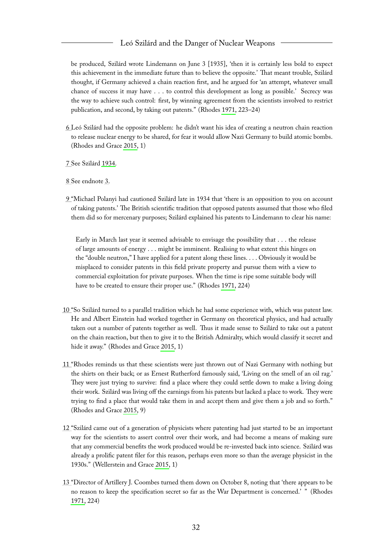### Leó Szilárd and the Danger of Nuclear Weapons

be produced, Szilárd wrote Lindemann on June 3 [1935], 'then it is certainly less bold to expect this achievement in the immediate future than to believe the opposite.' That meant trouble, Szilárd thought, if Germany achieved a chain reaction first, and he argued for 'an attempt, whatever small chance of success it may have . . . to control this development as long as possible.' Secrecy was the way to achieve such control: first, by winning agreement from the scientists involved to restrict publication, and second, by taking out patents." (Rhodes [1971,](#page-70-0) 223–24)

- <span id="page-32-0"></span>[6 L](#page-4-8)eó Szilárd had the opposite problem: he didn't want his idea of creating a neutron chain reaction to release nuclear energy to be shared, for fear it would allow Nazi Germany to build atomic bombs. (Rhodes and Grace [2015,](#page-70-2) 1)
- <span id="page-32-1"></span>[7 S](#page-4-9)ee Szilárd [1934.](#page-70-3)
- <span id="page-32-2"></span>[8 S](#page-4-10)ee endnote [3.](#page-31-3)
- <span id="page-32-3"></span>[9 "](#page-4-11)Michael Polanyi had cautioned Szilárd late in 1934 that 'there is an opposition to you on account of taking patents.' The British scientific tradition that opposed patents assumed that those who filed them did so for mercenary purposes; Szilárd explained his patents to Lindemann to clear his name:

Early in March last year it seemed advisable to envisage the possibility that . . . the release of large amounts of energy . . . might be imminent. Realising to what extent this hinges on the "double neutron," I have applied for a patent along these lines. . . . Obviously it would be misplaced to consider patents in this field private property and pursue them with a view to commercial exploitation for private purposes. When the time is ripe some suitable body will have to be created to ensure their proper use." (Rhodes [1971,](#page-70-0) 224)

- <span id="page-32-4"></span>[10 "](#page-5-1)So Szilárd turned to a parallel tradition which he had some experience with, which was patent law. He and Albert Einstein had worked together in Germany on theoretical physics, and had actually taken out a number of patents together as well. Thus it made sense to Szilárd to take out a patent on the chain reaction, but then to give it to the British Admiralty, which would classify it secret and hide it away." (Rhodes and Grace [2015,](#page-70-2) 1)
- <span id="page-32-5"></span>[11 "](#page-5-2)Rhodes reminds us that these scientists were just thrown out of Nazi Germany with nothing but the shirts on their back; or as Ernest Rutherford famously said, 'Living on the smell of an oil rag.' They were just trying to survive: find a place where they could settle down to make a living doing their work. Szilárd was living off the earnings from his patents but lacked a place to work. They were trying to find a place that would take them in and accept them and give them a job and so forth." (Rhodes and Grace [2015,](#page-70-2) 9)
- <span id="page-32-6"></span>[12 "](#page-5-3)Szilárd came out of a generation of physicists where patenting had just started to be an important way for the scientists to assert control over their work, and had become a means of making sure that any commercial benefits the work produced would be re-invested back into science. Szilárd was already a prolific patent filer for this reason, perhaps even more so than the average physicist in the 1930s." (Wellerstein and Grace [2015,](#page-71-0) 1)
- <span id="page-32-7"></span>[13 "](#page-5-4)Director of Artillery J. Coombes turned them down on October 8, noting that 'there appears to be no reason to keep the specification secret so far as the War Department is concerned.' " (Rhodes [1971,](#page-70-0) 224)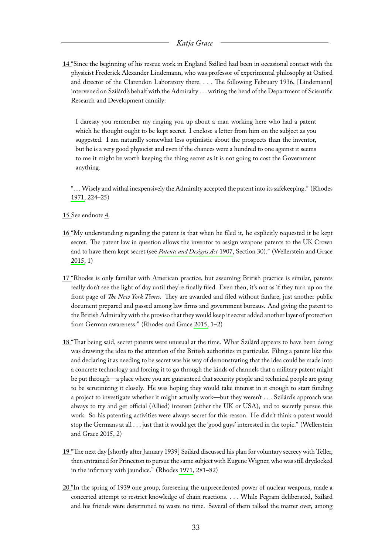<span id="page-33-0"></span>[14 "](#page-5-5)Since the beginning of his rescue work in England Szilárd had been in occasional contact with the physicist Frederick Alexander Lindemann, who was professor of experimental philosophy at Oxford and director of the Clarendon Laboratory there. . . . The following February 1936, [Lindemann] intervened on Szilárd's behalf with the Admiralty . . . writing the head of the Department of Scientific Research and Development cannily:

I daresay you remember my ringing you up about a man working here who had a patent which he thought ought to be kept secret. I enclose a letter from him on the subject as you suggested. I am naturally somewhat less optimistic about the prospects than the inventor, but he is a very good physicist and even if the chances were a hundred to one against it seems to me it might be worth keeping the thing secret as it is not going to cost the Government anything.

". . .Wisely and withal inexpensively the Admiralty accepted the patent into its safekeeping." (Rhodes [1971,](#page-70-0) 224–25)

- <span id="page-33-1"></span>[15 S](#page-5-6)ee endnote [4.](#page-31-4)
- <span id="page-33-2"></span>[16 "](#page-5-7)My understanding regarding the patent is that when he filed it, he explicitly requested it be kept secret. The patent law in question allows the inventor to assign weapons patents to the UK Crown and to have them kept secret (see *[Patents and Designs Act](#page-70-4)* [1907,](#page-70-4) Section 30)." (Wellerstein and Grace [2015,](#page-71-0) 1)
- <span id="page-33-3"></span>[17 "](#page-5-8)Rhodes is only familiar with American practice, but assuming British practice is similar, patents really don't see the light of day until they're finally filed. Even then, it's not as if they turn up on the front page of *The New York Times*. They are awarded and filed without fanfare, just another public document prepared and passed among law firms and government bureaus. And giving the patent to the British Admiralty with the proviso that they would keep it secret added another layer of protection from German awareness." (Rhodes and Grace [2015,](#page-70-2) 1–2)
- <span id="page-33-4"></span>[18 "](#page-5-9)That being said, secret patents were unusual at the time. What Szilárd appears to have been doing was drawing the idea to the attention of the British authorities in particular. Filing a patent like this and declaring it as needing to be secret was his way of demonstrating that the idea could be made into a concrete technology and forcing it to go through the kinds of channels that a military patent might be put through—a place where you are guaranteed that security people and technical people are going to be scrutinizing it closely. He was hoping they would take interest in it enough to start funding a project to investigate whether it might actually work—but they weren't . . . Szilárd's approach was always to try and get official (Allied) interest (either the UK or USA), and to secretly pursue this work. So his patenting activities were always secret for this reason. He didn't think a patent would stop the Germans at all . . . just that it would get the 'good guys' interested in the topic." (Wellerstein and Grace [2015,](#page-71-0) 2)
- <span id="page-33-5"></span>[19 "](#page-5-10)The next day [shortly after January 1939] Szilárd discussed his plan for voluntary secrecy with Teller, then entrained for Princeton to pursue the same subject with EugeneWigner, who was still drydocked in the infirmary with jaundice." (Rhodes [1971,](#page-70-0) 281–82)
- <span id="page-33-6"></span>[20 "](#page-5-11)In the spring of 1939 one group, foreseeing the unprecedented power of nuclear weapons, made a concerted attempt to restrict knowledge of chain reactions. . . . While Pegram deliberated, Szilárd and his friends were determined to waste no time. Several of them talked the matter over, among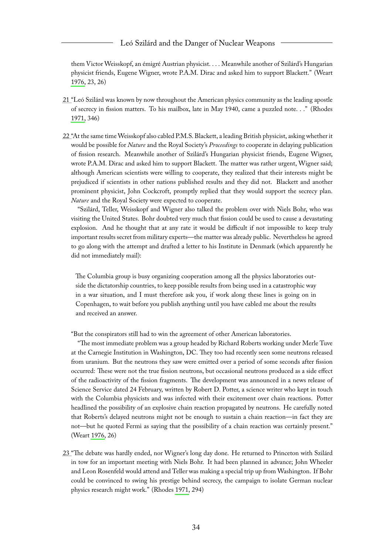### Leó Szilárd and the Danger of Nuclear Weapons

them Victor Weisskopf, an émigré Austrian physicist. . . . Meanwhile another of Szilárd's Hungarian physicist friends, Eugene Wigner, wrote P.A.M. Dirac and asked him to support Blackett." (Weart [1976,](#page-71-1) 23, 26)

- <span id="page-34-0"></span>[21 "](#page-5-12)Leó Szilárd was known by now throughout the American physics community as the leading apostle of secrecy in fission matters. To his mailbox, late in May 1940, came a puzzled note. . ." (Rhodes [1971,](#page-70-0) 346)
- <span id="page-34-1"></span>[22 "](#page-5-13)At the same time Weisskopf also cabled P.M.S. Blackett, a leading British physicist, asking whether it would be possible for *Nature* and the Royal Society's *Proceedings* to cooperate in delaying publication of fission research. Meanwhile another of Szilárd's Hungarian physicist friends, Eugene Wigner, wrote P.A.M. Dirac and asked him to support Blackett. The matter was rather urgent, Wigner said; although American scientists were willing to cooperate, they realized that their interests might be prejudiced if scientists in other nations published results and they did not. Blackett and another prominent physicist, John Cockcroft, promptly replied that they would support the secrecy plan. *Nature* and the Royal Society were expected to cooperate.

"Szilárd, Teller, Weisskopf and Wigner also talked the problem over with Niels Bohr, who was visiting the United States. Bohr doubted very much that fission could be used to cause a devastating explosion. And he thought that at any rate it would be difficult if not impossible to keep truly important results secret from military experts—the matter was already public. Nevertheless he agreed to go along with the attempt and drafted a letter to his Institute in Denmark (which apparently he did not immediately mail):

The Columbia group is busy organizing cooperation among all the physics laboratories outside the dictatorship countries, to keep possible results from being used in a catastrophic way in a war situation, and I must therefore ask you, if work along these lines is going on in Copenhagen, to wait before you publish anything until you have cabled me about the results and received an answer.

"But the conspirators still had to win the agreement of other American laboratories.

"The most immediate problem was a group headed by Richard Roberts working under Merle Tuve at the Carnegie Institution in Washington, DC. They too had recently seen some neutrons released from uranium. But the neutrons they saw were emitted over a period of some seconds after fission occurred: These were not the true fission neutrons, but occasional neutrons produced as a side effect of the radioactivity of the fission fragments. The development was announced in a news release of Science Service dated 24 February, written by Robert D. Potter, a science writer who kept in touch with the Columbia physicists and was infected with their excitement over chain reactions. Potter headlined the possibility of an explosive chain reaction propagated by neutrons. He carefully noted that Roberts's delayed neutrons might not be enough to sustain a chain reaction—in fact they are not—but he quoted Fermi as saying that the possibility of a chain reaction was certainly present." (Weart [1976,](#page-71-1) 26)

<span id="page-34-2"></span>[23 "](#page-5-14)The debate was hardly ended, nor Wigner's long day done. He returned to Princeton with Szilárd in tow for an important meeting with Niels Bohr. It had been planned in advance; John Wheeler and Leon Rosenfeld would attend and Teller was making a special trip up from Washington. If Bohr could be convinced to swing his prestige behind secrecy, the campaign to isolate German nuclear physics research might work." (Rhodes [1971,](#page-70-0) 294)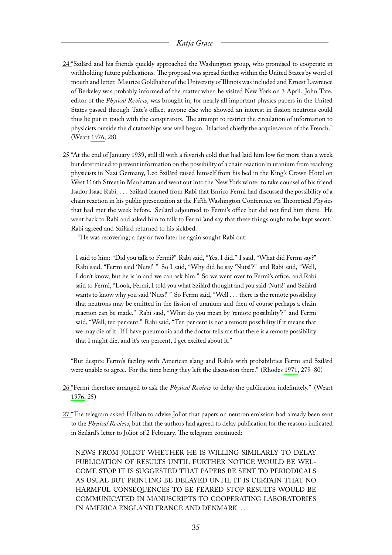- <span id="page-35-0"></span>[24 "](#page-5-15)Szilárd and his friends quickly approached the Washington group, who promised to cooperate in withholding future publications. The proposal was spread further within the United States by word of mouth and letter. Maurice Goldhaber of the University of Illinois was included and Ernest Lawrence of Berkeley was probably informed of the matter when he visited New York on 3 April. John Tate, editor of the *Physical Review*, was brought in, for nearly all important physics papers in the United States passed through Tate's office; anyone else who showed an interest in fission neutrons could thus be put in touch with the conspirators. The attempt to restrict the circulation of information to physicists outside the dictatorships was well begun. It lacked chiefly the acquiescence of the French." (Weart [1976,](#page-71-1) 28)
- <span id="page-35-1"></span>[25 "](#page-5-16)At the end of January 1939, still ill with a feverish cold that had laid him low for more than a week but determined to prevent information on the possibility of a chain reaction in uranium from reaching physicists in Nazi Germany, Leó Szilárd raised himself from his bed in the King's Crown Hotel on West 116th Street in Manhattan and went out into the New York winter to take counsel of his friend Isador Isaac Rabi. . . . Szilárd learned from Rabi that Enrico Fermi had discussed the possibility of a chain reaction in his public presentation at the Fifth Washington Conference on Theoretical Physics that had met the week before. Szilárd adjourned to Fermi's office but did not find him there. He went back to Rabi and asked him to talk to Fermi 'and say that these things ought to be kept secret.' Rabi agreed and Szilárd returned to his sickbed.

"He was recovering; a day or two later he again sought Rabi out:

I said to him: "Did you talk to Fermi?" Rabi said, "Yes, I did." I said, "What did Fermi say?" Rabi said, "Fermi said 'Nuts!' " So I said, "Why did he say 'Nuts!'?" and Rabi said, "Well, I don't know, but he is in and we can ask him." So we went over to Fermi's office, and Rabi said to Fermi, "Look, Fermi, I told you what Szilárd thought and you said 'Nuts!' and Szilárd wants to know why you said 'Nuts!' " So Fermi said, "Well . . . there is the remote possibility that neutrons may be emitted in the fission of uranium and then of course perhaps a chain reaction can be made." Rabi said, "What do you mean by 'remote possibility'?" and Fermi said, "Well, ten per cent." Rabi said, "Ten per cent is not a remote possibility if it means that we may die of it. If I have pneumonia and the doctor tells me that there is a remote possibility that I might die, and it's ten percent, I get excited about it."

"But despite Fermi's facility with American slang and Rabi's with probabilities Fermi and Szilárd were unable to agree. For the time being they left the discussion there." (Rhodes [1971,](#page-70-0) 279–80)

- <span id="page-35-2"></span>[26 "](#page-5-17)Fermi therefore arranged to ask the *Physical Review* to delay the publication indefinitely." (Weart [1976,](#page-71-1) 25)
- <span id="page-35-3"></span>[27 "](#page-5-18)The telegram asked Halban to advise Joliot that papers on neutron emission had already been sent to the *Physical Review*, but that the authors had agreed to delay publication for the reasons indicated in Szilárd's letter to Joliot of 2 February. The telegram continued:

NEWS FROM JOLIOT WHETHER HE IS WILLING SIMILARLY TO DELAY PUBLICATION OF RESULTS UNTIL FURTHER NOTICE WOULD BE WEL-COME STOP IT IS SUGGESTED THAT PAPERS BE SENT TO PERIODICALS AS USUAL BUT PRINTING BE DELAYED UNTIL IT IS CERTAIN THAT NO HARMFUL CONSEQUENCES TO BE FEARED STOP RESULTS WOULD BE COMMUNICATED IN MANUSCRIPTS TO COOPERATING LABORATORIES IN AMERICA ENGLAND FRANCE AND DENMARK. . .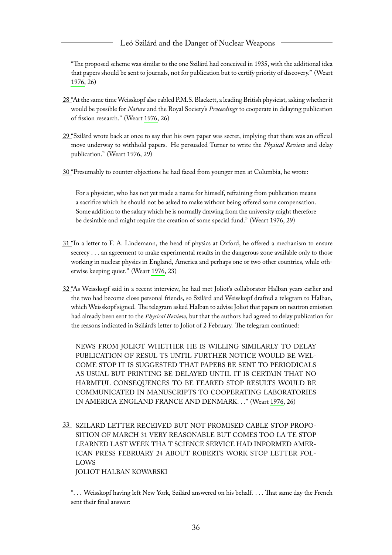"The proposed scheme was similar to the one Szilárd had conceived in 1935, with the additional idea that papers should be sent to journals, not for publication but to certify priority of discovery." (Weart [1976,](#page-71-0) 26)

- [28 "](#page-5-0)At the same timeWeisskopf also cabled P.M.S. Blackett, a leading British physicist, asking whether it would be possible for *Nature* and the Royal Society's *Proceedings* to cooperate in delaying publication of fission research." (Weart [1976,](#page-71-0) 26)
- [29 "](#page-5-1)Szilárd wrote back at once to say that his own paper was secret, implying that there was an official move underway to withhold papers. He persuaded Turner to write the *Physical Review* and delay publication." (Weart [1976,](#page-71-0) 29)
- [30 "](#page-5-2)Presumably to counter objections he had faced from younger men at Columbia, he wrote:

For a physicist, who has not yet made a name for himself, refraining from publication means a sacrifice which he should not be asked to make without being offered some compensation. Some addition to the salary which he is normally drawing from the university might therefore be desirable and might require the creation of some special fund." (Weart [1976,](#page-71-0) 29)

- [31 "](#page-5-3)In a letter to F. A. Lindemann, the head of physics at Oxford, he offered a mechanism to ensure secrecy . . . an agreement to make experimental results in the dangerous zone available only to those working in nuclear physics in England, America and perhaps one or two other countries, while otherwise keeping quiet." (Weart [1976,](#page-71-0) 23)
- [32 "](#page-5-4)As Weisskopf said in a recent interview, he had met Joliot's collaborator Halban years earlier and the two had become close personal friends, so Szilárd and Weisskopf drafted a telegram to Halban, which Weisskopf signed. The telegram asked Halban to advise Joliot that papers on neutron emission had already been sent to the *Physical Review*, but that the authors had agreed to delay publication for the reasons indicated in Szilárd's letter to Joliot of 2 February. The telegram continued:

NEWS FROM JOLIOT WHETHER HE IS WILLING SIMILARLY TO DELAY PUBLICATION OF RESUL TS UNTIL FURTHER NOTICE WOULD BE WEL-COME STOP IT IS SUGGESTED THAT PAPERS BE SENT TO PERIODICALS AS USUAL BUT PRINTING BE DELAYED UNTIL IT IS CERTAIN THAT NO HARMFUL CONSEQUENCES TO BE FEARED STOP RESULTS WOULD BE COMMUNICATED IN MANUSCRIPTS TO COOPERATING LABORATORIES IN AMERICA ENGLAND FRANCE AND DENMARK. . ." (Weart [1976,](#page-71-0) 26)

[33](#page-5-5) SZILARD LETTER RECEIVED BUT NOT PROMISED CABLE STOP PROPO-SITION OF MARCH 31 VERY REASONABLE BUT COMES TOO LA TE STOP LEARNED LAST WEEK THA T SCIENCE SERVICE HAD INFORMED AMER-ICAN PRESS FEBRUARY 24 ABOUT ROBERTS WORK STOP LETTER FOL-LOWS JOLIOT HALBAN KOWARSKI

". . . Weisskopf having left New York, Szilárd answered on his behalf. . . . That same day the French sent their final answer: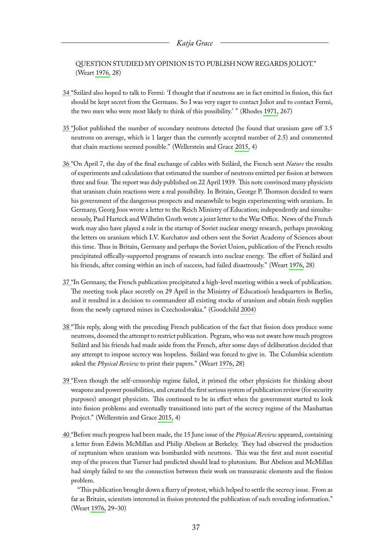QUESTION STUDIED MY OPINION IS TO PUBLISH NOW REGARDS JOLIOT." (Weart [1976,](#page-71-0) 28)

- [34 "](#page-5-6)Szilárd also hoped to talk to Fermi: 'I thought that if neutrons are in fact emitted in fission, this fact should be kept secret from the Germans. So I was very eager to contact Joliot and to contact Fermi, the two men who were most likely to think of this possibility.' " (Rhodes [1971,](#page-70-0) 267)
- [35 "](#page-5-7)Joliot published the number of secondary neutrons detected (he found that uranium gave off 3.5 neutrons on average, which is 1 larger than the currently accepted number of 2.5) and commented that chain reactions seemed possible." (Wellerstein and Grace [2015,](#page-71-1) 4)
- <span id="page-37-1"></span>[36 "](#page-5-8)On April 7, the day of the final exchange of cables with Szilárd, the French sent *Nature* the results of experiments and calculations that estimated the number of neutrons emitted per fission at between three and four. The report was duly published on 22 April 1939. This note convinced many physicists that uranium chain reactions were a real possibility. In Britain, George P. Thomson decided to warn his government of the dangerous prospects and meanwhile to begin experimenting with uranium. In Germany, Georg Joos wrote a letter to the Reich Ministry of Education; independently and simultaneously, Paul Harteck and Wilhelm Groth wrote a joint letter to the War Office. News of the French work may also have played a role in the startup of Soviet nuclear energy research, perhaps provoking the letters on uranium which I.V. Kurchatov and others sent the Soviet Academy of Sciences about this time. Thus in Britain, Germany and perhaps the Soviet Union, publication of the French results precipitated offically-supported programs of research into nuclear energy. The effort of Szilárd and his friends, after coming within an inch of success, had failed disastrously." (Weart [1976,](#page-71-0) 28)
- <span id="page-37-2"></span>[37 "](#page-5-9)In Germany, the French publication precipitated a high-level meeting within a week of publication. The meeting took place secretly on 29 April in the Ministry of Education's headquarters in Berlin, and it resulted in a decision to commandeer all existing stocks of uranium and obtain fresh supplies from the newly captured mines in Czechoslovakia." (Goodchild [2004\)](#page-69-0)
- [38 "](#page-5-10)This reply, along with the preceding French publication of the fact that fission does produce some neutrons, doomed the attempt to restrict publication. Pegram, who was not aware how much progress Szilárd and his friends had made aside from the French, after some days of deliberation decided that any attempt to impose secrecy was hopeless. Szilárd was forced to give in. The Columbia scientists asked the *Physical Review* to print their papers." (Weart [1976,](#page-71-0) 28)
- <span id="page-37-0"></span>[39 "](#page-6-0)Even though the self-censorship regime failed, it primed the other physicists for thinking about weapons and power possibilities, and created the first serious system of publication review (for security purposes) amongst physicists. This continued to be in effect when the government started to look into fission problems and eventually transitioned into part of the secrecy regime of the Manhattan Project." (Wellerstein and Grace [2015,](#page-71-1) 4)
- [40 "](#page-6-1)Before much progress had been made, the 15 June issue of the *Physical Review* appeared, containing a letter from Edwin McMillan and Philip Abelson at Berkeley. They had observed the production of neptunium when uranium was bombarded with neutrons. This was the first and most essential step of the process that Turner had predicted should lead to plutonium. But Abelson and McMillan had simply failed to see the connection between their work on transuranic elements and the fission problem.

"This publication brought down a flurry of protest, which helped to settle the secrecy issue. From as far as Britain, scientists interested in fission protested the publication of such revealing information." (Weart [1976,](#page-71-0) 29–30)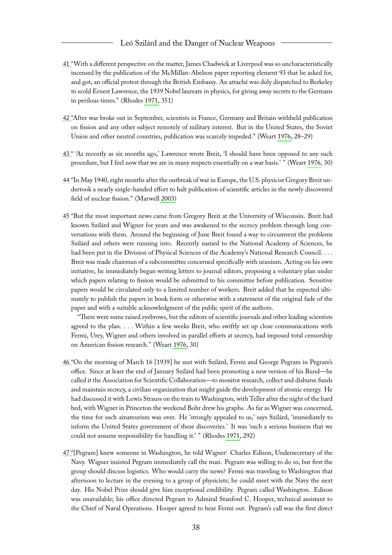- [41 "](#page-6-2)With a different perspective on the matter, James Chadwick at Liverpool was so uncharacteristically incensed by the publication of the McMillan-Abelson paper reporting element 93 that he asked for, and got, an official protest through the British Embassy. An attaché was duly dispatched to Berkeley to scold Ernest Lawrence, the 1939 Nobel laureate in physics, for giving away secrets to the Germans in perilous times." (Rhodes [1971,](#page-70-0) 351)
- [42 "](#page-6-3)After war broke out in September, scientists in France, Germany and Britain withheld publication on fission and any other subject remotely of military interest. But in the United States, the Soviet Union and other neutral countries, publication was scarcely impeded." (Weart [1976,](#page-71-0) 28–29)
- [43 "](#page-6-4) 'As recently as six months ago,' Lawrence wrote Breit, 'I should have been opposed to any such procedure, but I feel now that we are in many respects essentially on a war basis.' " (Weart [1976,](#page-71-0) 30)
- [44 "](#page-6-5)In May 1940, eight months after the outbreak of war in Europe, the U.S. physicist Gregory Breit undertook a nearly single-handed effort to halt publication of scientific articles in the newly discovered field of nuclear fission." (Marwell [2003\)](#page-70-1)
- <span id="page-38-0"></span>[45 "](#page-6-6)But the most important news came from Gregory Breit at the University of Wisconsin. Breit had known Szilárd and Wigner for years and was awakened to the secrecy problem through long conversations with them. Around the beginning of June Breit found a way to circumvent the problems Szilárd and others were running into. Recently named to the National Academy of Sciences, he had been put in the Division of Physical Sciences of the Academy's National Research Council. . . . Breit was made chairman of a subcommittee concerned specifically with uranium. Acting on his own initiative, he immediately began writing letters to journal editors, proposing a voluntary plan under which papers relating to fission would be submitted to his committee before publication. Sensitive papers would be circulated only to a limited number of workers. Breit added that he expected ultimately to publish the papers in book form or otherwise with a statement of the original fade of the paper and with a suitable acknowledgment of the public spirit of the authors.

"There were some raised eyebrows, but the editors of scientific journals and other leading scientists agreed to the plan. . . . Within a few weeks Breit, who swiftly set up close communications with Fermi, Urey, Wigner and others involved in parallel efforts at secrecy, had imposed total censorship on American fission research." (Weart [1976,](#page-71-0) 30)

- [46 "](#page-6-7)On the morning of March 16 [1939] he met with Szilárd, Fermi and George Pegram in Pegram's office. Since at least the end of January Szilárd had been promoting a new version of his Bund—he called it the Association for Scientific Collaboration—to monitor research, collect and disburse funds and maintain secrecy, a civilian organization that might guide the development of atomic energy. He had discussed it with Lewis Strauss on the train to Washington, with Teller after the night of the hard bed, with Wigner in Princeton the weekend Bohr drew his graphs. As far as Wigner was concerned, the time for such amateurism was over. He 'strongly appealed to us,' says Szilárd, 'immediately to inform the United States government of these discoveries.' It was 'such a serious business that we could not assume responsibility for handling it.' " (Rhodes [1971,](#page-70-0) 292)
- [47 "](#page-6-8)[Pegram] knew someone in Washington, he told Wigner: Charles Edison, Undersecretary of the Navy. Wigner insisted Pegram immediately call the man. Pegram was willing to do so, but first the group should discuss logistics. Who would carry the news? Fermi was traveling to Washington that afternoon to lecture in the evening to a group of physicists; he could meet with the Navy the next day. His Nobel Prize should give him exceptional credibility. Pegram called Washington. Edison was unavailable; his office directed Pegram to Admiral Stanford C. Hooper, technical assistant to the Chief of Naval Operations. Hooper agreed to hear Fermi out. Pegram's call was the first direct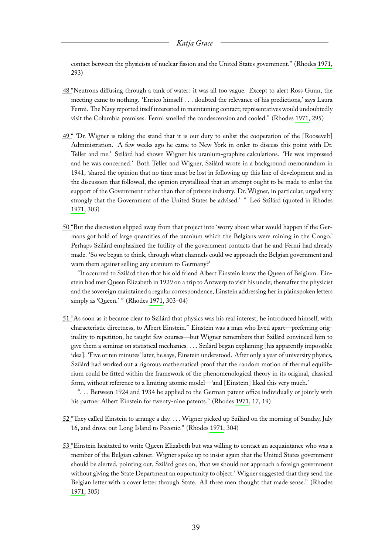contact between the physicists of nuclear fission and the United States government." (Rhodes [1971,](#page-70-0) 293)

- [48 "](#page-6-9)Neutrons diffusing through a tank of water: it was all too vague. Except to alert Ross Gunn, the meeting came to nothing. 'Enrico himself . . . doubted the relevance of his predictions,' says Laura Fermi. The Navy reported itself interested in maintaining contact; representatives would undoubtedly visit the Columbia premises. Fermi smelled the condescension and cooled." (Rhodes [1971,](#page-70-0) 295)
- [49 "](#page-6-10) 'Dr. Wigner is taking the stand that it is our duty to enlist the cooperation of the [Roosevelt] Administration. A few weeks ago he came to New York in order to discuss this point with Dr. Teller and me.' Szilárd had shown Wigner his uranium-graphite calculations. 'He was impressed and he was concerned.' Both Teller and Wigner, Szilárd wrote in a background memorandum in 1941, 'shared the opinion that no time must be lost in following up this line of development and in the discussion that followed, the opinion crystallized that an attempt ought to be made to enlist the support of the Government rather than that of private industry. Dr. Wigner, in particular, urged very strongly that the Government of the United States be advised.' " Leó Szilárd (quoted in Rhodes [1971,](#page-70-0) 303)
- [50 "](#page-6-11)But the discussion slipped away from that project into 'worry about what would happen if the Germans got hold of large quantities of the uranium which the Belgians were mining in the Congo.' Perhaps Szilárd emphasized the futility of the government contacts that he and Fermi had already made. 'So we began to think, through what channels could we approach the Belgian government and warn them against selling any uranium to Germany?'

"It occurred to Szilárd then that his old friend Albert Einstein knew the Queen of Belgium. Einstein had met Queen Elizabeth in 1929 on a trip to Antwerp to visit his uncle; thereafter the physicist and the sovereign maintained a regular correspondence, Einstein addressing her in plainspoken letters simply as 'Queen.' " (Rhodes [1971,](#page-70-0) 303-04)

- [51 "](#page-6-12)As soon as it became clear to Szilárd that physics was his real interest, he introduced himself, with characteristic directness, to Albert Einstein." Einstein was a man who lived apart—preferring originality to repetition, he taught few courses—but Wigner remembers that Szilárd convinced him to give them a seminar on statistical mechanics. . . . Szilárd began explaining [his apparently impossible idea]. 'Five or ten minutes' later, he says, Einstein understood. After only a year of university physics, Szilárd had worked out a rigorous mathematical proof that the random motion of thermal equilibrium could be fitted within the framework of the phenomenological theory in its original, classical form, without reference to a limiting atomic model—'and [Einstein] liked this very much.'
	- ". . . Between 1924 and 1934 he applied to the German patent office individually or jointly with his partner Albert Einstein for twenty-nine patents." (Rhodes [1971,](#page-70-0) 17, 19)
- [52 "](#page-6-13)They called Einstein to arrange a day. . . . Wigner picked up Szilárd on the morning of Sunday, July 16, and drove out Long Island to Peconic." (Rhodes [1971,](#page-70-0) 304)
- [53 "](#page-6-14)Einstein hesitated to write Queen Elizabeth but was willing to contact an acquaintance who was a member of the Belgian cabinet. Wigner spoke up to insist again that the United States government should be alerted, pointing out, Szilárd goes on, 'that we should not approach a foreign government without giving the State Department an opportunity to object.' Wigner suggested that they send the Belgian letter with a cover letter through State. All three men thought that made sense." (Rhodes [1971,](#page-70-0) 305)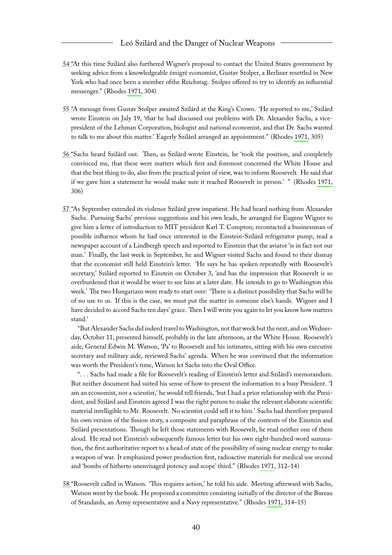- [54 "](#page-6-15)At this time Szilárd also furthered Wigner's proposal to contact the United States government by seeking advice from a knowledgeable émigré economist, Gustav Stolper, a Berliner resettled in New York who had once been a member ofthe Reichstag. Stolper offered to try to identify an influential messenger." (Rhodes [1971,](#page-70-0) 304)
- [55 "](#page-6-16)A message from Gustav Stolper awaited Szilárd at the King's Crown. 'He reported to me,' Szilárd wrote Einstein on July 19, 'that he had discussed our problems with Dr. Alexander Sachs, a vicepresident of the Lehman Corporation, biologist and national economist, and that Dr. Sachs wanted to talk to me about this matter.' Eagerly Szilárd arranged an appointment." (Rhodes [1971,](#page-70-0) 305)
- [56 "](#page-6-17)Sachs heard Szilárd out. Then, as Szilárd wrote Einstein, he 'took the position, and completely convinced me, that these were matters which first and foremost concerned the White House and that the best thing to do, also from the practical point of view, was to inform Roosevelt. He said that if we gave him a statement he would make sure it reached Roosevelt in person.' " (Rhodes [1971,](#page-70-0) 306)
- [57 "](#page-6-18)As September extended its violence Szilárd grew impatient. He had heard nothing from Alexander Sachs. Pursuing Sachs' previous suggestions and his own leads, he arranged for Eugene Wigner to give him a letter of introduction to MIT president Karl T. Compton; recontacted a businessman of possible influence whom he had once interested in the Einstein-Szilárd refrigerator pump; read a newspaper account of a Lindbergh speech and reported to Einstein that the aviator 'is in fact not our man.' Finally, the last week in September, he and Wigner visited Sachs and found to their dismay that the economist still held Einstein's letter. 'He says he has spoken repeatedly with Roosevelt's secretary,' Szilárd reported to Einstein on October 3, 'and has the impression that Roosevelt is so overburdened that it would be wiser to see him at a later date. He intends to go to Washington this week.' The two Hungarians were ready to start over: 'There is a distinct possibility that Sachs will be of no use to us. If this is the case, we must put the matter in someone else's hands. Wigner and I have decided to accord Sachs ten days' grace. Then I will write you again to let you know how matters stand.'

"But Alexander Sachs did indeed travel toWashington, not that week but the next, and onWednesday, October 11, presented himself, probably in the late afternoon, at the White House. Roosevelt's aide, General Edwin M. Watson, 'Pa' to Roosevelt and his intimates, sitting with his own executive secretary and military aide, reviewed Sachs' agenda. When he was convinced that the information was worth the President's time, Watson let Sachs into the Oval Office.

". . . Sachs had made a file for Roosevelt's reading of Einstein's letter and Szilárd's memorandum. But neither document had suited his sense of how to present the information to a busy President. 'I am an economist, not a scientist,' he would tell friends, 'but I had a prior relationship with the President, and Szilárd and Einstein agreed I was the right person to make the relevant elaborate scientific material intelligible to Mr. Roosevelt. No scientist could sell it to him.' Sachs had therefore prepared his own version of the fission story, a composite and paraphrase of the contents of the Einstein and Szilárd presentations. Though he left those statements with Roosevelt, he read neither one of them aloud. He read not Einstein's subsequently famous letter but his own eight-hundred-word summation, the first authoritative report to a head of state of the possibility of using nuclear energy to make a weapon of war. It emphasized power production first, radioactive materials for medical use second and 'bombs of hitherto unenvisaged potency and scope' third." (Rhodes [1971,](#page-70-0) 312–14)

[58 "](#page-7-0)Roosevelt called in Watson. 'This requires action,' he told his aide. Meeting afterward with Sachs, Watson went by the book. He proposed a committee consisting initially of the director of the Bureau of Standards, an Army representative and a Navy representative." (Rhodes [1971,](#page-70-0) 314–15)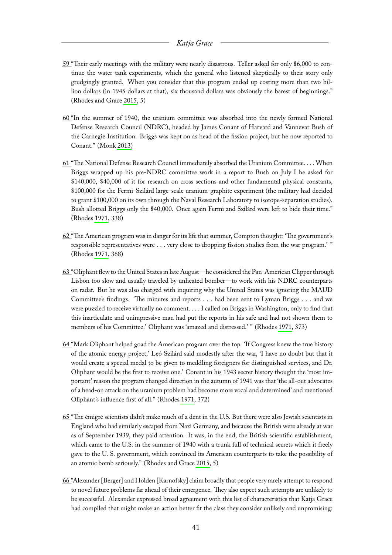## *Katja Grace*

- [59 "](#page-7-1)Their early meetings with the military were nearly disastrous. Teller asked for only \$6,000 to continue the water-tank experiments, which the general who listened skeptically to their story only grudgingly granted. When you consider that this program ended up costing more than two billion dollars (in 1945 dollars at that), six thousand dollars was obviously the barest of beginnings." (Rhodes and Grace [2015,](#page-70-2) 5)
- [60 "](#page-7-2)In the summer of 1940, the uranium committee was absorbed into the newly formed National Defense Research Council (NDRC), headed by James Conant of Harvard and Vannevar Bush of the Carnegie Institution. Briggs was kept on as head of the fission project, but he now reported to Conant." (Monk [2013\)](#page-70-3)
- [61 "](#page-7-3)The National Defense Research Council immediately absorbed the Uranium Committee. . . . When Briggs wrapped up his pre-NDRC committee work in a report to Bush on July I he asked for \$140,000, \$40,000 of it for research on cross sections and other fundamental physical constants, \$100,000 for the Fermi-Szilárd large-scale uranium-graphite experiment (the military had decided to grant \$100,000 on its own through the Naval Research Laboratory to isotope-separation studies). Bush allotted Briggs only the \$40,000. Once again Fermi and Szilárd were left to bide their time." (Rhodes [1971,](#page-70-0) 338)
- [62 "](#page-7-4)The American program was in danger for its life that summer, Compton thought: 'The government's responsible representatives were . . . very close to dropping fission studies from the war program.' " (Rhodes [1971,](#page-70-0) 368)
- [63 "](#page-7-5)Oliphant flew to the United States in late August—he considered the Pan-American Clipper through Lisbon too slow and usually traveled by unheated bomber—to work with his NDRC counterparts on radar. But he was also charged with inquiring why the United States was ignoring the MAUD Committee's findings. 'The minutes and reports . . . had been sent to Lyman Briggs . . . and we were puzzled to receive virtually no comment. . . . I called on Briggs in Washington, only to find that this inarticulate and unimpressive man had put the reports in his safe and had not shown them to members of his Committee.' Oliphant was 'amazed and distressed.' " (Rhodes [1971,](#page-70-0) 373)
- [64 "](#page-7-6)Mark Oliphant helped goad the American program over the top. 'If Congress knew the true history of the atomic energy project,' Leó Szilárd said modestly after the war, 'I have no doubt but that it would create a special medal to be given to meddling foreigners for distinguished services, and Dr. Oliphant would be the first to receive one.' Conant in his 1943 secret history thought the 'most important' reason the program changed direction in the autumn of 1941 was that 'the all-out advocates of a head-on attack on the uranium problem had become more vocal and determined' and mentioned Oliphant's influence first of all." (Rhodes [1971,](#page-70-0) 372)
- [65 "](#page-7-7)The émigré scientists didn't make much of a dent in the U.S. But there were also Jewish scientists in England who had similarly escaped from Nazi Germany, and because the British were already at war as of September 1939, they paid attention. It was, in the end, the British scientific establishment, which came to the U.S. in the summer of 1940 with a trunk full of technical secrets which it freely gave to the U. S. government, which convinced its American counterparts to take the possibility of an atomic bomb seriously." (Rhodes and Grace [2015,](#page-70-2) 5)
- [66 "](#page-7-8)Alexander [Berger] and Holden [Karnofsky] claim broadly that people very rarely attempt to respond to novel future problems far ahead of their emergence. They also expect such attempts are unlikely to be successful. Alexander expressed broad agreement with this list of characteristics that Katja Grace had compiled that might make an action better fit the class they consider unlikely and unpromising: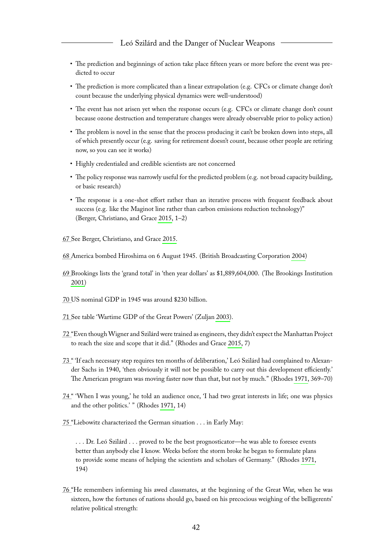- The prediction and beginnings of action take place fifteen years or more before the event was predicted to occur
- The prediction is more complicated than a linear extrapolation (e.g. CFCs or climate change don't count because the underlying physical dynamics were well-understood)
- The event has not arisen yet when the response occurs (e.g. CFCs or climate change don't count because ozone destruction and temperature changes were already observable prior to policy action)
- The problem is novel in the sense that the process producing it can't be broken down into steps, all of which presently occur (e.g. saving for retirement doesn't count, because other people are retiring now, so you can see it works)
- Highly credentialed and credible scientists are not concerned
- The policy response was narrowly useful for the predicted problem (e.g. not broad capacity building, or basic research)
- The response is a one-shot effort rather than an iterative process with frequent feedback about success (e.g. like the Maginot line rather than carbon emissions reduction technology)" (Berger, Christiano, and Grace [2015,](#page-69-1) 1–2)
- [67 S](#page-7-9)ee Berger, Christiano, and Grace [2015.](#page-69-1)
- [68 A](#page-7-10)merica bombed Hiroshima on 6 August 1945. (British Broadcasting Corporation [2004\)](#page-69-2)
- [69 B](#page-8-0)rookings lists the 'grand total' in 'then year dollars' as \$1,889,604,000. (The Brookings Institution [2001\)](#page-70-4)
- [70 U](#page-8-1)S nominal GDP in 1945 was around \$230 billion.
- [71 S](#page-8-2)ee table 'Wartime GDP of the Great Powers' (Zuljan [2003\)](#page-71-2).
- [72 "](#page-8-3)Even though Wigner and Szilárd were trained as engineers, they didn't expect the Manhattan Project to reach the size and scope that it did." (Rhodes and Grace [2015,](#page-70-2) 7)
- [73 "](#page-8-4) 'If each necessary step requires ten months of deliberation,' Leó Szilárd had complained to Alexander Sachs in 1940, 'then obviously it will not be possible to carry out this development efficiently.' The American program was moving faster now than that, but not by much." (Rhodes [1971,](#page-70-0) 369–70)
- [74 "](#page-8-5) 'When I was young,' he told an audience once, 'I had two great interests in life; one was physics and the other politics.' " (Rhodes [1971,](#page-70-0) 14)
- <span id="page-42-0"></span>[75 "](#page-8-6)Liebowitz characterized the German situation . . . in Early May:

. . . Dr. Leó Szilárd . . . proved to be the best prognosticator—he was able to foresee events better than anybody else I know. Weeks before the storm broke he began to formulate plans to provide some means of helping the scientists and scholars of Germany." (Rhodes [1971,](#page-70-0) 194)

[76 "](#page-8-7)He remembers informing his awed classmates, at the beginning of the Great War, when he was sixteen, how the fortunes of nations should go, based on his precocious weighing of the belligerents' relative political strength: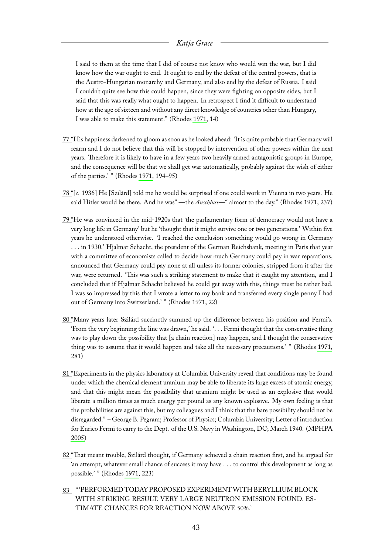I said to them at the time that I did of course not know who would win the war, but I did know how the war ought to end. It ought to end by the defeat of the central powers, that is the Austro-Hungarian monarchy and Germany, and also end by the defeat of Russia. I said I couldn't quite see how this could happen, since they were fighting on opposite sides, but I said that this was really what ought to happen. In retrospect I find it difficult to understand how at the age of sixteen and without any direct knowledge of countries other than Hungary, I was able to make this statement." (Rhodes [1971,](#page-70-0) 14)

- <span id="page-43-1"></span>[77 "](#page-8-8)His happiness darkened to gloom as soon as he looked ahead: 'It is quite probable that Germany will rearm and I do not believe that this will be stopped by intervention of other powers within the next years. Therefore it is likely to have in a few years two heavily armed antagonistic groups in Europe, and the consequence will be that we shall get war automatically, probably against the wish of either of the parties.' " (Rhodes [1971,](#page-70-0) 194–95)
- [78 "](#page-8-9)[*c.* 1936] He [Szilárd] told me he would be surprised if one could work in Vienna in two years. He said Hitler would be there. And he was" —the *Anschluss*—" almost to the day." (Rhodes [1971,](#page-70-0) 237)
- <span id="page-43-0"></span>[79 "](#page-8-10)He was convinced in the mid-1920s that 'the parliamentary form of democracy would not have a very long life in Germany' but he 'thought that it might survive one or two generations.' Within five years he understood otherwise. 'I reached the conclusion something would go wrong in Germany . . . in 1930.' Hjalmar Schacht, the president of the German Reichsbank, meeting in Paris that year with a committee of economists called to decide how much Germany could pay in war reparations, announced that Germany could pay none at all unless its former colonies, stripped from it after the war, were returned. 'This was such a striking statement to make that it caught my attention, and I concluded that if Hjalmar Schacht believed he could get away with this, things must be rather bad. I was so impressed by this that I wrote a letter to my bank and transferred every single penny I had out of Germany into Switzerland.' " (Rhodes [1971,](#page-70-0) 22)
- [80 "](#page-9-0)Many years later Szilárd succinctly summed up the difference between his position and Fermi's. 'From the very beginning the line was drawn,' he said. '. . . Fermi thought that the conservative thing was to play down the possibility that [a chain reaction] may happen, and I thought the conservative thing was to assume that it would happen and take all the necessary precautions.' " (Rhodes [1971,](#page-70-0) 281)
- [81 "](#page-9-1)Experiments in the physics laboratory at Columbia University reveal that conditions may be found under which the chemical element uranium may be able to liberate its large excess of atomic energy, and that this might mean the possibility that uranium might be used as an explosive that would liberate a million times as much energy per pound as any known explosive. My own feeling is that the probabilities are against this, but my colleagues and I think that the bare possibility should not be disregarded." – George B. Pegram; Professor of Physics; Columbia University; Letter of introduction for Enrico Fermi to carry to the Dept. of the U.S. Navy in Washington, DC; March 1940. (MPHPA [2005\)](#page-70-5)
- [82 "](#page-9-2)That meant trouble, Szilárd thought, if Germany achieved a chain reaction first, and he argued for 'an attempt, whatever small chance of success it may have . . . to control this development as long as possible.' " (Rhodes [1971,](#page-70-0) 223)
- [83](#page-9-3) " 'PERFORMED TODAY PROPOSED EXPERIMENTWITH BERYLLIUM BLOCK WITH STRIKING RESULT. VERY LARGE NEUTRON EMISSION FOUND. ES-TIMATE CHANCES FOR REACTION NOW ABOVE 50%.'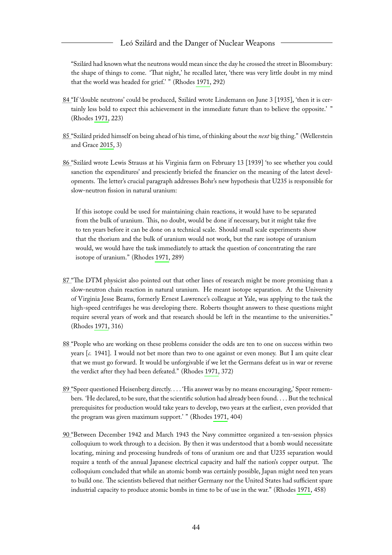"Szilárd had known what the neutrons would mean since the day he crossed the street in Bloomsbury: the shape of things to come. 'That night,' he recalled later, 'there was very little doubt in my mind that the world was headed for grief.' " (Rhodes [1971,](#page-70-0) 292)

- [84 "](#page-9-4)If 'double neutrons' could be produced, Szilárd wrote Lindemann on June 3 [1935], 'then it is certainly less bold to expect this achievement in the immediate future than to believe the opposite.' " (Rhodes [1971,](#page-70-0) 223)
- [85 "](#page-9-5)Szilárd prided himself on being ahead of his time, of thinking about the *next* big thing." (Wellerstein and Grace [2015,](#page-71-1) 3)
- [86 "](#page-9-6)Szilárd wrote Lewis Strauss at his Virginia farm on February 13 [1939] 'to see whether you could sanction the expenditures' and presciently briefed the financier on the meaning of the latest developments. The letter's crucial paragraph addresses Bohr's new hypothesis that U235 is responsible for slow-neutron fission in natural uranium:

If this isotope could be used for maintaining chain reactions, it would have to be separated from the bulk of uranium. This, no doubt, would be done if necessary, but it might take five to ten years before it can be done on a technical scale. Should small scale experiments show that the thorium and the bulk of uranium would not work, but the rare isotope of uranium would, we would have the task immediately to attack the question of concentrating the rare isotope of uranium." (Rhodes [1971,](#page-70-0) 289)

- [87 "](#page-9-7)The DTM physicist also pointed out that other lines of research might be more promising than a slow-neutron chain reaction in natural uranium. He meant isotope separation. At the University of Virginia Jesse Beams, formerly Ernest Lawrence's colleague at Yale, was applying to the task the high-speed centrifuges he was developing there. Roberts thought answers to these questions might require several years of work and that research should be left in the meantime to the universities." (Rhodes [1971,](#page-70-0) 316)
- [88 "](#page-9-8)People who are working on these problems consider the odds are ten to one on success within two years [*c.* 1941]. I would not bet more than two to one against or even money. But I am quite clear that we must go forward. It would be unforgivable if we let the Germans defeat us in war or reverse the verdict after they had been defeated." (Rhodes [1971,](#page-70-0) 372)
- [89 "](#page-10-0)Speer questioned Heisenberg directly. . . . 'His answer was by no means encouraging,' Speer remembers. 'He declared, to be sure, that the scientific solution had already been found. . . . But the technical prerequisites for production would take years to develop, two years at the earliest, even provided that the program was given maximum support.' " (Rhodes [1971,](#page-70-0) 404)
- [90 "](#page-10-1)Between December 1942 and March 1943 the Navy committee organized a ten-session physics colloquium to work through to a decision. By then it was understood that a bomb would necessitate locating, mining and processing hundreds of tons of uranium ore and that U235 separation would require a tenth of the annual Japanese electrical capacity and half the nation's copper output. The colloquium concluded that while an atomic bomb was certainly possible, Japan might need ten years to build one. The scientists believed that neither Germany nor the United States had sufficient spare industrial capacity to produce atomic bombs in time to be of use in the war." (Rhodes [1971,](#page-70-0) 458)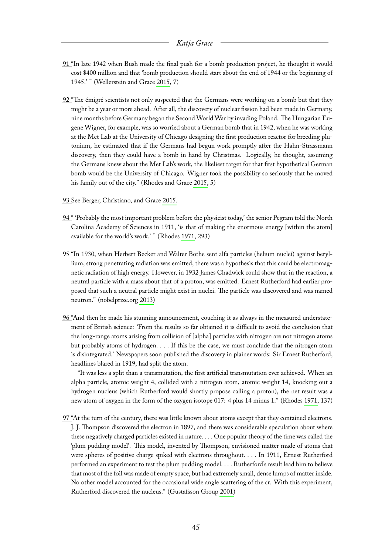- [91 "](#page-10-2)In late 1942 when Bush made the final push for a bomb production project, he thought it would cost \$400 million and that 'bomb production should start about the end of 1944 or the beginning of 1945.' " (Wellerstein and Grace [2015,](#page-71-1) 7)
- [92 "](#page-10-3)The émigré scientists not only suspected that the Germans were working on a bomb but that they might be a year or more ahead. After all, the discovery of nuclear fission had been made in Germany, nine months before Germany began the Second World War by invading Poland. The Hungarian Eugene Wigner, for example, was so worried about a German bomb that in 1942, when he was working at the Met Lab at the University of Chicago designing the first production reactor for breeding plutonium, he estimated that if the Germans had begun work promptly after the Hahn-Strassmann discovery, then they could have a bomb in hand by Christmas. Logically, he thought, assuming the Germans knew about the Met Lab's work, the likeliest target for that first hypothetical German bomb would be the University of Chicago. Wigner took the possibility so seriously that he moved his family out of the city." (Rhodes and Grace [2015,](#page-70-2) 5)
- [93 S](#page-10-4)ee Berger, Christiano, and Grace [2015.](#page-69-1)
- [94 "](#page-11-0) 'Probably the most important problem before the physicist today,' the senior Pegram told the North Carolina Academy of Sciences in 1911, 'is that of making the enormous energy [within the atom] available for the world's work.' " (Rhodes [1971,](#page-70-0) 293)
- [95 "](#page-11-1)In 1930, when Herbert Becker and Walter Bothe sent alfa particles (helium nuclei) against beryllium, strong penetrating radiation was emitted, there was a hypothesis that this could be electromagnetic radiation of high energy. However, in 1932 James Chadwick could show that in the reaction, a neutral particle with a mass about that of a proton, was emitted. Ernest Rutherford had earlier proposed that such a neutral particle might exist in nuclei. The particle was discovered and was named neutron." (nobelprize.org [2013\)](#page-70-6)
- [96 "](#page-11-2)And then he made his stunning announcement, couching it as always in the measured understatement of British science: 'From the results so far obtained it is difficult to avoid the conclusion that the long-range atoms arising from collision of [alpha] particles with nitrogen are not nitrogen atoms but probably atoms of hydrogen. . . . If this be the case, we must conclude that the nitrogen atom is disintegrated.' Newspapers soon published the discovery in plainer words: Sir Ernest Rutherford, headlines blared in 1919, had split the atom.

"It was less a split than a transmutation, the first artificial transmutation ever achieved. When an alpha particle, atomic weight 4, collided with a nitrogen atom, atomic weight 14, knocking out a hydrogen nucleus (which Rutherford would shortly propose calling a proton), the net result was a new atom of oxygen in the form of the oxygen isotope 017: 4 plus 14 minus 1." (Rhodes [1971,](#page-70-0) 137)

[97 "](#page-11-3)At the turn of the century, there was little known about atoms except that they contained electrons. J. J. Thompson discovered the electron in 1897, and there was considerable speculation about where these negatively charged particles existed in nature. . . . One popular theory of the time was called the 'plum pudding model'. This model, invented by Thompson, envisioned matter made of atoms that were spheres of positive charge spiked with electrons throughout. . . . In 1911, Ernest Rutherford performed an experiment to test the plum pudding model. . . . Rutherford's result lead him to believe that most of the foil was made of empty space, but had extremely small, dense lumps of matter inside. No other model accounted for the occasional wide angle scattering of the  $\alpha$ . With this experiment, Rutherford discovered the nucleus." (Gustafsson Group [2001\)](#page-69-3)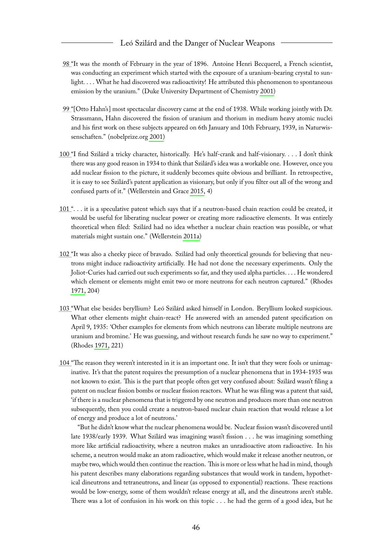- [98 "](#page-11-4)It was the month of February in the year of 1896. Antoine Henri Becquerel, a French scientist, was conducting an experiment which started with the exposure of a uranium-bearing crystal to sunlight. . . . What he had discovered was radioactivity! He attributed this phenomenon to spontaneous emission by the uranium." (Duke University Department of Chemistry [2001\)](#page-69-4)
- [99 "](#page-11-5)[Otto Hahn's] most spectacular discovery came at the end of 1938. While working jointly with Dr. Strassmann, Hahn discovered the fission of uranium and thorium in medium heavy atomic nuclei and his first work on these subjects appeared on 6th January and 10th February, 1939, in Naturwissenschaften." (nobelprize.org [2001\)](#page-70-7)
- <span id="page-46-0"></span>[100 "](#page-11-6)I find Szilárd a tricky character, historically. He's half-crank and half-visionary. . . . I don't think there was any good reason in 1934 to think that Szilárd's idea was a workable one. However, once you add nuclear fission to the picture, it suddenly becomes quite obvious and brilliant. In retrospective, it is easy to see Szilárd's patent application as visionary, but only if you filter out all of the wrong and confused parts of it." (Wellerstein and Grace [2015,](#page-71-1) 4)
- [101 "](#page-11-7). . . it is a speculative patent which says that if a neutron-based chain reaction could be created, it would be useful for liberating nuclear power or creating more radioactive elements. It was entirely theoretical when filed: Szilárd had no idea whether a nuclear chain reaction was possible, or what materials might sustain one." (Wellerstein [2011a\)](#page-71-3)
- [102 "](#page-11-8)It was also a cheeky piece of bravado. Szilárd had only theoretical grounds for believing that neutrons might induce radioactivity artificially. He had not done the necessary experiments. Only the Joliot-Curies had carried out such experiments so far, and they used alpha particles. . . . He wondered which element or elements might emit two or more neutrons for each neutron captured." (Rhodes [1971,](#page-70-0) 204)
- [103 "](#page-11-9)What else besides beryllium? Leó Szilárd asked himself in London. Beryllium looked suspicious. What other elements might chain-react? He answered with an amended patent specification on April 9, 1935: 'Other examples for elements from which neutrons can liberate multiple neutrons are uranium and bromine.' He was guessing, and without research funds he saw no way to experiment." (Rhodes [1971,](#page-70-0) 221)
- [104 "](#page-11-10)The reason they weren't interested in it is an important one. It isn't that they were fools or unimaginative. It's that the patent requires the presumption of a nuclear phenomena that in 1934-1935 was not known to exist. This is the part that people often get very confused about: Szilárd wasn't filing a patent on nuclear fission bombs or nuclear fission reactors. What he was filing was a patent that said, 'if there is a nuclear phenomena that is triggered by one neutron and produces more than one neutron subsequently, then you could create a neutron-based nuclear chain reaction that would release a lot of energy and produce a lot of neutrons.'

"But he didn't know what the nuclear phenomena would be. Nuclear fission wasn't discovered until late 1938/early 1939. What Szilárd was imagining wasn't fission . . . he was imagining something more like artificial radioactivity, where a neutron makes an unradioactive atom radioactive. In his scheme, a neutron would make an atom radioactive, which would make it release another neutron, or maybe two, which would then continue the reaction. This is more or less what he had in mind, though his patent describes many elaborations regarding substances that would work in tandem, hypothetical dineutrons and tetraneutrons, and linear (as opposed to exponential) reactions. These reactions would be low-energy, some of them wouldn't release energy at all, and the dineutrons aren't stable. There was a lot of confusion in his work on this topic . . . he had the germ of a good idea, but he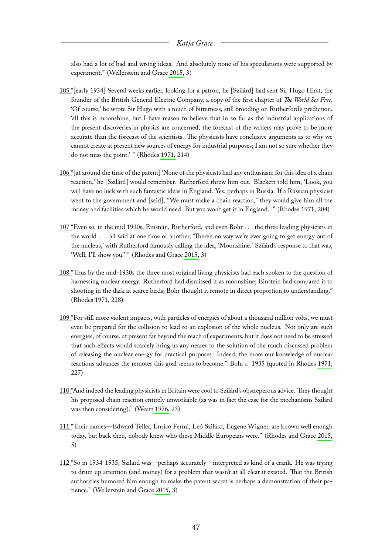also had a lot of bad and wrong ideas. And absolutely none of his speculations were supported by experiment." (Wellerstein and Grace [2015,](#page-71-1) 3)

- [105 "](#page-11-11)[early 1934] Several weeks earlier, looking for a patron, he [Szilárd] had sent Sir Hugo Hirst, the founder of the British General Electric Company, a copy of the first chapter of *The World Set Free*. 'Of course,' he wrote Sir Hugo with a touch of bitterness, still brooding on Rutherford's prediction, 'all this is moonshine, but I have reason to believe that in so far as the industrial applications of the present discoveries in physics are concerned, the forecast of the writers may prove to be more accurate than the forecast of the scientists. The physicists have conclusive arguments as to why we cannot create at present new sources of energy for industrial purposes; I am not so sure whether they do not miss the point.' " (Rhodes [1971,](#page-70-0) 214)
- [106 "](#page-11-12)[at around the time of the patent] 'None of the physicists had any enthusiasm for this idea of a chain reaction,' he [Szilárd] would remember. Rutherford threw him out. Blackett told him, 'Look, you will have no luck with such fantastic ideas in England. Yes, perhaps in Russia. If a Russian physicist went to the government and [said], "We must make a chain reaction," they would give him all the money and facilities which he would need. But you won't get it in England.' " (Rhodes [1971,](#page-70-0) 204)
- [107 "](#page-11-13)Even so, in the mid 1930s, Einstein, Rutherford, and even Bohr . . . the three leading physicists in the world . . . all said at one time or another, 'There's no way we're ever going to get energy out of the nucleus,' with Rutherford famously calling the idea, 'Moonshine.' Szilárd's response to that was, 'Well, I'll show you!' " (Rhodes and Grace [2015,](#page-70-2) 3)
- [108 "](#page-11-14)Thus by the mid-1930s the three most original living physicists had each spoken to the question of harnessing nuclear energy. Rutherford had dismissed it as moonshine; Einstein had compared it to shooting in the dark at scarce birds; Bohr thought it remote in direct proportion to understanding." (Rhodes [1971,](#page-70-0) 228)
- [109 "](#page-11-15)For still more violent impacts, with particles of energies of about a thousand million volts, we must even be prepared for the collision to lead to an explosion of the whole nucleus. Not only are such energies, of course, at present far beyond the reach of experiments, but it does not need to be stressed that such effects would scarcely bring us any nearer to the solution of the much discussed problem of releasing the nuclear energy for practical purposes. Indeed, the more our knowledge of nuclear reactions advances the remoter this goal seems to become." Bohr *c.* 1935 (quoted in Rhodes [1971,](#page-70-0) 227)
- [110 "](#page-11-16)And indeed the leading physicists in Britain were cool to Szilárd's obstreperous advice. They thought his proposed chain reaction entirely unworkable (as was in fact the case for the mechanisms Szilárd was then considering)." (Weart [1976,](#page-71-0) 23)
- [111 "](#page-11-17)Their names—Edward Teller, Enrico Fermi, Leó Szilárd, Eugene Wigner, are known well enough today, but back then, nobody knew who these Middle Europeans were." (Rhodes and Grace [2015,](#page-70-2) 5)
- [112 "](#page-11-18)So in 1934-1935, Szilárd was—perhaps accurately—interpreted as kind of a crank. He was trying to drum up attention (and money) for a problem that wasn't at all clear it existed. That the British authorities humored him enough to make the patent secret is perhaps a demonstration of their patience." (Wellerstein and Grace [2015,](#page-71-1) 3)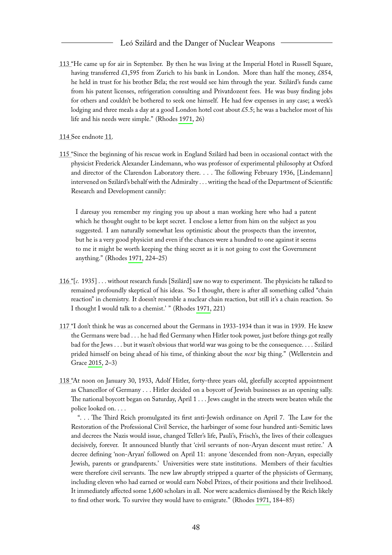- [113 "](#page-11-19)He came up for air in September. By then he was living at the Imperial Hotel in Russell Square, having transferred £1,595 from Zurich to his bank in London. More than half the money, £854, he held in trust for his brother Béla; the rest would see him through the year. Szilárd's funds came from his patent licenses, refrigeration consulting and Privatdozent fees. He was busy finding jobs for others and couldn't be bothered to seek one himself. He had few expenses in any case; a week's lodging and three meals a day at a good London hotel cost about  $\mathcal{L}5.5$ ; he was a bachelor most of his life and his needs were simple." (Rhodes [1971,](#page-70-0) 26)
- [114 S](#page-11-20)ee endnote [11.](#page-32-0)
- [115 "](#page-11-21)Since the beginning of his rescue work in England Szilárd had been in occasional contact with the physicist Frederick Alexander Lindemann, who was professor of experimental philosophy at Oxford and director of the Clarendon Laboratory there. . . . The following February 1936, [Lindemann] intervened on Szilárd's behalf with the Admiralty . . . writing the head of the Department of Scientific Research and Development cannily:

I daresay you remember my ringing you up about a man working here who had a patent which he thought ought to be kept secret. I enclose a letter from him on the subject as you suggested. I am naturally somewhat less optimistic about the prospects than the inventor, but he is a very good physicist and even if the chances were a hundred to one against it seems to me it might be worth keeping the thing secret as it is not going to cost the Government anything." (Rhodes [1971,](#page-70-0) 224–25)

- [116 "](#page-11-22)[*c.* 1935] . . . without research funds [Szilárd] saw no way to experiment. The physicists he talked to remained profoundly skeptical of his ideas. 'So I thought, there is after all something called "chain reaction" in chemistry. It doesn't resemble a nuclear chain reaction, but still it's a chain reaction. So I thought I would talk to a chemist.' " (Rhodes [1971,](#page-70-0) 221)
- [117 "](#page-12-0)I don't think he was as concerned about the Germans in 1933-1934 than it was in 1939. He knew the Germans were bad . . . he had fled Germany when Hitler took power, just before things got really bad for the Jews . . . but it wasn't obvious that world war was going to be the consequence. . . . Szilárd prided himself on being ahead of his time, of thinking about the *next* big thing." (Wellerstein and Grace [2015,](#page-71-1) 2–3)
- [118 "](#page-12-1)At noon on January 30, 1933, Adolf Hitler, forty-three years old, gleefully accepted appointment as Chancellor of Germany . . . Hitler decided on a boycott of Jewish businesses as an opening sally. The national boycott began on Saturday, April 1 . . . Jews caught in the streets were beaten while the police looked on. . . .

". . . The Third Reich promulgated its first anti-Jewish ordinance on April 7. The Law for the Restoration of the Professional Civil Service, the harbinger of some four hundred anti-Semitic laws and decrees the Nazis would issue, changed Teller's life, Pauli's, Frisch's, the lives of their colleagues decisively, forever. It announced bluntly that 'civil servants of non-Aryan descent must retire.' A decree defining 'non-Aryan' followed on April 11: anyone 'descended from non-Aryan, especially Jewish, parents or grandparents.' Universities were state institutions. Members of their faculties were therefore civil servants. The new law abruptly stripped a quarter of the physicists of Germany, including eleven who had earned or would earn Nobel Prizes, of their positions and their livelihood. It immediately affected some 1,600 scholars in all. Nor were academics dismissed by the Reich likely to find other work. To survive they would have to emigrate." (Rhodes [1971,](#page-70-0) 184–85)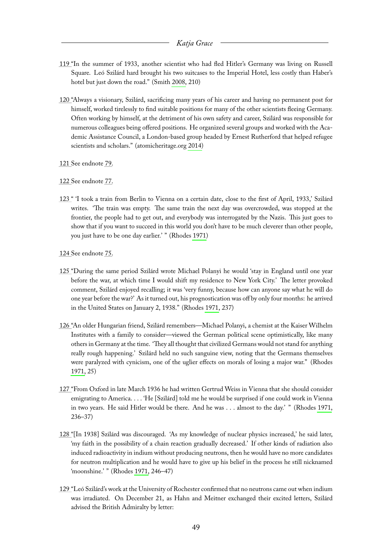- [119 "](#page-12-2)In the summer of 1933, another scientist who had fled Hitler's Germany was living on Russell Square. Leó Szilárd hard brought his two suitcases to the Imperial Hotel, less costly than Haber's hotel but just down the road." (Smith [2008,](#page-70-8) 210)
- [120 "](#page-12-3)Always a visionary, Szilárd, sacrificing many years of his career and having no permanent post for himself, worked tirelessly to find suitable positions for many of the other scientists fleeing Germany. Often working by himself, at the detriment of his own safety and career, Szilárd was responsible for numerous colleagues being offered positions. He organized several groups and worked with the Academic Assistance Council, a London-based group headed by Ernest Rutherford that helped refugee scientists and scholars." (atomicheritage.org [2014\)](#page-69-5)
- [121 S](#page-12-4)ee endnote [79.](#page-43-0)
- [122 S](#page-12-5)ee endnote [77.](#page-43-1)
- [123 "](#page-12-6) 'I took a train from Berlin to Vienna on a certain date, close to the first of April, 1933,' Szilárd writes. 'The train was empty. The same train the next day was overcrowded, was stopped at the frontier, the people had to get out, and everybody was interrogated by the Nazis. This just goes to show that if you want to succeed in this world you don't have to be much cleverer than other people, you just have to be one day earlier.' " (Rhodes [1971\)](#page-70-0)
- [124 S](#page-12-7)ee endnote [75.](#page-42-0)
- [125 "](#page-12-8)During the same period Szilárd wrote Michael Polanyi he would 'stay in England until one year before the war, at which time I would shift my residence to New York City.' The letter provoked comment, Szilárd enjoyed recalling; it was 'very funny, because how can anyone say what he will do one year before the war?' As it turned out, his prognostication was off by only four months: he arrived in the United States on January 2, 1938." (Rhodes [1971,](#page-70-0) 237)
- [126 "](#page-12-9)An older Hungarian friend, Szilárd remembers—Michael Polanyi, a chemist at the Kaiser Wilhelm Institutes with a family to consider—viewed the German political scene optimistically, like many others in Germany at the time. 'They all thought that civilized Germans would not stand for anything really rough happening.' Szilárd held no such sanguine view, noting that the Germans themselves were paralyzed with cynicism, one of the uglier effects on morals of losing a major war." (Rhodes [1971,](#page-70-0) 25)
- [127 "](#page-12-10)From Oxford in late March 1936 he had written Gertrud Weiss in Vienna that she should consider emigrating to America. . . . 'He [Szilárd] told me he would be surprised if one could work in Vienna in two years. He said Hitler would be there. And he was . . . almost to the day.' " (Rhodes [1971,](#page-70-0) 236–37)
- [128 "](#page-12-11)[In 1938] Szilárd was discouraged. 'As my knowledge of nuclear physics increased,' he said later, 'my faith in the possibility of a chain reaction gradually decreased.' If other kinds of radiation also induced radioactivity in indium without producing neutrons, then he would have no more candidates for neutron multiplication and he would have to give up his belief in the process he still nicknamed 'moonshine.' " (Rhodes [1971,](#page-70-0) 246–47)
- [129 "](#page-12-12)Leó Szilárd's work at the University of Rochester confirmed that no neutrons came out when indium was irradiated. On December 21, as Hahn and Meitner exchanged their excited letters, Szilárd advised the British Admiralty by letter: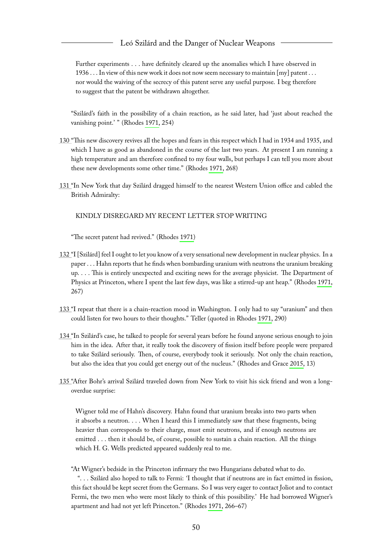Further experiments . . . have definitely cleared up the anomalies which I have observed in 1936 . . . In view of this new work it does not now seem necessary to maintain  $[my]$  patent . . . nor would the waiving of the secrecy of this patent serve any useful purpose. I beg therefore to suggest that the patent be withdrawn altogether.

"Szilárd's faith in the possibility of a chain reaction, as he said later, had 'just about reached the vanishing point.' " (Rhodes [1971,](#page-70-0) 254)

- [130 "](#page-12-13)This new discovery revives all the hopes and fears in this respect which I had in 1934 and 1935, and which I have as good as abandoned in the course of the last two years. At present I am running a high temperature and am therefore confined to my four walls, but perhaps I can tell you more about these new developments some other time." (Rhodes [1971,](#page-70-0) 268)
- [131 "](#page-12-14)In New York that day Szilárd dragged himself to the nearest Western Union office and cabled the British Admiralty:

#### KINDLY DISREGARD MY RECENT LETTER STOP WRITING

"The secret patent had revived." (Rhodes [1971\)](#page-70-0)

- [132 "](#page-13-0)I [Szilárd] feel I ought to let you know of a very sensational new development in nuclear physics. In a paper . . . Hahn reports that he finds when bombarding uranium with neutrons the uranium breaking up. . . . This is entirely unexpected and exciting news for the average physicist. The Department of Physics at Princeton, where I spent the last few days, was like a stirred-up ant heap." (Rhodes [1971,](#page-70-0) 267)
- [133 "](#page-13-1)I repeat that there is a chain-reaction mood in Washington. I only had to say "uranium" and then could listen for two hours to their thoughts." Teller (quoted in Rhodes [1971,](#page-70-0) 290)
- [134 "](#page-13-2)In Szilárd's case, he talked to people for several years before he found anyone serious enough to join him in the idea. After that, it really took the discovery of fission itself before people were prepared to take Szilárd seriously. Then, of course, everybody took it seriously. Not only the chain reaction, but also the idea that you could get energy out of the nucleus." (Rhodes and Grace [2015,](#page-70-2) 13)
- [135 "](#page-13-3)After Bohr's arrival Szilárd traveled down from New York to visit his sick friend and won a longoverdue surprise:

Wigner told me of Hahn's discovery. Hahn found that uranium breaks into two parts when it absorbs a neutron. . . . When I heard this I immediately saw that these fragments, being heavier than corresponds to their charge, must emit neutrons, and if enough neutrons are emitted . . . then it should be, of course, possible to sustain a chain reaction. All the things which H. G. Wells predicted appeared suddenly real to me.

"At Wigner's bedside in the Princeton infirmary the two Hungarians debated what to do.

". . . Szilárd also hoped to talk to Fermi: 'I thought that if neutrons are in fact emitted in fission, this fact should be kept secret from the Germans. So I was very eager to contact Joliot and to contact Fermi, the two men who were most likely to think of this possibility.' He had borrowed Wigner's apartment and had not yet left Princeton." (Rhodes [1971,](#page-70-0) 266–67)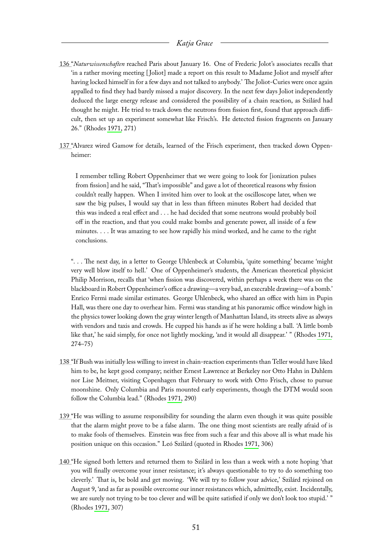## *Katja Grace*

- [136 "](#page-13-4)*Naturwissenschaften* reached Paris about January 16. One of Frederic Jolot's associates recalls that 'in a rather moving meeting [ Joliot] made a report on this result to Madame Joliot and myself after having locked himself in for a few days and not talked to anybody.' The Joliot-Curies were once again appalled to find they had barely missed a major discovery. In the next few days Joliot independently deduced the large energy release and considered the possibility of a chain reaction, as Szilárd had thought he might. He tried to track down the neutrons from fission first, found that approach difficult, then set up an experiment somewhat like Frisch's. He detected fission fragments on January 26." (Rhodes [1971,](#page-70-0) 271)
- [137 "](#page-13-5)Alvarez wired Gamow for details, learned of the Frisch experiment, then tracked down Oppenheimer:

I remember telling Robert Oppenheimer that we were going to look for [ionization pulses from fission] and he said, "That's impossible" and gave a lot of theoretical reasons why fission couldn't really happen. When I invited him over to look at the oscilloscope later, when we saw the big pulses, I would say that in less than fifteen minutes Robert had decided that this was indeed a real effect and . . . he had decided that some neutrons would probably boil off in the reaction, and that you could make bombs and generate power, all inside of a few minutes. . . . It was amazing to see how rapidly his mind worked, and he came to the right conclusions.

". . . The next day, in a letter to George Uhlenbeck at Columbia, 'quite something' became 'might very well blow itself to hell.' One of Oppenheimer's students, the American theoretical physicist Philip Morrison, recalls that 'when fission was discovered, within perhaps a week there was on the blackboard in Robert Oppenheimer's office a drawing—a very bad, an execrable drawing—of a bomb.' Enrico Fermi made similar estimates. George Uhlenbeck, who shared an office with him in Pupin Hall, was there one day to overhear him. Fermi was standing at his panoramic office window high in the physics tower looking down the gray winter length of Manhattan Island, its streets alive as always with vendors and taxis and crowds. He cupped his hands as if he were holding a ball. 'A little bomb like that,' he said simply, for once not lightly mocking, 'and it would all disappear.' " (Rhodes [1971,](#page-70-0) 274–75)

- [138 "](#page-13-6)If Bush was initially less willing to invest in chain-reaction experiments than Teller would have liked him to be, he kept good company; neither Ernest Lawrence at Berkeley nor Otto Hahn in Dahlem nor Lise Meitner, visiting Copenhagen that February to work with Otto Frisch, chose to pursue moonshine. Only Columbia and Paris mounted early experiments, though the DTM would soon follow the Columbia lead." (Rhodes [1971,](#page-70-0) 290)
- [139 "](#page-13-7)He was willing to assume responsibility for sounding the alarm even though it was quite possible that the alarm might prove to be a false alarm. The one thing most scientists are really afraid of is to make fools of themselves. Einstein was free from such a fear and this above all is what made his position unique on this occasion." Leó Szilárd (quoted in Rhodes [1971,](#page-70-0) 306)
- [140 "](#page-13-8)He signed both letters and returned them to Szilárd in less than a week with a note hoping 'that you will finally overcome your inner resistance; it's always questionable to try to do something too cleverly.' That is, be bold and get moving. 'We will try to follow your advice,' Szilárd rejoined on August 9, 'and as far as possible overcome our inner resistances which, admittedly, exist. Incidentally, we are surely not trying to be too clever and will be quite satisfied if only we don't look too stupid.' " (Rhodes [1971,](#page-70-0) 307)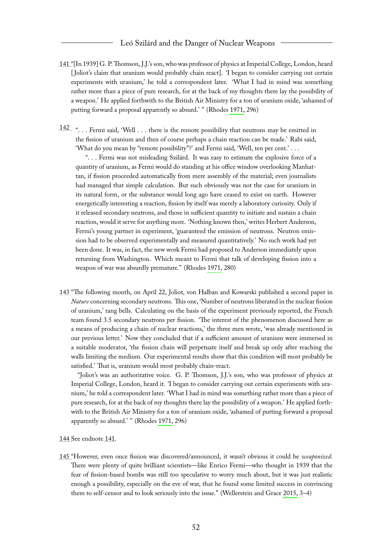- <span id="page-52-0"></span>[141 "](#page-13-9)[In 1939] G. P. Thomson, J.J.'s son, who was professor of physics at Imperial College, London, heard [ Joliot's claim that uranium would probably chain react]. 'I began to consider carrying out certain experiments with uranium,' he told a correspondent later. 'What I had in mind was something rather more than a piece of pure research, for at the back of my thoughts there lay the possibility of a weapon.' He applied forthwith to the British Air Ministry for a ton of uranium oxide, 'ashamed of putting forward a proposal apparently so absurd.' " (Rhodes [1971,](#page-70-0) 296)
- [142](#page-13-10) "... Fermi said, 'Well ... there is the remote possibility that neutrons may be emitted in the fission of uranium and then of course perhaps a chain reaction can be made.' Rabi said, 'What do you mean by "remote possibility"?' and Fermi said, 'Well, ten per cent.' . . .

". . . Fermi was not misleading Szilárd. It was easy to estimate the explosive force of a quantity of uranium, as Fermi would do standing at his office window overlooking Manhattan, if fission proceeded automatically from mere assembly of the material; even journalists had managed that simple calculation. But such obviously was not the case for uranium in its natural form, or the substance would long ago have ceased to exist on earth. However energetically interesting a reaction, fission by itself was merely a laboratory curiosity. Only if it released secondary neutrons, and those in sufficient quantity to initiate and sustain a chain reaction, would it serve for anything more. 'Nothing known then,' writes Herbert Anderson, Fermi's young partner in experiment, 'guaranteed the emission of neutrons. Neutron emission had to be observed experimentally and measured quantitatively.' No such work had yet been done. It was, in fact, the new work Fermi had proposed to Anderson immediately upon returning from Washington. Which meant to Fermi that talk of developing fission into a weapon of war was absurdly premature." (Rhodes [1971,](#page-70-0) 280)

[143 "](#page-13-11)The following month, on April 22, Joliot, von Halban and Kowarski published a second paper in *Nature* concerning secondary neutrons. This one, 'Number of neutrons liberated in the nuclear fission of uranium,' rang bells. Calculating on the basis of the experiment previously reported, the French team found 3.5 secondary neutrons per fission. 'The interest of the phenomenon discussed here as a means of producing a chain of nuclear reactions,' the three men wrote, 'was already mentioned in our previous letter.' Now they concluded that if a sufficient amount of uranium were immersed in a suitable moderator, 'the fission chain will perpetuate itself and break up only after reaching the walls limiting the medium. Our experimental results show that this condition will most probably be satisfied.' That is, uranium would most probably chain-react.

"Joliot's was an authoritative voice. G. P. Thomson, J.J.'s son, who was professor of physics at Imperial College, London, heard it. 'I began to consider carrying out certain experiments with uranium,' he told a correspondent later. 'What I had in mind was something rather more than a piece of pure research, for at the back of my thoughts there lay the possibility of a weapon.' He applied forthwith to the British Air Ministry for a ton of uranium oxide, 'ashamed of putting forward a proposal apparently so absurd.' " (Rhodes [1971,](#page-70-0) 296)

[144 S](#page-13-12)ee endnote [141.](#page-52-0)

[145 "](#page-13-13)However, even once fission was discovered/announced, it wasn't obvious it could be *weaponized*. There were plenty of quite brilliant scientists—like Enrico Fermi—who thought in 1939 that the fear of fission-based bombs was still too speculative to worry much about, but it was just realistic enough a possibility, especially on the eve of war, that he found some limited success in convincing them to self-censor and to look seriously into the issue." (Wellerstein and Grace [2015,](#page-71-1) 3–4)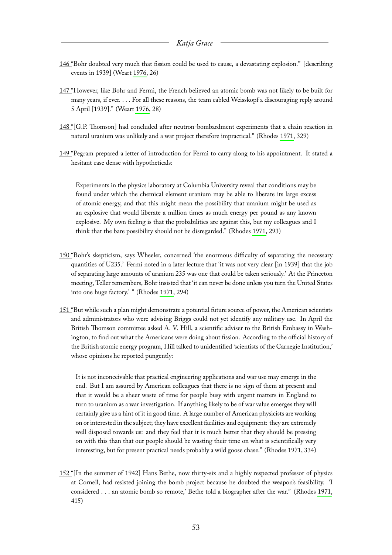- [146 "](#page-13-14)Bohr doubted very much that fission could be used to cause, a devastating explosion." [describing events in 1939] (Weart [1976,](#page-71-0) 26)
- [147 "](#page-13-15)However, like Bohr and Fermi, the French believed an atomic bomb was not likely to be built for many years, if ever. . . . For all these reasons, the team cabled Weisskopf a discouraging reply around 5 April [1939]." (Weart [1976,](#page-71-0) 28)
- [148 "](#page-13-16)[G.P. Thomson] had concluded after neutron-bombardment experiments that a chain reaction in natural uranium was unlikely and a war project therefore impractical." (Rhodes [1971,](#page-70-0) 329)
- [149 "](#page-13-17)Pegram prepared a letter of introduction for Fermi to carry along to his appointment. It stated a hesitant case dense with hypotheticals:

Experiments in the physics laboratory at Columbia University reveal that conditions may be found under which the chemical element uranium may be able to liberate its large excess of atomic energy, and that this might mean the possibility that uranium might be used as an explosive that would liberate a million times as much energy per pound as any known explosive. My own feeling is that the probabilities are against this, but my colleagues and I think that the bare possibility should not be disregarded." (Rhodes [1971,](#page-70-0) 293)

- [150 "](#page-13-18)Bohr's skepticism, says Wheeler, concerned 'the enormous difficulty of separating the necessary quantities of U235.' Fermi noted in a later lecture that 'it was not very clear [in 1939] that the job of separating large amounts of uranium 235 was one that could be taken seriously.' At the Princeton meeting, Teller remembers, Bohr insisted that 'it can never be done unless you turn the United States into one huge factory.' " (Rhodes [1971,](#page-70-0) 294)
- [151 "](#page-13-19)But while such a plan might demonstrate a potential future source of power, the American scientists and administrators who were advising Briggs could not yet identify any military use. In April the British Thomson committee asked A. V. Hill, a scientific adviser to the British Embassy in Washington, to find out what the Americans were doing about fission. According to the official history of the British atomic energy program, Hill talked to unidentified 'scientists of the Carnegie Institution,' whose opinions he reported pungently:

It is not inconceivable that practical engineering applications and war use may emerge in the end. But I am assured by American colleagues that there is no sign of them at present and that it would be a sheer waste of time for people busy with urgent matters in England to turn to uranium as a war investigation. If anything likely to be of war value emerges they will certainly give us a hint of it in good time. A large number of American physicists are working on or interested in the subject; they have excellent facilities and equipment: they are extremely well disposed towards us: and they feel that it is much better that they should be pressing on with this than that our people should be wasting their time on what is scientifically very interesting, but for present practical needs probably a wild goose chase." (Rhodes [1971,](#page-70-0) 334)

[152 "](#page-13-20)[In the summer of 1942] Hans Bethe, now thirty-six and a highly respected professor of physics at Cornell, had resisted joining the bomb project because he doubted the weapon's feasibility. 'I considered . . . an atomic bomb so remote,' Bethe told a biographer after the war." (Rhodes [1971,](#page-70-0) 415)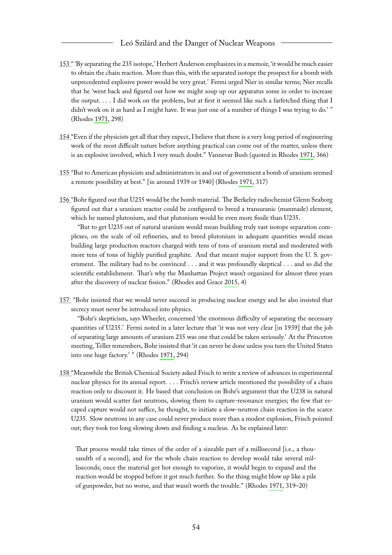- [153 "](#page-13-21) 'By separating the 235 isotope,' Herbert Anderson emphasizes in a memoir, 'it would be much easier to obtain the chain reaction. More than this, with the separated isotope the prospect for a bomb with unprecedented explosive power would be very great.' Fermi urged Nier in similar terms; Nier recalls that he 'went back and figured out how we might soup up our apparatus some in order to increase the output. . . . I did work on the problem, but at first it seemed like such a farfetched thing that I didn't work on it as hard as I might have. It was just one of a number of things I was trying to do.' " (Rhodes [1971,](#page-70-0) 298)
- [154 "](#page-13-22)Even if the physicists get all that they expect, I believe that there is a very long period of engineering work of the most difficult nature before anything practical can come out of the matter, unless there is an explosive involved, which I very much doubt." Vannevar Bush (quoted in Rhodes [1971,](#page-70-0) 366)
- [155 "](#page-13-23)But to American physicists and administrators in and out of government a bomb of uranium seemed a remote possibility at best." [in around 1939 or 1940] (Rhodes [1971,](#page-70-0) 317)
- [156 "](#page-13-24)Bohr figured out that U235 would be the bomb material. The Berkeley radiochemist Glenn Seaborg figured out that a uranium reactor could be configured to breed a transuranic (manmade) element, which he named plutonium, and that plutonium would be even more fissile than U235.

"But to get U235 out of natural uranium would mean building truly vast isotope separation complexes, on the scale of oil refineries, and to breed plutonium in adequate quantities would mean building large production reactors charged with tens of tons of uranium metal and moderated with more tens of tons of highly purified graphite. And that meant major support from the U. S. government. The military had to be convinced . . . and it was profoundly skeptical . . . and so did the scientific establishment. That's why the Manhattan Project wasn't organized for almost three years after the discovery of nuclear fission." (Rhodes and Grace [2015,](#page-70-2) 4)

[157](#page-13-25) "Bohr insisted that we would never succeed in producing nuclear energy and he also insisted that secrecy must never be introduced into physics.

"Bohr's skepticism, says Wheeler, concerned 'the enormous difficulty of separating the necessary quantities of U235.' Fermi noted in a later lecture that 'it was not very clear [in 1939] that the job of separating large amounts of uranium 235 was one that could be taken seriously.' At the Princeton meeting, Teller remembers, Bohr insisted that 'it can never be done unless you turn the United States into one huge factory.' " (Rhodes [1971,](#page-70-0) 294)

[158 "](#page-13-26)Meanwhile the British Chemical Society asked Frisch to write a review of advances in experimental nuclear physics for its annual report. . . . Frisch's review article mentioned the possibility of a chain reaction only to discount it. He based that conclusion on Bohr's argument that the U238 in natural uranium would scatter fast neutrons, slowing them to capture-resonance energies; the few that escaped capture would not suffice, he thought, to initiate a slow-neutron chain reaction in the scarce U235. Slow neutrons in any case could never produce more than a modest explosion, Frisch pointed out; they took too long slowing down and finding a nucleus. As he explained later:

That process would take times of the order of a sizeable part of a millisecond [i.e., a thousandth of a second], and for the whole chain reaction to develop would take several milliseconds; once the material got hot enough to vaporize, it would begin to expand and the reaction would be stopped before it got much further. So the thing might blow up like a pile of gunpowder, but no worse, and that wasn't worth the trouble." (Rhodes [1971,](#page-70-0) 319–20)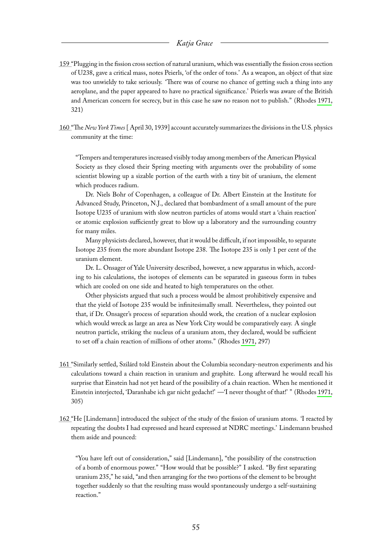#### *Katja Grace*

- [159 "](#page-13-27)Plugging in the fission cross section of natural uranium, which was essentially the fission cross section of U238, gave a critical mass, notes Peierls, 'of the order of tons.' As a weapon, an object of that size was too unwieldy to take seriously. 'There was of course no chance of getting such a thing into any aeroplane, and the paper appeared to have no practical significance.' Peierls was aware of the British and American concern for secrecy, but in this case he saw no reason not to publish." (Rhodes [1971,](#page-70-0) 321)
- [160 "](#page-14-0)The *New York Times* [ April 30, 1939] account accurately summarizes the divisions in the U.S. physics community at the time:

"Tempers and temperatures increased visibly today among members of the American Physical Society as they closed their Spring meeting with arguments over the probability of some scientist blowing up a sizable portion of the earth with a tiny bit of uranium, the element which produces radium.

Dr. Niels Bohr of Copenhagen, a colleague of Dr. Albert Einstein at the Institute for Advanced Study, Princeton, N.J., declared that bombardment of a small amount of the pure Isotope U235 of uranium with slow neutron particles of atoms would start a 'chain reaction' or atomic explosion sufficiently great to blow up a laboratory and the surrounding country for many miles.

Many physicists declared, however, that it would be difficult, if not impossible, to separate Isotope 235 from the more abundant Isotope 238. The Isotope 235 is only 1 per cent of the uranium element.

Dr. L. Onsager of Yale University described, however, a new apparatus in which, according to his calculations, the isotopes of elements can be separated in gaseous form in tubes which are cooled on one side and heated to high temperatures on the other.

Other physicists argued that such a process would be almost prohibitively expensive and that the yield of Isotope 235 would be infinitesimally small. Nevertheless, they pointed out that, if Dr. Onsager's process of separation should work, the creation of a nuclear explosion which would wreck as large an area as New York City would be comparatively easy. A single neutron particle, striking the nucleus of a uranium atom, they declared, would be sufficient to set off a chain reaction of millions of other atoms." (Rhodes [1971,](#page-70-0) 297)

- [161 "](#page-14-1)Similarly settled, Szilárd told Einstein about the Columbia secondary-neutron experiments and his calculations toward a chain reaction in uranium and graphite. Long afterward he would recall his surprise that Einstein had not yet heard of the possibility of a chain reaction. When he mentioned it Einstein interjected, 'Daranhabe ich gar nicht gedacht!' —'I never thought of that!' " (Rhodes [1971,](#page-70-0) 305)
- [162 "](#page-14-2)He [Lindemann] introduced the subject of the study of the fission of uranium atoms. 'I reacted by repeating the doubts I had expressed and heard expressed at NDRC meetings.' Lindemann brushed them aside and pounced:

"You have left out of consideration," said [Lindemann], "the possibility of the construction of a bomb of enormous power." "How would that be possible?" I asked. "By first separating uranium 235," he said, "and then arranging for the two portions of the element to be brought together suddenly so that the resulting mass would spontaneously undergo a self-sustaining reaction."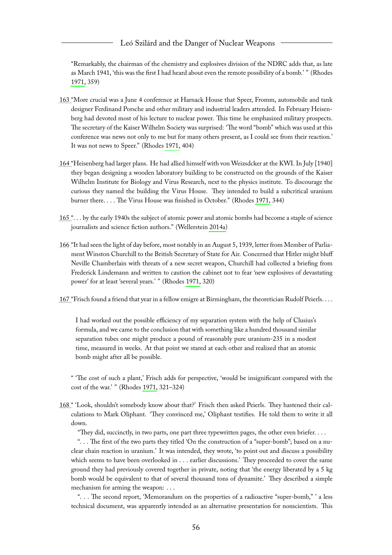"Remarkably, the chairman of the chemistry and explosives division of the NDRC adds that, as late as March 1941, 'this was the first I had heard about even the remote possibility of a bomb.' " (Rhodes [1971,](#page-70-0) 359)

- [163 "](#page-14-3)More crucial was a June 4 conference at Harnack House that Speer, Fromm, automobile and tank designer Ferdinand Porsche and other military and industrial leaders attended. In February Heisenberg had devoted most of his lecture to nuclear power. This time he emphasized military prospects. The secretary of the Kaiser Wilhelm Society was surprised: 'The word "bomb" which was used at this conference was news not only to me but for many others present, as I could see from their reaction.' It was not news to Speer." (Rhodes [1971,](#page-70-0) 404)
- [164 "](#page-14-4)Heisenberg had larger plans. He had allied himself with von Weizsdcker at the KWI. In July [1940] they began designing a wooden laboratory building to be constructed on the grounds of the Kaiser Wilhelm Institute for Biology and Virus Research, next to the physics institute. To discourage the curious they named the building the Virus House. They intended to build a subcritical uranium burner there. . . . The Virus House was finished in October." (Rhodes [1971,](#page-70-0) 344)
- [165 "](#page-14-5). . . by the early 1940s the subject of atomic power and atomic bombs had become a staple of science journalists and science fiction authors." (Wellerstein [2014a\)](#page-71-4)
- [166 "](#page-14-6)It had seen the light of day before, most notably in an August 5, 1939, letter from Member of Parliament Winston Churchill to the British Secretary of State for Air. Concerned that Hitler might bluff Neville Chamberlain with threats of a new secret weapon, Churchill had collected a briefing from Frederick Lindemann and written to caution the cabinet not to fear 'new explosives of devastating power' for at least 'several years.' " (Rhodes [1971,](#page-70-0) 320)
- [167 "](#page-14-7)Frisch found a friend that year in a fellow emigre at Birmingham, the theoretician Rudolf Peierls. . . .

I had worked out the possible efficiency of my separation system with the help of Clusius's formula, and we came to the conclusion that with something like a hundred thousand similar separation tubes one might produce a pound of reasonably pure uranium-235 in a modest time, measured in weeks. At that point we stared at each other and realized that an atomic bomb might after all be possible.

" 'The cost of such a plant,' Frisch adds for perspective, 'would be insignificant compared with the cost of the war.' " (Rhodes [1971,](#page-70-0) 321–324)

[168 "](#page-14-8) 'Look, shouldn't somebody know about that?' Frisch then asked Peierls. They hastened their calculations to Mark Oliphant. 'They convinced me,' Oliphant testifies. He told them to write it all down.

"They did, succinctly, in two parts, one part three typewritten pages, the other even briefer. . . .

". . . The first of the two parts they titled 'On the construction of a "super-bomb"; based on a nuclear chain reaction in uranium.' It was intended, they wrote, 'to point out and discuss a possibility which seems to have been overlooked in . . . earlier discussions.' They proceeded to cover the same ground they had previously covered together in private, noting that 'the energy liberated by a 5 kg bomb would be equivalent to that of several thousand tons of dynamite.' They described a simple mechanism for arming the weapon: . . .

". . . The second report, 'Memorandum on the properties of a radioactive "super-bomb," ' a less technical document, was apparently intended as an alternative presentation for nonscientists. This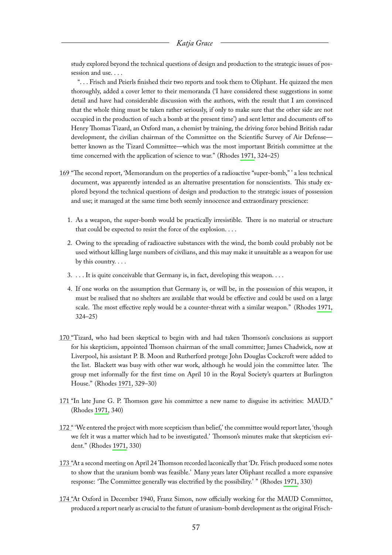study explored beyond the technical questions of design and production to the strategic issues of possession and use. . . .

". . . Frisch and Peierls finished their two reports and took them to Oliphant. He quizzed the men thoroughly, added a cover letter to their memoranda ('I have considered these suggestions in some detail and have had considerable discussion with the authors, with the result that I am convinced that the whole thing must be taken rather seriously, if only to make sure that the other side are not occupied in the production of such a bomb at the present time') and sent letter and documents off to Henry Thomas Tizard, an Oxford man, a chemist by training, the driving force behind British radar development, the civilian chairman of the Committee on the Scientific Survey of Air Defense better known as the Tizard Committee—which was the most important British committee at the time concerned with the application of science to war." (Rhodes [1971,](#page-70-0) 324–25)

- [169 "](#page-14-9)The second report, 'Memorandum on the properties of a radioactive "super-bomb," ' a less technical document, was apparently intended as an alternative presentation for nonscientists. This study explored beyond the technical questions of design and production to the strategic issues of possession and use; it managed at the same time both seemly innocence and extraordinary prescience:
	- 1. As a weapon, the super-bomb would be practically irresistible. There is no material or structure that could be expected to resist the force of the explosion. . . .
	- 2. Owing to the spreading of radioactive substances with the wind, the bomb could probably not be used without killing large numbers of civilians, and this may make it unsuitable as a weapon for use by this country. . . .
	- 3. . . . It is quite conceivable that Germany is, in fact, developing this weapon. . . .
	- 4. If one works on the assumption that Germany is, or will be, in the possession of this weapon, it must be realised that no shelters are available that would be effective and could be used on a large scale. The most effective reply would be a counter-threat with a similar weapon." (Rhodes [1971,](#page-70-0) 324–25)
- [170 "](#page-14-10)Tizard, who had been skeptical to begin with and had taken Thomson's conclusions as support for his skepticism, appointed Thomson chairman of the small committee; James Chadwick, now at Liverpool, his assistant P. B. Moon and Rutherford protege John Douglas Cockcroft were added to the list. Blackett was busy with other war work, although he would join the committee later. The group met informally for the first time on April 10 in the Royal Society's quarters at Burlington House." (Rhodes [1971,](#page-70-0) 329–30)
- [171 "](#page-14-11)In late June G. P. Thomson gave his committee a new name to disguise its activities: MAUD." (Rhodes [1971,](#page-70-0) 340)
- [172 "](#page-14-12) 'We entered the project with more scepticism than belief,' the committee would report later, 'though we felt it was a matter which had to be investigated.' Thomson's minutes make that skepticism evident." (Rhodes [1971,](#page-70-0) 330)
- [173 "](#page-14-13)At a second meeting on April 24 Thomson recorded laconically that 'Dr. Frisch produced some notes to show that the uranium bomb was feasible.' Many years later Oliphant recalled a more expansive response: 'The Committee generally was electrified by the possibility.' " (Rhodes [1971,](#page-70-0) 330)
- [174 "](#page-14-14)At Oxford in December 1940, Franz Simon, now officially working for the MAUD Committee, produced a report nearly as crucial to the future of uranium-bomb development as the original Frisch-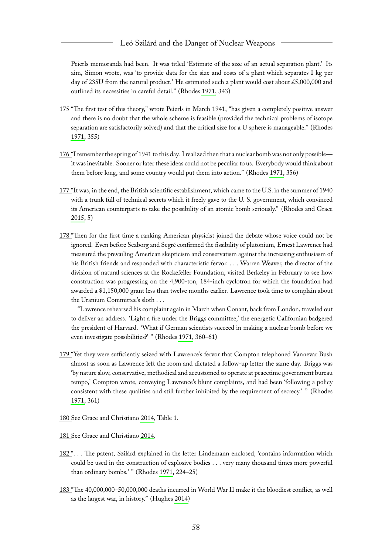Peierls memoranda had been. It was titled 'Estimate of the size of an actual separation plant.' Its aim, Simon wrote, was 'to provide data for the size and costs of a plant which separates I kg per day of 235U from the natural product.' He estimated such a plant would cost about £5,000,000 and outlined its necessities in careful detail." (Rhodes [1971,](#page-70-0) 343)

- [175 "](#page-14-15)The first test of this theory," wrote Peierls in March 1941, "has given a completely positive answer and there is no doubt that the whole scheme is feasible (provided the technical problems of isotope separation are satisfactorily solved) and that the critical size for a U sphere is manageable." (Rhodes [1971,](#page-70-0) 355)
- [176 "](#page-14-16)I remember the spring of 1941 to this day. I realized then that a nuclear bomb was not only possible it was inevitable. Sooner or later these ideas could not be peculiar to us. Everybody would think about them before long, and some country would put them into action." (Rhodes [1971,](#page-70-0) 356)
- [177 "](#page-14-17)It was, in the end, the British scientific establishment, which came to the U.S. in the summer of 1940 with a trunk full of technical secrets which it freely gave to the U. S. government, which convinced its American counterparts to take the possibility of an atomic bomb seriously." (Rhodes and Grace [2015,](#page-70-2) 5)
- [178 "](#page-14-18)Then for the first time a ranking American physicist joined the debate whose voice could not be ignored. Even before Seaborg and Segré confirmed the fissibility of plutonium, Ernest Lawrence had measured the prevailing American skepticism and conservatism against the increasing enthusiasm of his British friends and responded with characteristic fervor. . . . Warren Weaver, the director of the division of natural sciences at the Rockefeller Foundation, visited Berkeley in February to see how construction was progressing on the 4,900-ton, 184-inch cyclotron for which the foundation had awarded a \$1,150,000 grant less than twelve months earlier. Lawrence took time to complain about the Uranium Committee's sloth . . .

"Lawrence rehearsed his complaint again in March when Conant, back from London, traveled out to deliver an address. 'Light a fire under the Briggs committee,' the energetic Californian badgered the president of Harvard. 'What if German scientists succeed in making a nuclear bomb before we even investigate possibilities?' " (Rhodes [1971,](#page-70-0) 360–61)

- [179 "](#page-14-19)Yet they were sufficiently seized with Lawrence's fervor that Compton telephoned Vannevar Bush almost as soon as Lawrence left the room and dictated a follow-up letter the same day. Briggs was 'by nature slow, conservative, methodical and accustomed to operate at peacetime government bureau tempo,' Compton wrote, conveying Lawrence's blunt complaints, and had been 'following a policy consistent with these qualities and still further inhibited by the requirement of secrecy.' " (Rhodes [1971,](#page-70-0) 361)
- [180 S](#page-16-0)ee Grace and Christiano [2014,](#page-69-6) Table 1.

[181 S](#page-16-1)ee Grace and Christiano [2014.](#page-69-6)

- [182 "](#page-16-2). . . The patent, Szilárd explained in the letter Lindemann enclosed, 'contains information which could be used in the construction of explosive bodies . . . very many thousand times more powerful than ordinary bombs.' " (Rhodes [1971,](#page-70-0) 224–25)
- [183 "](#page-16-3)The 40,000,000–50,000,000 deaths incurred in World War II make it the bloodiest conflict, as well as the largest war, in history." (Hughes [2014\)](#page-69-7)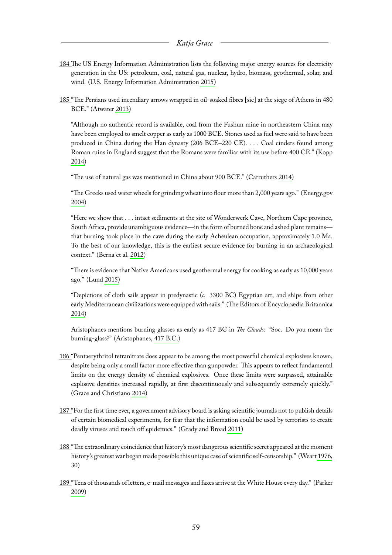- [184 Th](#page-17-0)e US Energy Information Administration lists the following major energy sources for electricity generation in the US: petroleum, coal, natural gas, nuclear, hydro, biomass, geothermal, solar, and wind. (U.S. Energy Information Administration [2015\)](#page-71-5)
- [185 "](#page-17-1)The Persians used incendiary arrows wrapped in oil-soaked fibres [sic] at the siege of Athens in 480 BCE." (Atwater [2013\)](#page-69-8)

"Although no authentic record is available, coal from the Fushun mine in northeastern China may have been employed to smelt copper as early as 1000 BCE. Stones used as fuel were said to have been produced in China during the Han dynasty (206 BCE–220 CE). . . . Coal cinders found among Roman ruins in England suggest that the Romans were familiar with its use before 400 CE." (Kopp [2014\)](#page-70-9)

"The use of natural gas was mentioned in China about 900 BCE." (Carruthers [2014\)](#page-69-9)

"The Greeks used water wheels for grinding wheat into flour more than 2,000 years ago." (Energy.gov [2004\)](#page-69-10)

"Here we show that . . . intact sediments at the site of Wonderwerk Cave, Northern Cape province, South Africa, provide unambiguous evidence—in the form of burned bone and ashed plant remains that burning took place in the cave during the early Acheulean occupation, approximately 1.0 Ma. To the best of our knowledge, this is the earliest secure evidence for burning in an archaeological context." (Berna et al. [2012\)](#page-69-11)

"There is evidence that Native Americans used geothermal energy for cooking as early as 10,000 years ago." (Lund [2015\)](#page-70-10)

"Depictions of cloth sails appear in predynastic (*c.* 3300 BC) Egyptian art, and ships from other early Mediterranean civilizations were equipped with sails." (The Editors of Encyclopædia Britannica [2014\)](#page-70-11)

Aristophanes mentions burning glasses as early as 417 BC in *The Clouds*: "Soc. Do you mean the burning-glass?" (Aristophanes, [417 B.C.\)](#page-69-12)

- [186 "](#page-17-2)Pentaerythritol tetranitrate does appear to be among the most powerful chemical explosives known, despite being only a small factor more effective than gunpowder. This appears to reflect fundamental limits on the energy density of chemical explosives. Once these limits were surpassed, attainable explosive densities increased rapidly, at first discontinuously and subsequently extremely quickly." (Grace and Christiano [2014\)](#page-69-6)
- [187 "](#page-17-3)For the first time ever, a government advisory board is asking scientific journals not to publish details of certain biomedical experiments, for fear that the information could be used by terrorists to create deadly viruses and touch off epidemics." (Grady and Broad [2011\)](#page-69-13)
- [188 "](#page-17-4)The extraordinary coincidence that history's most dangerous scientific secret appeared at the moment history's greatest war began made possible this unique case of scientific self-censorship." (Weart [1976,](#page-71-0) 30)
- [189 "](#page-17-5)Tens of thousands of letters, e-mail messages and faxes arrive at the White House every day." (Parker [2009\)](#page-70-12)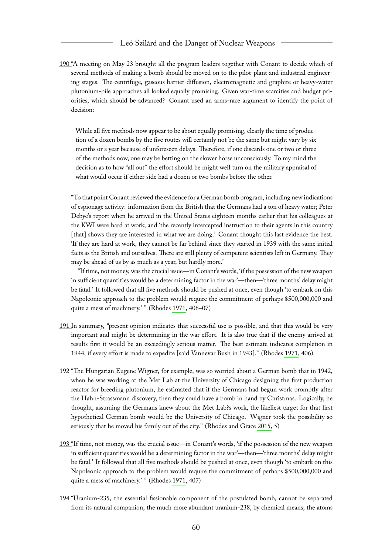[190 "](#page-18-0)A meeting on May 23 brought all the program leaders together with Conant to decide which of several methods of making a bomb should be moved on to the pilot-plant and industrial engineering stages. The centrifuge, gaseous barrier diffusion, electromagnetic and graphite or heavy-water plutonium-pile approaches all looked equally promising. Given war-time scarcities and budget priorities, which should be advanced? Conant used an arms-race argument to identify the point of decision:

While all five methods now appear to be about equally promising, clearly the time of production of a dozen bombs by the five routes will certainly not be the same but might vary by six months or a year because of unforeseen delays. Therefore, if one discards one or two or three of the methods now, one may be betting on the slower horse unconsciously. To my mind the decision as to how "all out" the effort should be might well turn on the military appraisal of what would occur if either side had a dozen or two bombs before the other.

"To that point Conant reviewed the evidence for a German bomb program, including new indications of espionage activity: information from the British that the Germans had a ton of heavy water; Peter Debye's report when he arrived in the United States eighteen months earlier that his colleagues at the KWI were hard at work; and 'the recently intercepted instruction to their agents in this country [that] shows they are interested in what we are doing.' Conant thought this last evidence the best. 'If they are hard at work, they cannot be far behind since they started in 1939 with the same initial facts as the British and ourselves. There are still plenty of competent scientists left in Germany. They may be ahead of us by as much as a year, but hardly more.'

"If time, not money, was the crucial issue—in Conant's words, 'if the possession of the new weapon in sufficient quantities would be a determining factor in the war'—then—'three months' delay might be fatal.' It followed that all five methods should be pushed at once, even though 'to embark on this Napoleonic approach to the problem would require the commitment of perhaps \$500,000,000 and quite a mess of machinery.' " (Rhodes [1971,](#page-70-0) 406–07)

- [191 I](#page-18-1)n summary, "present opinion indicates that successful use is possible, and that this would be very important and might be determining in the war effort. It is also true that if the enemy arrived at results first it would be an exceedingly serious matter. The best estimate indicates completion in 1944, if every effort is made to expedite [said Vannevar Bush in 1943]." (Rhodes [1971,](#page-70-0) 406)
- [192 "](#page-18-2)The Hungarian Eugene Wigner, for example, was so worried about a German bomb that in 1942, when he was working at the Met Lab at the University of Chicago designing the first production reactor for breeding plutonium, he estimated that if the Germans had begun work promptly after the Hahn-Strassmann discovery, then they could have a bomb in hand by Christmas. Logically, he thought, assuming the Germans knew about the Met Lab?s work, the likeliest target for that first hypothetical German bomb would be the University of Chicago. Wigner took the possibility so seriously that he moved his family out of the city." (Rhodes and Grace [2015,](#page-70-2) 5)
- [193 "](#page-18-3)If time, not money, was the crucial issue—in Conant's words, 'if the possession of the new weapon in sufficient quantities would be a determining factor in the war'—then—'three months' delay might be fatal.' It followed that all five methods should be pushed at once, even though 'to embark on this Napoleonic approach to the problem would require the commitment of perhaps \$500,000,000 and quite a mess of machinery.' " (Rhodes [1971,](#page-70-0) 407)
- [194 "](#page-18-4)Uranium-235, the essential fissionable component of the postulated bomb, cannot be separated from its natural companion, the much more abundant uranium-238, by chemical means; the atoms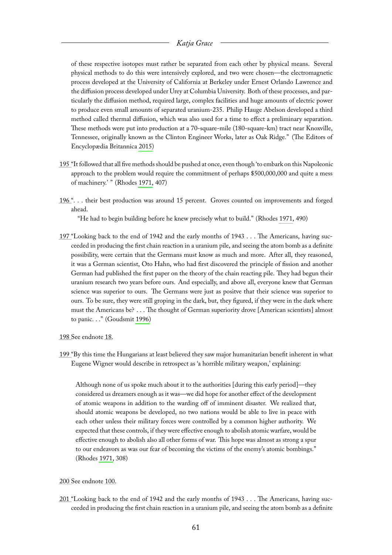of these respective isotopes must rather be separated from each other by physical means. Several physical methods to do this were intensively explored, and two were chosen—the electromagnetic process developed at the University of California at Berkeley under Ernest Orlando Lawrence and the diffusion process developed under Urey at Columbia University. Both of these processes, and particularly the diffusion method, required large, complex facilities and huge amounts of electric power to produce even small amounts of separated uranium-235. Philip Hauge Abelson developed a third method called thermal diffusion, which was also used for a time to effect a preliminary separation. These methods were put into production at a 70-square-mile (180-square-km) tract near Knoxville, Tennessee, originally known as the Clinton Engineer Works, later as Oak Ridge." (The Editors of Encyclopædia Britannica [2015\)](#page-70-13)

- [195 "](#page-18-5)It followed that all five methods should be pushed at once, even though 'to embark on this Napoleonic approach to the problem would require the commitment of perhaps \$500,000,000 and quite a mess of machinery.' " (Rhodes [1971,](#page-70-0) 407)
- [196 "](#page-18-6). . . their best production was around 15 percent. Groves counted on improvements and forged ahead.

"He had to begin building before he knew precisely what to build." (Rhodes [1971,](#page-70-0) 490)

- [197 "](#page-19-0)Looking back to the end of 1942 and the early months of 1943 . . . The Americans, having succeeded in producing the first chain reaction in a uranium pile, and seeing the atom bomb as a definite possibility, were certain that the Germans must know as much and more. After all, they reasoned, it was a German scientist, Oto Hahn, who had first discovered the principle of fission and another German had published the first paper on the theory of the chain reacting pile. They had begun their uranium research two years before ours. And especially, and above all, everyone knew that German science was superior to ours. The Germans were just as positve that their science was superior to ours. To be sure, they were still groping in the dark, but, they figured, if they were in the dark where must the Americans be? . . . The thought of German superiority drove [American scientists] almost to panic. . ." (Goudsmit [1996\)](#page-69-14)
- [198 S](#page-20-0)ee endnote [18.](#page-33-0)
- [199 "](#page-21-0)By this time the Hungarians at least believed they saw major humanitarian benefit inherent in what Eugene Wigner would describe in retrospect as 'a horrible military weapon,' explaining:

Although none of us spoke much about it to the authorities [during this early period]—they considered us dreamers enough as it was—we did hope for another effect of the development of atomic weapons in addition to the warding off of imminent disaster. We realized that, should atomic weapons be developed, no two nations would be able to live in peace with each other unless their military forces were controlled by a common higher authority. We expected that these controls, if they were effective enough to abolish atomic warfare, would be effective enough to abolish also all other forms of war. This hope was almost as strong a spur to our endeavors as was our fear of becoming the victims of the enemy's atomic bombings." (Rhodes [1971,](#page-70-0) 308)

- [200 S](#page-23-0)ee endnote [100.](#page-46-0)
- [201 "](#page-23-1)Looking back to the end of 1942 and the early months of 1943 . . . The Americans, having succeeded in producing the first chain reaction in a uranium pile, and seeing the atom bomb as a definite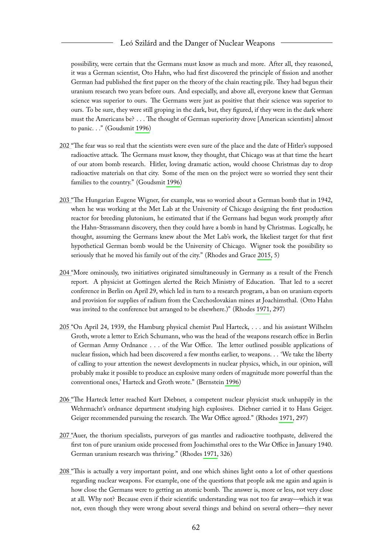possibility, were certain that the Germans must know as much and more. After all, they reasoned, it was a German scientist, Oto Hahn, who had first discovered the principle of fission and another German had published the first paper on the theory of the chain reacting pile. They had begun their uranium research two years before ours. And especially, and above all, everyone knew that German science was superior to ours. The Germans were just as positive that their science was superior to ours. To be sure, they were still groping in the dark, but, they figured, if they were in the dark where must the Americans be? . . . The thought of German superiority drove [American scientists] almost to panic. . ." (Goudsmit [1996\)](#page-69-14)

- [202 "](#page-23-2)The fear was so real that the scientists were even sure of the place and the date of Hitler's supposed radioactive attack. The Germans must know, they thought, that Chicago was at that time the heart of our atom bomb research. Hitler, loving dramatic action, would choose Christmas day to drop radioactive materials on that city. Some of the men on the project were so worried they sent their families to the country." (Goudsmit [1996\)](#page-69-14)
- [203 "](#page-23-3)The Hungarian Eugene Wigner, for example, was so worried about a German bomb that in 1942, when he was working at the Met Lab at the University of Chicago designing the first production reactor for breeding plutonium, he estimated that if the Germans had begun work promptly after the Hahn-Strassmann discovery, then they could have a bomb in hand by Christmas. Logically, he thought, assuming the Germans knew about the Met Lab's work, the likeliest target for that first hypothetical German bomb would be the University of Chicago. Wigner took the possibility so seriously that he moved his family out of the city." (Rhodes and Grace [2015,](#page-70-2) 5)
- [204 "](#page-23-4)More ominously, two initiatives originated simultaneously in Germany as a result of the French report. A physicist at Gottingen alerted the Reich Ministry of Education. That led to a secret conference in Berlin on April 29, which led in turn to a research program, a ban on uranium exports and provision for supplies of radium from the Czechoslovakian mines at Joachimsthal. (Otto Hahn was invited to the conference but arranged to be elsewhere.)" (Rhodes [1971,](#page-70-0) 297)
- [205 "](#page-24-0)On April 24, 1939, the Hamburg physical chemist Paul Harteck, . . . and his assistant Wilhelm Groth, wrote a letter to Erich Schumann, who was the head of the weapons research office in Berlin of German Army Ordnance . . . of the War Office. The letter outlined possible applications of nuclear fission, which had been discovered a few months earlier, to weapons. . . 'We take the liberty of calling to your attention the newest developments in nuclear physics, which, in our opinion, will probably make it possible to produce an explosive many orders of magnitude more powerful than the conventional ones,' Harteck and Groth wrote." (Bernstein [1996\)](#page-69-15)
- [206 "](#page-24-1)The Harteck letter reached Kurt Diebner, a competent nuclear physicist stuck unhappily in the Wehrmacht's ordnance department studying high explosives. Diebner carried it to Hans Geiger. Geiger recommended pursuing the research. The War Office agreed." (Rhodes [1971,](#page-70-0) 297)
- [207 "](#page-24-2)Auer, the thorium specialists, purveyors of gas mantles and radioactive toothpaste, delivered the first ton of pure uranium oxide processed from Joachimsthal ores to the War Office in January 1940. German uranium research was thriving." (Rhodes [1971,](#page-70-0) 326)
- [208 "](#page-24-3)This is actually a very important point, and one which shines light onto a lot of other questions regarding nuclear weapons. For example, one of the questions that people ask me again and again is how close the Germans were to getting an atomic bomb. The answer is, more or less, not very close at all. Why not? Because even if their scientific understanding was not too far away—which it was not, even though they were wrong about several things and behind on several others—they never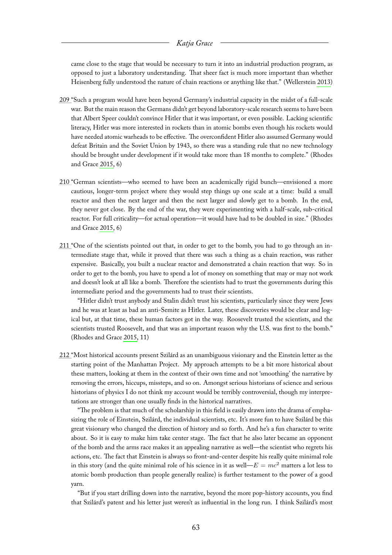#### *Katja Grace*

came close to the stage that would be necessary to turn it into an industrial production program, as opposed to just a laboratory understanding. That sheer fact is much more important than whether Heisenberg fully understood the nature of chain reactions or anything like that." (Wellerstein [2013\)](#page-71-6)

- [209 "](#page-24-4)Such a program would have been beyond Germany's industrial capacity in the midst of a full-scale war. But the main reason the Germans didn't get beyond laboratory-scale research seems to have been that Albert Speer couldn't convince Hitler that it was important, or even possible. Lacking scientific literacy, Hitler was more interested in rockets than in atomic bombs even though his rockets would have needed atomic warheads to be effective. The overconfident Hitler also assumed Germany would defeat Britain and the Soviet Union by 1943, so there was a standing rule that no new technology should be brought under development if it would take more than 18 months to complete." (Rhodes and Grace [2015,](#page-70-2) 6)
- [210 "](#page-24-5)German scientists—who seemed to have been an academically rigid bunch—envisioned a more cautious, longer-term project where they would step things up one scale at a time: build a small reactor and then the next larger and then the next larger and slowly get to a bomb. In the end, they never got close. By the end of the war, they were experimenting with a half-scale, sub-critical reactor. For full criticality—for actual operation—it would have had to be doubled in size." (Rhodes and Grace [2015,](#page-70-2) 6)
- [211 "](#page-24-6)One of the scientists pointed out that, in order to get to the bomb, you had to go through an intermediate stage that, while it proved that there was such a thing as a chain reaction, was rather expensive. Basically, you built a nuclear reactor and demonstrated a chain reaction that way. So in order to get to the bomb, you have to spend a lot of money on something that may or may not work and doesn't look at all like a bomb. Therefore the scientists had to trust the governments during this intermediate period and the governments had to trust their scientists.

"Hitler didn't trust anybody and Stalin didn't trust his scientists, particularly since they were Jews and he was at least as bad an anti-Semite as Hitler. Later, these discoveries would be clear and logical but, at that time, these human factors got in the way. Roosevelt trusted the scientists, and the scientists trusted Roosevelt, and that was an important reason why the U.S. was first to the bomb." (Rhodes and Grace [2015,](#page-70-2) 11)

[212 "](#page-24-7)Most historical accounts present Szilárd as an unambiguous visionary and the Einstein letter as the starting point of the Manhattan Project. My approach attempts to be a bit more historical about these matters, looking at them in the context of their own time and not 'smoothing' the narrative by removing the errors, hiccups, missteps, and so on. Amongst serious historians of science and serious historians of physics I do not think my account would be terribly controversial, though my interpretations are stronger than one usually finds in the historical narratives.

"The problem is that much of the scholarship in this field is easily drawn into the drama of emphasizing the role of Einstein, Szilárd, the individual scientists, etc. It's more fun to have Szilárd be this great visionary who changed the direction of history and so forth. And he's a fun character to write about. So it is easy to make him take center stage. The fact that he also later became an opponent of the bomb and the arms race makes it an appealing narrative as well—the scientist who regrets his actions, etc. The fact that Einstein is always so front-and-center despite his really quite minimal role in this story (and the quite minimal role of his science in it as well— $E = mc^2$  matters a lot less to atomic bomb production than people generally realize) is further testament to the power of a good yarn.

"But if you start drilling down into the narrative, beyond the more pop-history accounts, you find that Szilárd's patent and his letter just weren't as influential in the long run. I think Szilárd's most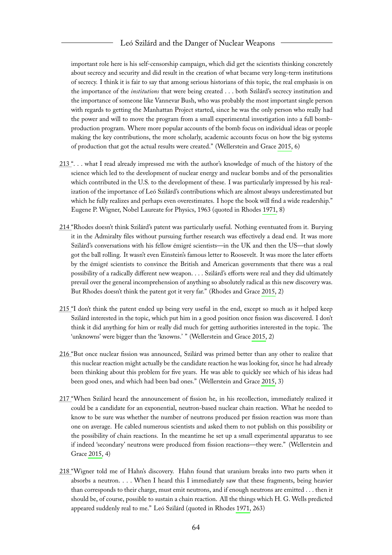important role here is his self-censorship campaign, which did get the scientists thinking concretely about secrecy and security and did result in the creation of what became very long-term institutions of secrecy. I think it is fair to say that among serious historians of this topic, the real emphasis is on the importance of the *institutions* that were being created . . . both Szilárd's secrecy institution and the importance of someone like Vannevar Bush, who was probably the most important single person with regards to getting the Manhattan Project started, since he was the only person who really had the power and will to move the program from a small experimental investigation into a full bombproduction program. Where more popular accounts of the bomb focus on individual ideas or people making the key contributions, the more scholarly, academic accounts focus on how the big systems of production that got the actual results were created." (Wellerstein and Grace [2015,](#page-71-1) 6)

- [213 "](#page-24-8). . . what I read already impressed me with the author's knowledge of much of the history of the science which led to the development of nuclear energy and nuclear bombs and of the personalities which contributed in the U.S. to the development of these. I was particularly impressed by his realization of the importance of Leó Szilárd's contributions which are almost always underestimated but which he fully realizes and perhaps even overestimates. I hope the book will find a wide readership." Eugene P. Wigner, Nobel Laureate for Physics, 1963 (quoted in Rhodes [1971,](#page-70-0) 8)
- [214 "](#page-25-0)Rhodes doesn't think Szilárd's patent was particularly useful. Nothing eventuated from it. Burying it in the Admiralty files without pursuing further research was effectively a dead end. It was more Szilárd's conversations with his fellow émigré scientists—in the UK and then the US—that slowly got the ball rolling. It wasn't even Einstein's famous letter to Roosevelt. It was more the later efforts by the émigré scientists to convince the British and American governments that there was a real possibility of a radically different new weapon. . . . Szilárd's efforts were real and they did ultimately prevail over the general incomprehension of anything so absolutely radical as this new discovery was. But Rhodes doesn't think the patent got it very far." (Rhodes and Grace [2015,](#page-70-2) 2)
- [215 "](#page-25-1)I don't think the patent ended up being very useful in the end, except so much as it helped keep Szilárd interested in the topic, which put him in a good position once fission was discovered. I don't think it did anything for him or really did much for getting authorities interested in the topic. The 'unknowns' were bigger than the 'knowns.' " (Wellerstein and Grace [2015,](#page-71-1) 2)
- [216 "](#page-25-2)But once nuclear fission was announced, Szilárd was primed better than any other to realize that this nuclear reaction might actually be the candidate reaction he was looking for, since he had already been thinking about this problem for five years. He was able to quickly see which of his ideas had been good ones, and which had been bad ones." (Wellerstein and Grace [2015,](#page-71-1) 3)
- [217 "](#page-25-3)When Szilárd heard the announcement of fission he, in his recollection, immediately realized it could be a candidate for an exponential, neutron-based nuclear chain reaction. What he needed to know to be sure was whether the number of neutrons produced per fission reaction was more than one on average. He cabled numerous scientists and asked them to not publish on this possibility or the possibility of chain reactions. In the meantime he set up a small experimental apparatus to see if indeed 'secondary' neutrons were produced from fission reactions—they were." (Wellerstein and Grace [2015,](#page-71-1) 4)
- [218 "](#page-25-4)Wigner told me of Hahn's discovery. Hahn found that uranium breaks into two parts when it absorbs a neutron. . . . When I heard this I immediately saw that these fragments, being heavier than corresponds to their charge, must emit neutrons, and if enough neutrons are emitted . . . then it should be, of course, possible to sustain a chain reaction. All the things which H. G. Wells predicted appeared suddenly real to me." Leó Szilárd (quoted in Rhodes [1971,](#page-70-0) 263)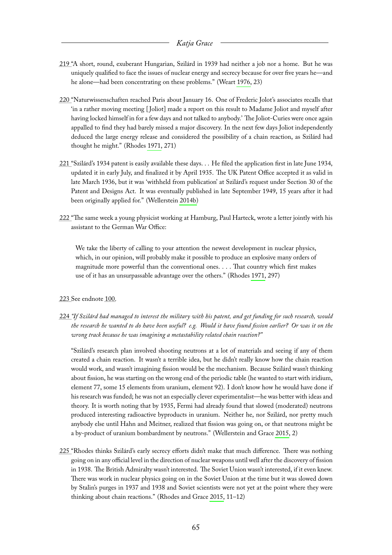- [219 "](#page-25-5)A short, round, exuberant Hungarian, Szilárd in 1939 had neither a job nor a home. But he was uniquely qualified to face the issues of nuclear energy and secrecy because for over five years he—and he alone—had been concentrating on these problems." (Weart [1976,](#page-71-0) 23)
- [220 "](#page-25-6)Naturwissenschaften reached Paris about January 16. One of Frederic Jolot's associates recalls that 'in a rather moving meeting [ Joliot] made a report on this result to Madame Joliot and myself after having locked himself in for a few days and not talked to anybody.' The Joliot-Curies were once again appalled to find they had barely missed a major discovery. In the next few days Joliot independently deduced the large energy release and considered the possibility of a chain reaction, as Szilárd had thought he might." (Rhodes [1971,](#page-70-0) 271)
- [221 "](#page-25-7)Szilárd's 1934 patent is easily available these days. . . He filed the application first in late June 1934, updated it in early July, and finalized it by April 1935. The UK Patent Office accepted it as valid in late March 1936, but it was 'withheld from publication' at Szilárd's request under Section 30 of the Patent and Designs Act. It was eventually published in late September 1949, 15 years after it had been originally applied for." (Wellerstein [2014b\)](#page-71-7)
- [222 "](#page-25-8)The same week a young physicist working at Hamburg, Paul Harteck, wrote a letter jointly with his assistant to the German War Office:

We take the liberty of calling to your attention the newest development in nuclear physics, which, in our opinion, will probably make it possible to produce an explosive many orders of magnitude more powerful than the conventional ones. . . . That country which first makes use of it has an unsurpassable advantage over the others." (Rhodes [1971,](#page-70-0) 297)

#### [223 S](#page-25-9)ee endnote [100.](#page-46-0)

[224](#page-25-10) *"If Szilárd had managed to interest the military with his patent, and get funding for such research, would the research he wanted to do have been useful? e.g. Would it have found fission earlier? Or was it on the wrong track because he was imagining a metastability related chain reaction?"*

"Szilárd's research plan involved shooting neutrons at a lot of materials and seeing if any of them created a chain reaction. It wasn't a terrible idea, but he didn't really know how the chain reaction would work, and wasn't imagining fission would be the mechanism. Because Szilárd wasn't thinking about fission, he was starting on the wrong end of the periodic table (he wanted to start with iridium, element 77, some 15 elements from uranium, element 92). I don't know how he would have done if his research was funded; he was not an especially clever experimentalist—he was better with ideas and theory. It is worth noting that by 1935, Fermi had already found that slowed (moderated) neutrons produced interesting radioactive byproducts in uranium. Neither he, nor Szilárd, nor pretty much anybody else until Hahn and Meitner, realized that fission was going on, or that neutrons might be a by-product of uranium bombardment by neutrons." (Wellerstein and Grace [2015,](#page-71-1) 2)

[225 "](#page-25-11)Rhodes thinks Szilárd's early secrecy efforts didn't make that much difference. There was nothing going on in any official level in the direction of nuclear weapons until well after the discovery of fission in 1938. The British Admiralty wasn't interested. The Soviet Union wasn't interested, if it even knew. There was work in nuclear physics going on in the Soviet Union at the time but it was slowed down by Stalin's purges in 1937 and 1938 and Soviet scientists were not yet at the point where they were thinking about chain reactions." (Rhodes and Grace [2015,](#page-70-2) 11–12)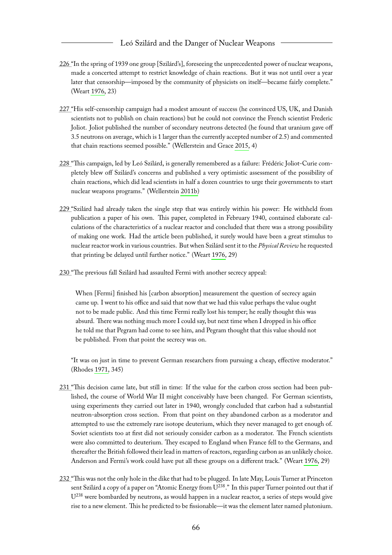- [226 "](#page-25-12)In the spring of 1939 one group [Szilárd's], foreseeing the unprecedented power of nuclear weapons, made a concerted attempt to restrict knowledge of chain reactions. But it was not until over a year later that censorship—imposed by the community of physicists on itself—became fairly complete." (Weart [1976,](#page-71-0) 23)
- [227 "](#page-25-13)His self-censorship campaign had a modest amount of success (he convinced US, UK, and Danish scientists not to publish on chain reactions) but he could not convince the French scientist Frederic Joliot. Joliot published the number of secondary neutrons detected (he found that uranium gave off 3.5 neutrons on average, which is 1 larger than the currently accepted number of 2.5) and commented that chain reactions seemed possible." (Wellerstein and Grace [2015,](#page-71-1) 4)
- [228 "](#page-25-14)This campaign, led by Leó Szilárd, is generally remembered as a failure: Frédéric Joliot-Curie completely blew off Szilárd's concerns and published a very optimistic assessment of the possibility of chain reactions, which did lead scientists in half a dozen countries to urge their governments to start nuclear weapons programs." (Wellerstein [2011b\)](#page-71-8)
- [229 "](#page-26-0)Szilárd had already taken the single step that was entirely within his power: He withheld from publication a paper of his own. This paper, completed in February 1940, contained elaborate calculations of the characteristics of a nuclear reactor and concluded that there was a strong possibility of making one work. Had the article been published, it surely would have been a great stimulus to nuclear reactor work in various countries. But when Szilárd sent it to the *Physical Review* he requested that printing be delayed until further notice." (Weart [1976,](#page-71-0) 29)
- [230 "](#page-26-1)The previous fall Szilárd had assaulted Fermi with another secrecy appeal:

When [Fermi] finished his [carbon absorption] measurement the question of secrecy again came up. I went to his office and said that now that we had this value perhaps the value ought not to be made public. And this time Fermi really lost his temper; he really thought this was absurd. There was nothing much more I could say, but next time when I dropped in his office he told me that Pegram had come to see him, and Pegram thought that this value should not be published. From that point the secrecy was on.

"It was on just in time to prevent German researchers from pursuing a cheap, effective moderator." (Rhodes [1971,](#page-70-0) 345)

- [231 "](#page-26-2)This decision came late, but still in time: If the value for the carbon cross section had been published, the course of World War II might conceivably have been changed. For German scientists, using experiments they carried out later in 1940, wrongly concluded that carbon had a substantial neutron-absorption cross section. From that point on they abandoned carbon as a moderator and attempted to use the extremely rare isotope deuterium, which they never managed to get enough of. Soviet scientists too at first did not seriously consider carbon as a moderator. The French scientists were also committed to deuterium. They escaped to England when France fell to the Germans, and thereafter the British followed their lead in matters of reactors, regarding carbon as an unlikely choice. Anderson and Fermi's work could have put all these groups on a different track." (Weart [1976,](#page-71-0) 29)
- [232 "](#page-26-3)This was not the only hole in the dike that had to be plugged. In late May, Louis Turner at Princeton sent Szilárd a copy of a paper on "Atomic Energy from U<sup>238</sup>." In this paper Turner pointed out that if  $U^{238}$  were bombarded by neutrons, as would happen in a nuclear reactor, a series of steps would give rise to a new element. This he predicted to be fissionable—it was the element later named plutonium.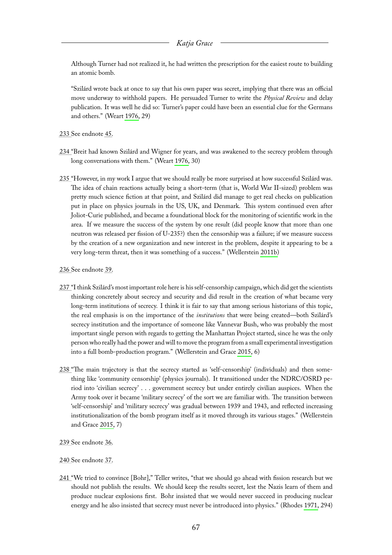Although Turner had not realized it, he had written the prescription for the easiest route to building an atomic bomb.

"Szilárd wrote back at once to say that his own paper was secret, implying that there was an official move underway to withhold papers. He persuaded Turner to write the *Physical Review* and delay publication. It was well he did so: Turner's paper could have been an essential clue for the Germans and others." (Weart [1976,](#page-71-0) 29)

[233 S](#page-26-4)ee endnote [45.](#page-38-0)

- [234 "](#page-26-5)Breit had known Szilárd and Wigner for years, and was awakened to the secrecy problem through long conversations with them." (Weart [1976,](#page-71-0) 30)
- [235 "](#page-26-6)However, in my work I argue that we should really be more surprised at how successful Szilárd was. The idea of chain reactions actually being a short-term (that is, World War II-sized) problem was pretty much science fiction at that point, and Szilárd did manage to get real checks on publication put in place on physics journals in the US, UK, and Denmark. This system continued even after Joliot-Curie published, and became a foundational block for the monitoring of scientific work in the area. If we measure the success of the system by one result (did people know that more than one neutron was released per fission of U-235?) then the censorship was a failure; if we measure success by the creation of a new organization and new interest in the problem, despite it appearing to be a very long-term threat, then it was something of a success." (Wellerstein [2011b\)](#page-71-8)

[236 S](#page-26-7)ee endnote [39.](#page-37-0)

- [237 "](#page-26-8)I think Szilárd's most important role here is his self-censorship campaign, which did get the scientists thinking concretely about secrecy and security and did result in the creation of what became very long-term institutions of secrecy. I think it is fair to say that among serious historians of this topic, the real emphasis is on the importance of the *institutions* that were being created—both Szilárd's secrecy institution and the importance of someone like Vannevar Bush, who was probably the most important single person with regards to getting the Manhattan Project started, since he was the only person who really had the power and will to move the program from a small experimental investigation into a full bomb-production program." (Wellerstein and Grace [2015,](#page-71-1) 6)
- [238 "](#page-26-9)The main trajectory is that the secrecy started as 'self-censorship' (individuals) and then something like 'community censorship' (physics journals). It transitioned under the NDRC/OSRD period into 'civilian secrecy' . . . government secrecy but under entirely civilian auspices. When the Army took over it became 'military secrecy' of the sort we are familiar with. The transition between 'self-censorship' and 'military secrecy' was gradual between 1939 and 1943, and reflected increasing institutionalization of the bomb program itself as it moved through its various stages." (Wellerstein and Grace [2015,](#page-71-1) 7)
- [239 S](#page-26-10)ee endnote [36.](#page-37-1)
- [240 S](#page-26-11)ee endnote [37.](#page-37-2)
- [241 "](#page-30-0)We tried to convince [Bohr]," Teller writes, "that we should go ahead with fission research but we should not publish the results. We should keep the results secret, lest the Nazis learn of them and produce nuclear explosions first. Bohr insisted that we would never succeed in producing nuclear energy and he also insisted that secrecy must never be introduced into physics." (Rhodes [1971,](#page-70-0) 294)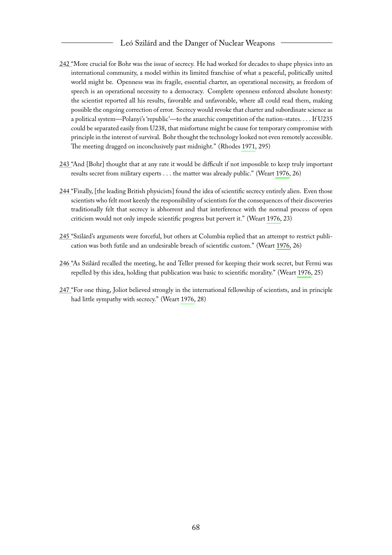- [242 "](#page-30-1)More crucial for Bohr was the issue of secrecy. He had worked for decades to shape physics into an international community, a model within its limited franchise of what a peaceful, politically united world might be. Openness was its fragile, essential charter, an operational necessity, as freedom of speech is an operational necessity to a democracy. Complete openness enforced absolute honesty: the scientist reported all his results, favorable and unfavorable, where all could read them, making possible the ongoing correction of error. Secrecy would revoke that charter and subordinate science as a political system—Polanyi's 'republic'—to the anarchic competition of the nation-states. . . . If U235 could be separated easily from U238, that misfortune might be cause for temporary compromise with principle in the interest of survival. Bohr thought the technology looked not even remotely accessible. The meeting dragged on inconclusively past midnight." (Rhodes [1971,](#page-70-0) 295)
- [243 "](#page-30-2)And [Bohr] thought that at any rate it would be difficult if not impossible to keep truly important results secret from military experts . . . the matter was already public." (Weart [1976,](#page-71-0) 26)
- [244 "](#page-30-3)Finally, [the leading British physicists] found the idea of scientific secrecy entirely alien. Even those scientists who felt most keenly the responsibility of scientists for the consequences of their discoveries traditionally felt that secrecy is abhorrent and that interference with the normal process of open criticism would not only impede scientific progress but pervert it." (Weart [1976,](#page-71-0) 23)
- [245 "](#page-30-4)Szilárd's arguments were forceful, but others at Columbia replied that an attempt to restrict publication was both futile and an undesirable breach of scientific custom." (Weart [1976,](#page-71-0) 26)
- [246 "](#page-30-5)As Szilárd recalled the meeting, he and Teller pressed for keeping their work secret, but Fermi was repelled by this idea, holding that publication was basic to scientific morality." (Weart [1976,](#page-71-0) 25)
- [247 "](#page-30-6)For one thing, Joliot believed strongly in the international fellowship of scientists, and in principle had little sympathy with secrecy." (Weart [1976,](#page-71-0) 28)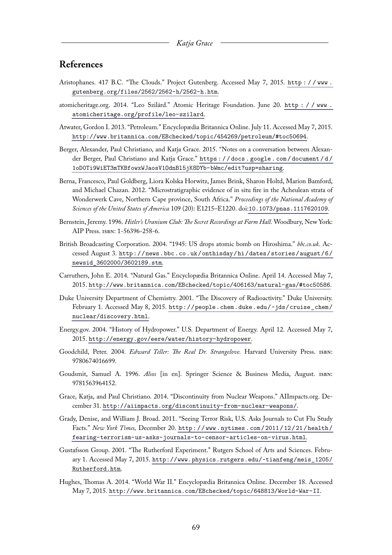# **References**

- <span id="page-69-12"></span>Aristophanes. 417 B.C. "The Clouds." Project Gutenberg. Accessed May 7, 2015. [http : / / www .](http://www.gutenberg.org/files/2562/2562-h/2562-h.htm) [gutenberg.org/files/2562/2562-h/2562-h.htm](http://www.gutenberg.org/files/2562/2562-h/2562-h.htm).
- <span id="page-69-5"></span>atomicheritage.org. 2014. "Leo Szilárd." Atomic Heritage Foundation. June 20. [http : / / www .](http://www.atomicheritage.org/profile/leo-szilard) [atomicheritage.org/profile/leo-szilard](http://www.atomicheritage.org/profile/leo-szilard).
- <span id="page-69-8"></span>Atwater, Gordon I. 2013. "Petroleum." Encyclopædia Britannica Online. July 11. Accessed May 7, 2015. <http://www.britannica.com/EBchecked/topic/454269/petroleum/#toc50694>.
- <span id="page-69-1"></span>Berger, Alexander, Paul Christiano, and Katja Grace. 2015. "Notes on a conversation between Alexander Berger, Paul Christiano and Katja Grace." [https : / / docs . google . com / document / d /](https://docs.google.com/document/d/1oD0Ti9WiET3mTKBfowxWJaosV1OdnBl5jK8DYb-bWmc/edit?usp=sharing) [1oD0Ti9WiET3mTKBfowxWJaosV1OdnBl5jK8DYb-bWmc/edit?usp=sharing](https://docs.google.com/document/d/1oD0Ti9WiET3mTKBfowxWJaosV1OdnBl5jK8DYb-bWmc/edit?usp=sharing).
- <span id="page-69-11"></span>Berna, Francesco, Paul Goldberg, Liora Kolska Horwitz, James Brink, Sharon Holtd, Marion Bamford, and Michael Chazan. 2012. "Microstratigraphic evidence of in situ fire in the Acheulean strata of Wonderwerk Cave, Northern Cape province, South Africa." *Proceedings of the National Academy of Sciences of the United States of America* 109 (20): E1215–E1220. doi:[10.1073/pnas.1117620109](http://dx.doi.org/10.1073/pnas.1117620109).
- <span id="page-69-15"></span>Bernstein, Jeremy. 1996. *Hitler's Uranium Club: The Secret Recordings at Farm Hall.* Woodbury, New York: AIP Press. isbn: 1-56396-258-6.
- <span id="page-69-2"></span>British Broadcasting Corporation. 2004. "1945: US drops atomic bomb on Hiroshima." *bbc.co.uk.* Accessed August 3. [http://news.bbc.co.uk/onthisday/hi/dates/stories/august/6/](http://news.bbc.co.uk/onthisday/hi/dates/stories/august/6/newsid_3602000/3602189.stm) [newsid\\_3602000/3602189.stm](http://news.bbc.co.uk/onthisday/hi/dates/stories/august/6/newsid_3602000/3602189.stm).
- <span id="page-69-9"></span>Carruthers, John E. 2014. "Natural Gas." Encyclopædia Britannica Online. April 14. Accessed May 7, 2015. <http://www.britannica.com/EBchecked/topic/406163/natural-gas/#toc50586>.
- <span id="page-69-4"></span>Duke University Department of Chemistry. 2001. "The Discovery of Radioactivity." Duke University. February 1. Accessed May 8, 2015. [http://people.chem.duke.edu/~jds/cruise\\_chem/](http://people.chem.duke.edu/~jds/cruise_chem/nuclear/discovery.html) [nuclear/discovery.html](http://people.chem.duke.edu/~jds/cruise_chem/nuclear/discovery.html).
- <span id="page-69-10"></span>Energy.gov. 2004. "History of Hydropower." U.S. Department of Energy. April 12. Accessed May 7, 2015. <http://energy.gov/eere/water/history-hydropower>.
- <span id="page-69-0"></span>Goodchild, Peter. 2004. *Edward Teller: The Real Dr. Strangelove.* Harvard University Press. isbn: 9780674016699.
- <span id="page-69-14"></span>Goudsmit, Samuel A. 1996. *Alsos* [in en]. Springer Science & Business Media, August. isbn: 9781563964152.
- <span id="page-69-6"></span>Grace, Katja, and Paul Christiano. 2014. "Discontinuity from Nuclear Weapons." AIImpacts.org. December 31. <http://aiimpacts.org/discontinuity-from-nuclear-weapons/>.
- <span id="page-69-13"></span>Grady, Denise, and William J. Broad. 2011. "Seeing Terror Risk, U.S. Asks Journals to Cut Flu Study Facts." *New York Times,* December 20. [http : / / www . nytimes . com / 2011 / 12 / 21 / health /](http://www.nytimes.com/2011/12/21/health/fearing-terrorism-us-asks-journals-to-censor-articles-on-virus.html) [fearing-terrorism-us-asks-journals-to-censor-articles-on-virus.html](http://www.nytimes.com/2011/12/21/health/fearing-terrorism-us-asks-journals-to-censor-articles-on-virus.html).
- <span id="page-69-3"></span>Gustafsson Group. 2001. "The Rutherford Experiment." Rutgers School of Arts and Sciences. February 1. Accessed May 7, 2015. [http://www.physics.rutgers.edu/~tianfeng/meis\\_1205/](http://www.physics.rutgers.edu/~tianfeng/meis_1205/Rutherford.htm) [Rutherford.htm](http://www.physics.rutgers.edu/~tianfeng/meis_1205/Rutherford.htm).
- <span id="page-69-7"></span>Hughes, Thomas A. 2014. "World War II." Encyclopædia Britannica Online. December 18. Accessed May 7, 2015. <http://www.britannica.com/EBchecked/topic/648813/World-War-II>.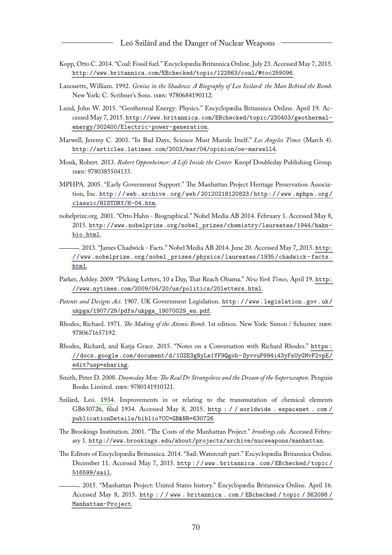- <span id="page-70-9"></span>Kopp, Otto C. 2014. "Coal: Fossil fuel." Encyclopædia Britannica Online. July 23. Accessed May 7, 2015. <http://www.britannica.com/EBchecked/topic/122863/coal/#toc259096>.
- Lanouette, William. 1992. *Genius in the Shadows: A Biography of Leo Szilard: the Man Behind the Bomb.* New York: C. Scribner's Sons. isbn: 9780684190112.
- <span id="page-70-10"></span>Lund, John W. 2015. "Geothermal Energy: Physics." Encyclopædia Britannica Online. April 19. Accessed May 7, 2015. [http://www.britannica.com/EBchecked/topic/230403/geothermal](http://www.britannica.com/EBchecked/topic/230403/geothermal-energy/302400/Electric-power-generation)[energy/302400/Electric-power-generation](http://www.britannica.com/EBchecked/topic/230403/geothermal-energy/302400/Electric-power-generation).
- <span id="page-70-1"></span>Marwell, Jeremy C. 2003. "In Bad Days, Science Must Muzzle Itself." *Los Angeles Times* (March 4). <http://articles.latimes.com/2003/mar/04/opinion/oe-marwell4>.
- <span id="page-70-3"></span>Monk, Robert. 2013. *Robert Oppenheimer: A Life Inside the Center.* Knopf Doubleday Publishing Group. isbn: 9780385504133.
- <span id="page-70-5"></span>MPHPA. 2005. "Early Government Support." The Manhattan Project Heritage Preservation Association, Inc. [http : / / web . archive . org / web / 20120218120823 / http : / / www . mphpa . org /](http://web.archive.org/web/20120218120823/http://www.mphpa.org/classic/HISTORY/H-04.htm) [classic/HISTORY/H-04.htm](http://web.archive.org/web/20120218120823/http://www.mphpa.org/classic/HISTORY/H-04.htm).
- <span id="page-70-7"></span>nobelprize.org. 2001. "Otto Hahn - Biographical." Nobel Media AB 2014. February 1. Accessed May 8, 2015. [http://www.nobelprize.org/nobel\\_prizes/chemistry/laureates/1944/hahn](http://www.nobelprize.org/nobel_prizes/chemistry/laureates/1944/hahn-bio.html)[bio.html](http://www.nobelprize.org/nobel_prizes/chemistry/laureates/1944/hahn-bio.html).
- <span id="page-70-6"></span>. 2013. "James Chadwick - Facts." Nobel Media AB 2014. June 20. Accessed May 7, 2015. [http:](http://www.nobelprize.org/nobel_prizes/physics/laureates/1935/chadwick-facts.html) [//www.nobelprize.org/nobel\\_prizes/physics/laureates/1935/chadwick- facts.](http://www.nobelprize.org/nobel_prizes/physics/laureates/1935/chadwick-facts.html) [html](http://www.nobelprize.org/nobel_prizes/physics/laureates/1935/chadwick-facts.html).
- <span id="page-70-12"></span>Parker, Ashley. 2009. "Picking Letters, 10 a Day, That Reach Obama." *New York Times,* April 19. [http:](http://www.nytimes.com/2009/04/20/us/politics/20letters.html) [//www.nytimes.com/2009/04/20/us/politics/20letters.html](http://www.nytimes.com/2009/04/20/us/politics/20letters.html).
- *Patents and Designs Act.* 1907. UK Government Legislation. [http://www.legislation.gov.uk/](http://www.legislation.gov.uk/ukpga/1907/29/pdfs/ukpga_19070029_en.pdf) [ukpga/1907/29/pdfs/ukpga\\_19070029\\_en.pdf](http://www.legislation.gov.uk/ukpga/1907/29/pdfs/ukpga_19070029_en.pdf).
- <span id="page-70-0"></span>Rhodes, Richard. 1971. *The Making of the Atomic Bomb.* 1st edition. New York: Simon / Schuster. isbn: 9780671657192.
- <span id="page-70-2"></span>Rhodes, Richard, and Katja Grace. 2015. "Notes on a Conversation with Richard Rhodes." [https :](https://docs.google.com/document/d/1OZE3gNyLe1YF9Qgob-OyvvuP994i43yFsUyGMvF2vpE/edit?usp=sharing) [//docs.google.com/document/d/1OZE3gNyLe1YF9Qgob-OyvvuP994i43yFsUyGMvF2vpE/](https://docs.google.com/document/d/1OZE3gNyLe1YF9Qgob-OyvvuP994i43yFsUyGMvF2vpE/edit?usp=sharing) [edit?usp=sharing](https://docs.google.com/document/d/1OZE3gNyLe1YF9Qgob-OyvvuP994i43yFsUyGMvF2vpE/edit?usp=sharing).
- <span id="page-70-8"></span>Smith, Peter D. 2008. *Doomsday Men: The Real Dr Strangelove and the Dream of the Superweapon.* Penguin Books Limited. **ISBN: 9780141910321**.
- <span id="page-70-14"></span>Szilárd, Leó. [1934.](#page-70-14) Improvements in or relating to the transmutation of chemical elements GB630726, filed 1934. Accessed May 8, 2015. [http : / / worldwide . espacenet . com /](http://worldwide.espacenet.com/publicationDetails/biblio?CC=GB&NR=630726) [publicationDetails/biblio?CC=GB&NR=630726](http://worldwide.espacenet.com/publicationDetails/biblio?CC=GB&NR=630726).
- <span id="page-70-4"></span>The Brookings Institution. 2001. "The Costs of the Manhattan Project." *brookings.edu.* Accessed February 1. <http://www.brookings.edu/about/projects/archive/nucweapons/manhattan>.
- <span id="page-70-13"></span><span id="page-70-11"></span>The Editors of Encyclopædia Britannica. 2014. "Sail: Watercraft part." Encyclopædia Britannica Online. December 11. Accessed May 7, 2015. [http : / / www . britannica . com / EBchecked / topic /](http://www.britannica.com/EBchecked/topic/516599/sail) [516599/sail](http://www.britannica.com/EBchecked/topic/516599/sail).
	- . 2015. "Manhattan Project: United States history." Encyclopædia Britannica Online. April 16. Accessed May 8, 2015. [http : / / www . britannica . com / EBchecked / topic / 362098 /](http://www.britannica.com/EBchecked/topic/362098/Manhattan-Project) [Manhattan-Project](http://www.britannica.com/EBchecked/topic/362098/Manhattan-Project).